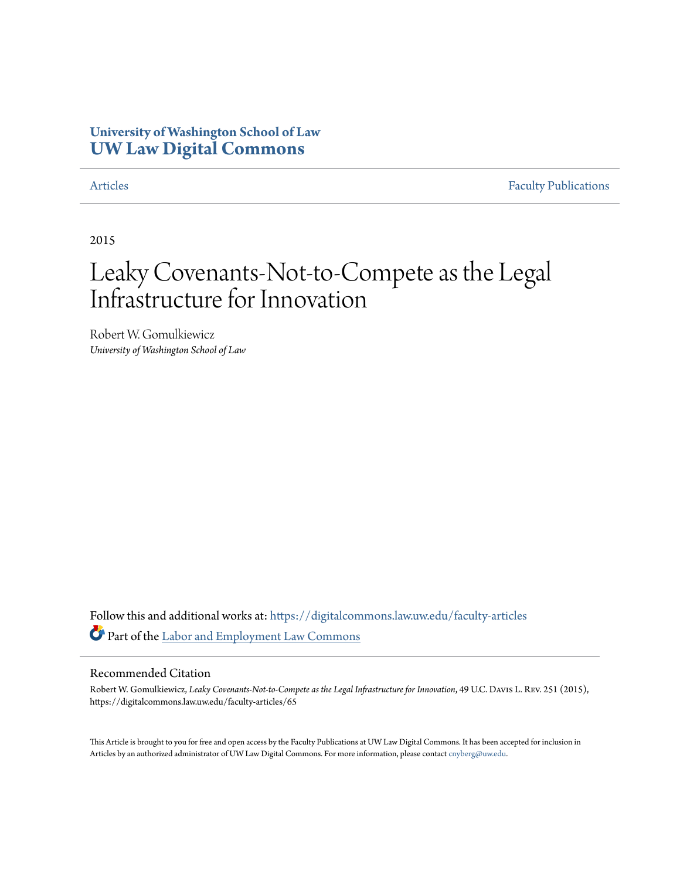### **University of Washington School of Law [UW Law Digital Commons](https://digitalcommons.law.uw.edu?utm_source=digitalcommons.law.uw.edu%2Ffaculty-articles%2F65&utm_medium=PDF&utm_campaign=PDFCoverPages)**

[Articles](https://digitalcommons.law.uw.edu/faculty-articles?utm_source=digitalcommons.law.uw.edu%2Ffaculty-articles%2F65&utm_medium=PDF&utm_campaign=PDFCoverPages) [Faculty Publications](https://digitalcommons.law.uw.edu/faculty-publications?utm_source=digitalcommons.law.uw.edu%2Ffaculty-articles%2F65&utm_medium=PDF&utm_campaign=PDFCoverPages)

2015

## Leaky Covenants-Not-to-Compete as the Legal Infrastructure for Innovation

Robert W. Gomulkiewicz *University of Washington School of Law*

Follow this and additional works at: [https://digitalcommons.law.uw.edu/faculty-articles](https://digitalcommons.law.uw.edu/faculty-articles?utm_source=digitalcommons.law.uw.edu%2Ffaculty-articles%2F65&utm_medium=PDF&utm_campaign=PDFCoverPages) Part of the [Labor and Employment Law Commons](http://network.bepress.com/hgg/discipline/909?utm_source=digitalcommons.law.uw.edu%2Ffaculty-articles%2F65&utm_medium=PDF&utm_campaign=PDFCoverPages)

### Recommended Citation

Robert W. Gomulkiewicz, *Leaky Covenants-Not-to-Compete as the Legal Infrastructure for Innovation*, 49 U.C. Davis L. Rev. 251 (2015), https://digitalcommons.law.uw.edu/faculty-articles/65

This Article is brought to you for free and open access by the Faculty Publications at UW Law Digital Commons. It has been accepted for inclusion in Articles by an authorized administrator of UW Law Digital Commons. For more information, please contact [cnyberg@uw.edu.](mailto:cnyberg@uw.edu)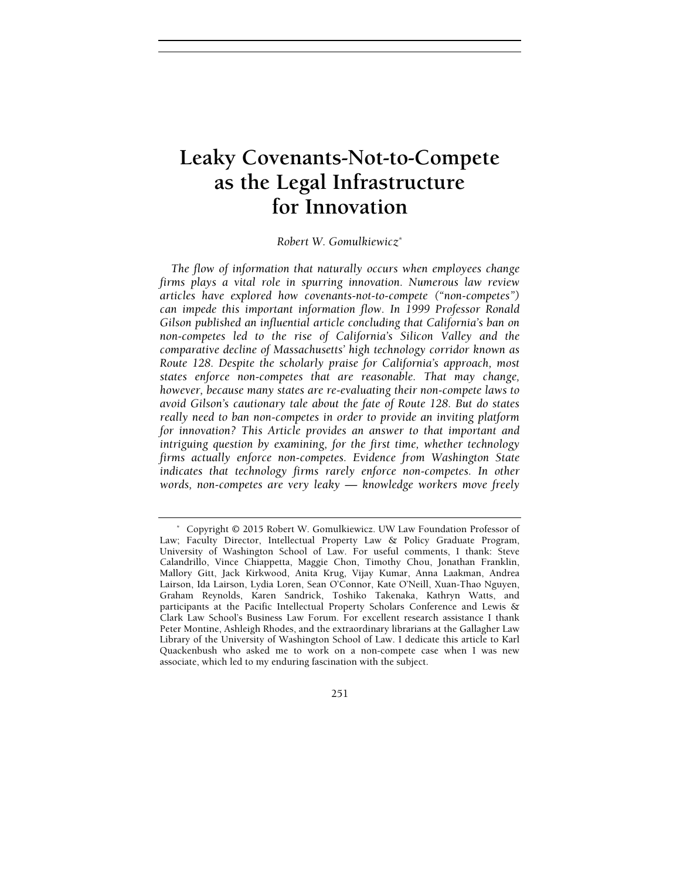# Leaky Covenants-Not-to-Compete for Innovation for Innovation

#### Robert W. Gomulkiewicz\*

The flow of information that naturally occurs when employees change firms plays a vital role in spurring innovation. Numerous law review articles have explored how covenants-not-to-compete ("non-competes") can impede this important information flow. In 1999 Professor Ronald Gilson published an influential article concluding that California's ban on non-competes led to the rise of California's Silicon Valley and the comparative decline of Massachusetts' high technology corridor known as Route 128. Despite the scholarly praise for California's approach, most states enforce non-competes that are reasonable. That may change, however, because many states are re-evaluating their non-compete laws to avoid Gilson's cautionary tale about the fate of Route 128. But do states really need to ban non-competes in order to provide an inviting platform for innovation? This Article provides an answer to that important and intriguing question by examining, for the first time, whether technology firms actually enforce non-competes. Evidence from Washington State indicates that technology firms rarely enforce non-competes. In other words, non-competes are very leaky — knowledge workers move freely

 <sup>\*</sup> Copyright © 2015 Robert W. Gomulkiewicz. UW Law Foundation Professor of Law; Faculty Director, Intellectual Property Law & Policy Graduate Program, University of Washington School of Law. For useful comments, I thank: Steve Calandrillo, Vince Chiappetta, Maggie Chon, Timothy Chou, Jonathan Franklin, Mallory Gitt, Jack Kirkwood, Anita Krug, Vijay Kumar, Anna Laakman, Andrea Lairson, Ida Lairson, Lydia Loren, Sean O'Connor, Kate O'Neill, Xuan-Thao Nguyen, Graham Reynolds, Karen Sandrick, Toshiko Takenaka, Kathryn Watts, and participants at the Pacific Intellectual Property Scholars Conference and Lewis & Clark Law School's Business Law Forum. For excellent research assistance I thank Peter Montine, Ashleigh Rhodes, and the extraordinary librarians at the Gallagher Law Library of the University of Washington School of Law. I dedicate this article to Karl Quackenbush who asked me to work on a non-compete case when I was new associate, which led to my enduring fascination with the subject.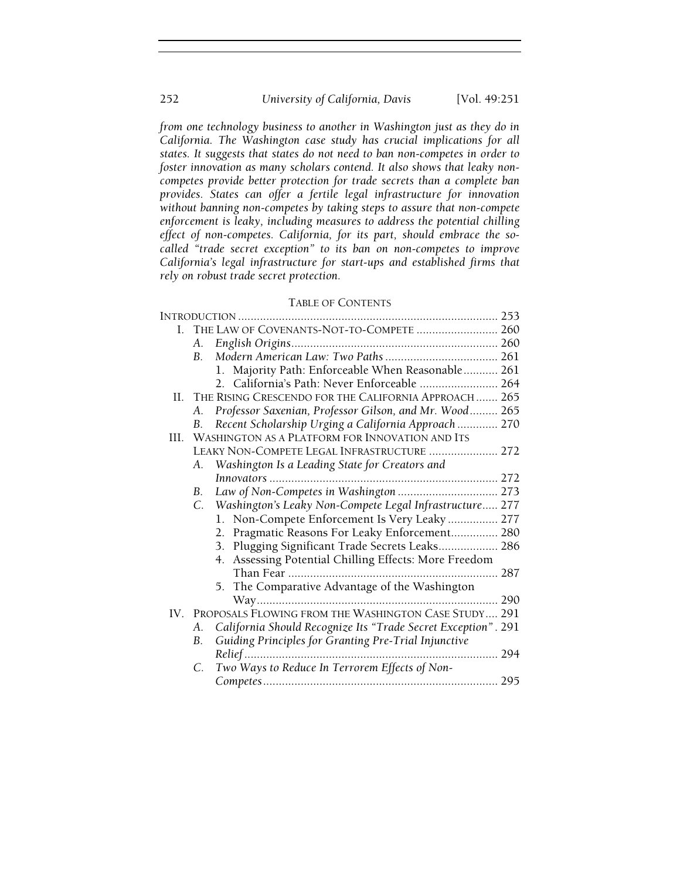from one technology business to another in Washington just as they do in California. The Washington case study has crucial implications for all states. It suggests that states do not need to ban non-competes in order to foster innovation as many scholars contend. It also shows that leaky noncompetes provide better protection for trade secrets than a complete ban provides. States can offer a fertile legal infrastructure for innovation without banning non-competes by taking steps to assure that non-compete enforcement is leaky, including measures to address the potential chilling effect of non-competes. California, for its part, should embrace the socalled "trade secret exception" to its ban on non-competes to improve California's legal infrastructure for start-ups and established firms that rely on robust trade secret protection.

#### TABLE OF CONTENTS

|     |             | I. THE LAW OF COVENANTS-NOT-TO-COMPETE  260                   |
|-----|-------------|---------------------------------------------------------------|
|     | А.          |                                                               |
|     | $B_{\cdot}$ |                                                               |
|     |             | 1. Majority Path: Enforceable When Reasonable 261             |
|     |             | 2. California's Path: Never Enforceable  264                  |
|     |             | II. THE RISING CRESCENDO FOR THE CALIFORNIA APPROACH 265      |
|     | A.          | Professor Saxenian, Professor Gilson, and Mr. Wood 265        |
|     | В.          | Recent Scholarship Urging a California Approach  270          |
| HL. |             | WASHINGTON AS A PLATFORM FOR INNOVATION AND ITS               |
|     |             | LEAKY NON-COMPETE LEGAL INFRASTRUCTURE  272                   |
|     | А.          | Washington Is a Leading State for Creators and                |
|     |             |                                                               |
|     | B.          | Law of Non-Competes in Washington  273                        |
|     |             | C. Washington's Leaky Non-Compete Legal Infrastructure 277    |
|     |             | 1. Non-Compete Enforcement Is Very Leaky  277                 |
|     |             | 2. Pragmatic Reasons For Leaky Enforcement 280                |
|     |             | 3. Plugging Significant Trade Secrets Leaks 286               |
|     |             | 4. Assessing Potential Chilling Effects: More Freedom         |
|     |             |                                                               |
|     |             | 5. The Comparative Advantage of the Washington                |
|     |             |                                                               |
|     |             | IV. PROPOSALS FLOWING FROM THE WASHINGTON CASE STUDY 291      |
|     | А.          | California Should Recognize Its "Trade Secret Exception". 291 |
|     | В.          | Guiding Principles for Granting Pre-Trial Injunctive          |
|     |             |                                                               |
|     | C.          | Two Ways to Reduce In Terrorem Effects of Non-                |
|     |             |                                                               |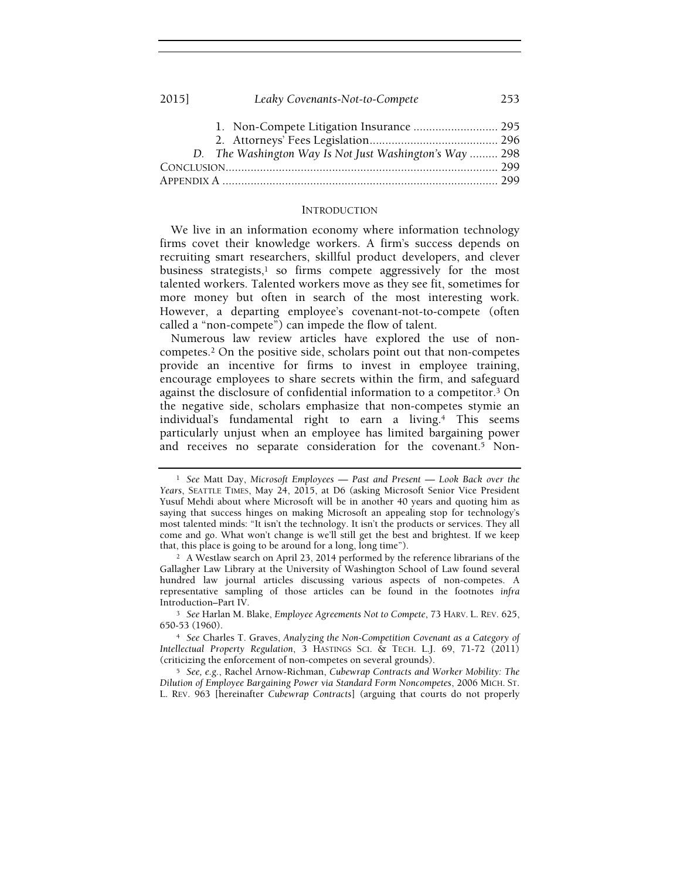#### 2015] Leaky Covenants-Not-to-Compete 253

| D. The Washington Way Is Not Just Washington's Way  298 |  |
|---------------------------------------------------------|--|
|                                                         |  |
|                                                         |  |

#### INTRODUCTION

We live in an information economy where information technology firms covet their knowledge workers. A firm's success depends on recruiting smart researchers, skillful product developers, and clever business strategists, $1$  so firms compete aggressively for the most talented workers. Talented workers move as they see fit, sometimes for more money but often in search of the most interesting work. However, a departing employee's covenant-not-to-compete (often called a "non-compete") can impede the flow of talent.

Numerous law review articles have explored the use of noncompetes.2 On the positive side, scholars point out that non-competes provide an incentive for firms to invest in employee training, encourage employees to share secrets within the firm, and safeguard against the disclosure of confidential information to a competitor.3 On the negative side, scholars emphasize that non-competes stymie an individual's fundamental right to earn a living.4 This seems particularly unjust when an employee has limited bargaining power and receives no separate consideration for the covenant.5 Non-

<sup>&</sup>lt;sup>1</sup> See Matt Day, Microsoft Employees — Past and Present — Look Back over the Years, SEATTLE TIMES, May 24, 2015, at D6 (asking Microsoft Senior Vice President Yusuf Mehdi about where Microsoft will be in another 40 years and quoting him as saying that success hinges on making Microsoft an appealing stop for technology's most talented minds: "It isn't the technology. It isn't the products or services. They all come and go. What won't change is we'll still get the best and brightest. If we keep that, this place is going to be around for a long, long time").

<sup>2</sup> A Westlaw search on April 23, 2014 performed by the reference librarians of the Gallagher Law Library at the University of Washington School of Law found several hundred law journal articles discussing various aspects of non-competes. A representative sampling of those articles can be found in the footnotes infra Introduction–Part IV.

<sup>3</sup> See Harlan M. Blake, Employee Agreements Not to Compete, 73 HARV. L. REV. 625, 650-53 (1960).

<sup>4</sup> See Charles T. Graves, Analyzing the Non-Competition Covenant as a Category of Intellectual Property Regulation, 3 HASTINGS SCI. & TECH. L.J. 69, 71-72 (2011) (criticizing the enforcement of non-competes on several grounds).

<sup>5</sup> See, e.g., Rachel Arnow-Richman, Cubewrap Contracts and Worker Mobility: The Dilution of Employee Bargaining Power via Standard Form Noncompetes, 2006 MICH. ST. L. REV. 963 [hereinafter Cubewrap Contracts] (arguing that courts do not properly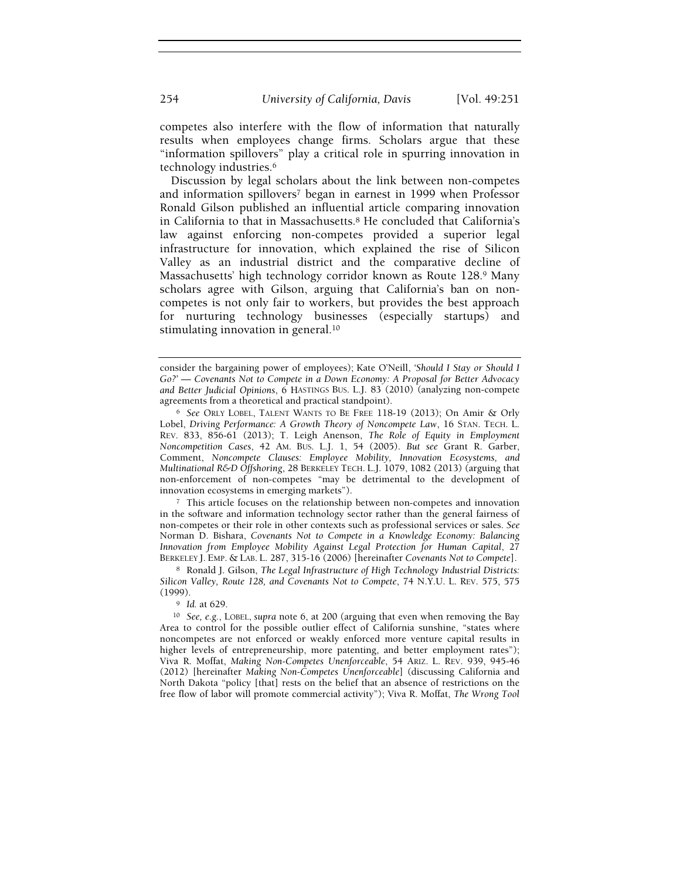competes also interfere with the flow of information that naturally results when employees change firms. Scholars argue that these "information spillovers" play a critical role in spurring innovation in technology industries.<sup>6</sup>

Discussion by legal scholars about the link between non-competes and information spillovers7 began in earnest in 1999 when Professor Ronald Gilson published an influential article comparing innovation in California to that in Massachusetts.8 He concluded that California's law against enforcing non-competes provided a superior legal infrastructure for innovation, which explained the rise of Silicon Valley as an industrial district and the comparative decline of Massachusetts' high technology corridor known as Route 128.9 Many scholars agree with Gilson, arguing that California's ban on noncompetes is not only fair to workers, but provides the best approach for nurturing technology businesses (especially startups) and stimulating innovation in general.<sup>10</sup>

<sup>7</sup> This article focuses on the relationship between non-competes and innovation in the software and information technology sector rather than the general fairness of non-competes or their role in other contexts such as professional services or sales. See Norman D. Bishara, Covenants Not to Compete in a Knowledge Economy: Balancing Innovation from Employee Mobility Against Legal Protection for Human Capital, 27 BERKELEY J. EMP. & LAB. L. 287, 315-16 (2006) [hereinafter Covenants Not to Compete].

8 Ronald J. Gilson, The Legal Infrastructure of High Technology Industrial Districts: Silicon Valley, Route 128, and Covenants Not to Compete, 74 N.Y.U. L. REV. 575, 575 (1999).

<sup>9</sup> Id. at 629.

<sup>10</sup> See, e.g., LOBEL, supra note 6, at 200 (arguing that even when removing the Bay Area to control for the possible outlier effect of California sunshine, "states where noncompetes are not enforced or weakly enforced more venture capital results in higher levels of entrepreneurship, more patenting, and better employment rates"); Viva R. Moffat, Making Non-Competes Unenforceable, 54 ARIZ. L. REV. 939, 945-46 (2012) [hereinafter Making Non-Competes Unenforceable] (discussing California and North Dakota "policy [that] rests on the belief that an absence of restrictions on the free flow of labor will promote commercial activity"); Viva R. Moffat, The Wrong Tool

consider the bargaining power of employees); Kate O'Neill, 'Should I Stay or Should I Go?' — Covenants Not to Compete in a Down Economy: A Proposal for Better Advocacy and Better Judicial Opinions, 6 HASTINGS BUS. L.J. 83 (2010) (analyzing non-compete agreements from a theoretical and practical standpoint).

<sup>6</sup> See ORLY LOBEL, TALENT WANTS TO BE FREE 118-19 (2013); On Amir & Orly Lobel, Driving Performance: A Growth Theory of Noncompete Law, 16 STAN. TECH. L. REV. 833, 856-61 (2013); T. Leigh Anenson, The Role of Equity in Employment Noncompetition Cases, 42 AM. BUS. L.J. 1, 54 (2005). But see Grant R. Garber, Comment, Noncompete Clauses: Employee Mobility, Innovation Ecosystems, and Multinational R&D Offshoring, 28 BERKELEY TECH. L.J. 1079, 1082 (2013) (arguing that non-enforcement of non-competes "may be detrimental to the development of innovation ecosystems in emerging markets").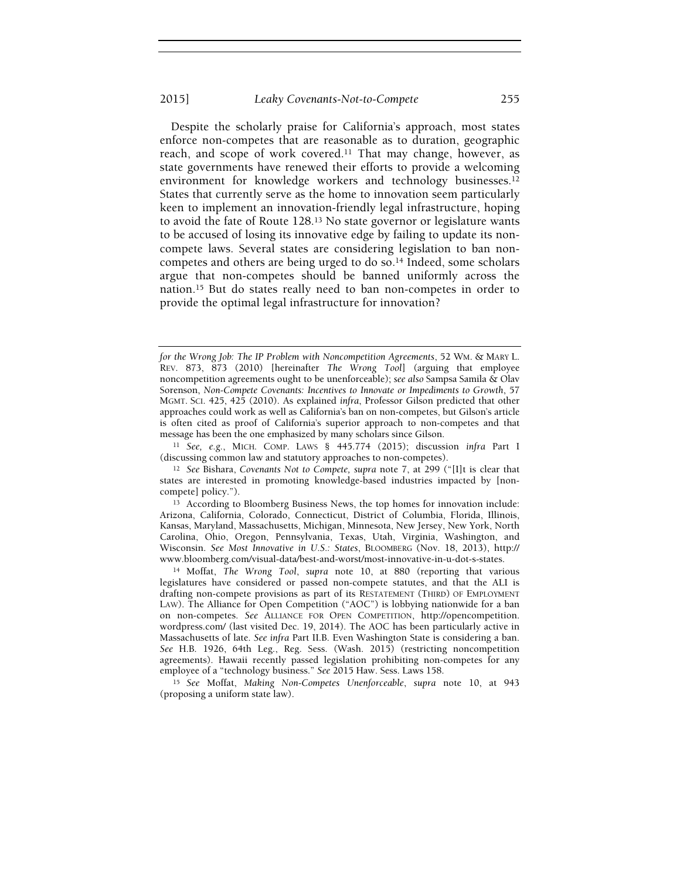Despite the scholarly praise for California's approach, most states enforce non-competes that are reasonable as to duration, geographic reach, and scope of work covered.11 That may change, however, as state governments have renewed their efforts to provide a welcoming environment for knowledge workers and technology businesses.<sup>12</sup> States that currently serve as the home to innovation seem particularly keen to implement an innovation-friendly legal infrastructure, hoping to avoid the fate of Route 128.13 No state governor or legislature wants to be accused of losing its innovative edge by failing to update its noncompete laws. Several states are considering legislation to ban noncompetes and others are being urged to do so.14 Indeed, some scholars argue that non-competes should be banned uniformly across the nation.15 But do states really need to ban non-competes in order to provide the optimal legal infrastructure for innovation?

for the Wrong Job: The IP Problem with Noncompetition Agreements, 52 WM. & MARY L. REV. 873, 873 (2010) [hereinafter The Wrong Tool] (arguing that employee noncompetition agreements ought to be unenforceable); see also Sampsa Samila & Olav Sorenson, Non-Compete Covenants: Incentives to Innovate or Impediments to Growth, 57 MGMT. SCI. 425, 425 (2010). As explained infra, Professor Gilson predicted that other approaches could work as well as California's ban on non-competes, but Gilson's article is often cited as proof of California's superior approach to non-competes and that message has been the one emphasized by many scholars since Gilson.

<sup>11</sup> See, e.g., MICH. COMP. LAWS § 445.774 (2015); discussion infra Part I (discussing common law and statutory approaches to non-competes).

<sup>12</sup> See Bishara, Covenants Not to Compete, supra note 7, at 299 ("[I]t is clear that states are interested in promoting knowledge-based industries impacted by [noncompete] policy.").

<sup>13</sup> According to Bloomberg Business News, the top homes for innovation include: Arizona, California, Colorado, Connecticut, District of Columbia, Florida, Illinois, Kansas, Maryland, Massachusetts, Michigan, Minnesota, New Jersey, New York, North Carolina, Ohio, Oregon, Pennsylvania, Texas, Utah, Virginia, Washington, and Wisconsin. See Most Innovative in U.S.: States, BLOOMBERG (Nov. 18, 2013), http:// www.bloomberg.com/visual-data/best-and-worst/most-innovative-in-u-dot-s-states.

<sup>14</sup> Moffat, The Wrong Tool, supra note 10, at 880 (reporting that various legislatures have considered or passed non-compete statutes, and that the ALI is drafting non-compete provisions as part of its RESTATEMENT (THIRD) OF EMPLOYMENT LAW). The Alliance for Open Competition ("AOC") is lobbying nationwide for a ban on non-competes. See ALLIANCE FOR OPEN COMPETITION, http://opencompetition. wordpress.com/ (last visited Dec. 19, 2014). The AOC has been particularly active in Massachusetts of late. See infra Part II.B. Even Washington State is considering a ban. See H.B. 1926, 64th Leg., Reg. Sess. (Wash. 2015) (restricting noncompetition agreements). Hawaii recently passed legislation prohibiting non-competes for any employee of a "technology business." See 2015 Haw. Sess. Laws 158.

<sup>15</sup> See Moffat, Making Non-Competes Unenforceable, supra note 10, at 943 (proposing a uniform state law).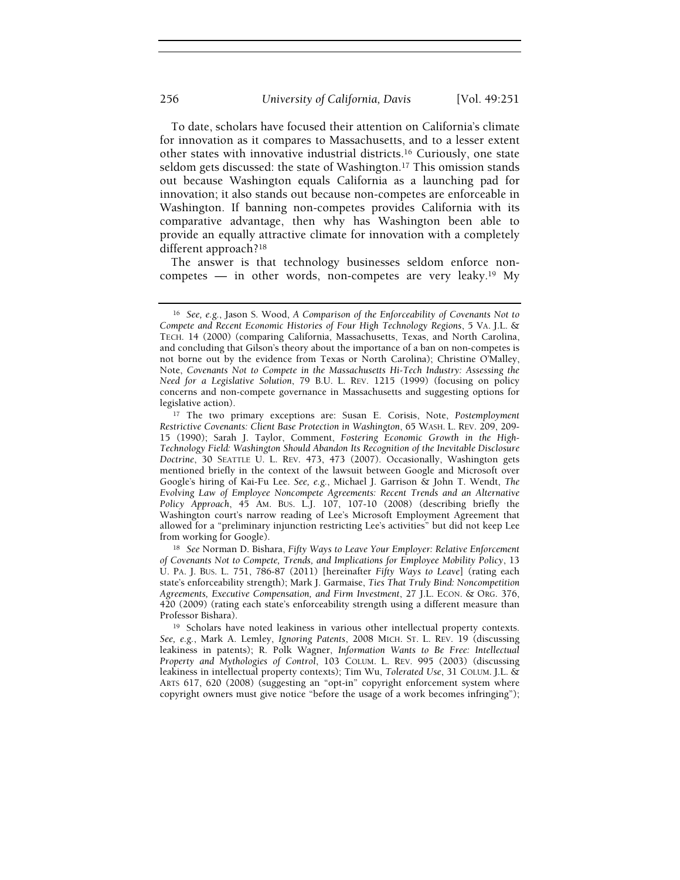To date, scholars have focused their attention on California's climate for innovation as it compares to Massachusetts, and to a lesser extent other states with innovative industrial districts.16 Curiously, one state seldom gets discussed: the state of Washington.17 This omission stands out because Washington equals California as a launching pad for innovation; it also stands out because non-competes are enforceable in Washington. If banning non-competes provides California with its comparative advantage, then why has Washington been able to provide an equally attractive climate for innovation with a completely different approach?<sup>18</sup>

The answer is that technology businesses seldom enforce noncompetes — in other words, non-competes are very leaky.19 My

<sup>16</sup> See, e.g., Jason S. Wood, A Comparison of the Enforceability of Covenants Not to Compete and Recent Economic Histories of Four High Technology Regions, 5 VA. J.L. & TECH. 14 (2000) (comparing California, Massachusetts, Texas, and North Carolina, and concluding that Gilson's theory about the importance of a ban on non-competes is not borne out by the evidence from Texas or North Carolina); Christine O'Malley, Note, Covenants Not to Compete in the Massachusetts Hi-Tech Industry: Assessing the Need for a Legislative Solution, 79 B.U. L. REV. 1215 (1999) (focusing on policy concerns and non-compete governance in Massachusetts and suggesting options for legislative action).

<sup>&</sup>lt;sup>17</sup> The two primary exceptions are: Susan E. Corisis, Note, Postemployment Restrictive Covenants: Client Base Protection in Washington, 65 WASH. L. REV. 209, 209- 15 (1990); Sarah J. Taylor, Comment, Fostering Economic Growth in the High-Technology Field: Washington Should Abandon Its Recognition of the Inevitable Disclosure Doctrine, 30 SEATTLE U. L. REV. 473, 473 (2007). Occasionally, Washington gets mentioned briefly in the context of the lawsuit between Google and Microsoft over Google's hiring of Kai-Fu Lee. See, e.g., Michael J. Garrison & John T. Wendt, The Evolving Law of Employee Noncompete Agreements: Recent Trends and an Alternative Policy Approach, 45 AM. BUS. L.J. 107, 107-10 (2008) (describing briefly the Washington court's narrow reading of Lee's Microsoft Employment Agreement that allowed for a "preliminary injunction restricting Lee's activities" but did not keep Lee from working for Google).

<sup>&</sup>lt;sup>18</sup> See Norman D. Bishara, Fifty Ways to Leave Your Employer: Relative Enforcement of Covenants Not to Compete, Trends, and Implications for Employee Mobility Policy, 13 U. PA. J. BUS. L. 751, 786-87 (2011) [hereinafter Fifty Ways to Leave] (rating each state's enforceability strength); Mark J. Garmaise, Ties That Truly Bind: Noncompetition Agreements, Executive Compensation, and Firm Investment, 27 J.L. ECON. & ORG. 376, 420 (2009) (rating each state's enforceability strength using a different measure than Professor Bishara).

<sup>&</sup>lt;sup>19</sup> Scholars have noted leakiness in various other intellectual property contexts. See, e.g., Mark A. Lemley, Ignoring Patents, 2008 MICH. ST. L. REV. 19 (discussing leakiness in patents); R. Polk Wagner, Information Wants to Be Free: Intellectual Property and Mythologies of Control, 103 COLUM. L. REV. 995 (2003) (discussing leakiness in intellectual property contexts); Tim Wu, Tolerated Use, 31 COLUM. J.L. & ARTS 617, 620 (2008) (suggesting an "opt-in" copyright enforcement system where copyright owners must give notice "before the usage of a work becomes infringing");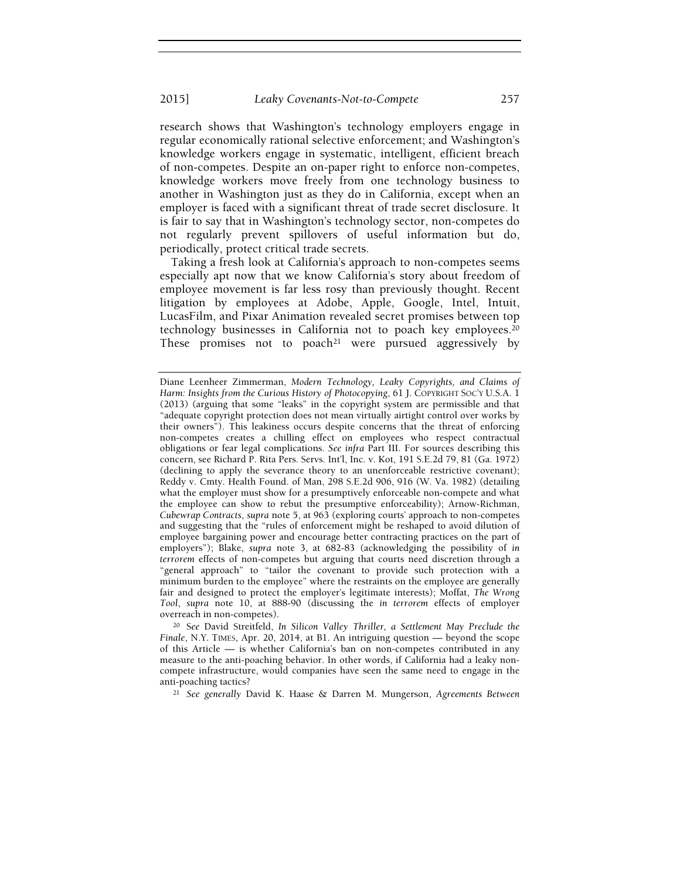research shows that Washington's technology employers engage in regular economically rational selective enforcement; and Washington's knowledge workers engage in systematic, intelligent, efficient breach of non-competes. Despite an on-paper right to enforce non-competes, knowledge workers move freely from one technology business to another in Washington just as they do in California, except when an employer is faced with a significant threat of trade secret disclosure. It is fair to say that in Washington's technology sector, non-competes do not regularly prevent spillovers of useful information but do, periodically, protect critical trade secrets.

Taking a fresh look at California's approach to non-competes seems especially apt now that we know California's story about freedom of employee movement is far less rosy than previously thought. Recent litigation by employees at Adobe, Apple, Google, Intel, Intuit, LucasFilm, and Pixar Animation revealed secret promises between top technology businesses in California not to poach key employees.<sup>20</sup> These promises not to poach<sup>21</sup> were pursued aggressively by

<sup>20</sup> See David Streitfeld, In Silicon Valley Thriller, a Settlement May Preclude the Finale, N.Y. TIMES, Apr. 20, 2014, at B1. An intriguing question — beyond the scope of this Article — is whether California's ban on non-competes contributed in any measure to the anti-poaching behavior. In other words, if California had a leaky noncompete infrastructure, would companies have seen the same need to engage in the anti-poaching tactics?

<sup>21</sup> See generally David K. Haase & Darren M. Mungerson, Agreements Between

Diane Leenheer Zimmerman, Modern Technology, Leaky Copyrights, and Claims of Harm: Insights from the Curious History of Photocopying, 61 J. COPYRIGHT SOC'Y U.S.A. 1 (2013) (arguing that some "leaks" in the copyright system are permissible and that "adequate copyright protection does not mean virtually airtight control over works by their owners"). This leakiness occurs despite concerns that the threat of enforcing non-competes creates a chilling effect on employees who respect contractual obligations or fear legal complications. See infra Part III. For sources describing this concern, see Richard P. Rita Pers. Servs. Int'l, Inc. v. Kot, 191 S.E.2d 79, 81 (Ga. 1972) (declining to apply the severance theory to an unenforceable restrictive covenant); Reddy v. Cmty. Health Found. of Man, 298 S.E.2d 906, 916 (W. Va. 1982) (detailing what the employer must show for a presumptively enforceable non-compete and what the employee can show to rebut the presumptive enforceability); Arnow-Richman, Cubewrap Contracts, supra note 5, at 963 (exploring courts' approach to non-competes and suggesting that the "rules of enforcement might be reshaped to avoid dilution of employee bargaining power and encourage better contracting practices on the part of employers"); Blake, supra note 3, at 682-83 (acknowledging the possibility of in terrorem effects of non-competes but arguing that courts need discretion through a "general approach" to "tailor the covenant to provide such protection with a minimum burden to the employee" where the restraints on the employee are generally fair and designed to protect the employer's legitimate interests); Moffat, The Wrong Tool, supra note 10, at 888-90 (discussing the in terrorem effects of employer overreach in non-competes).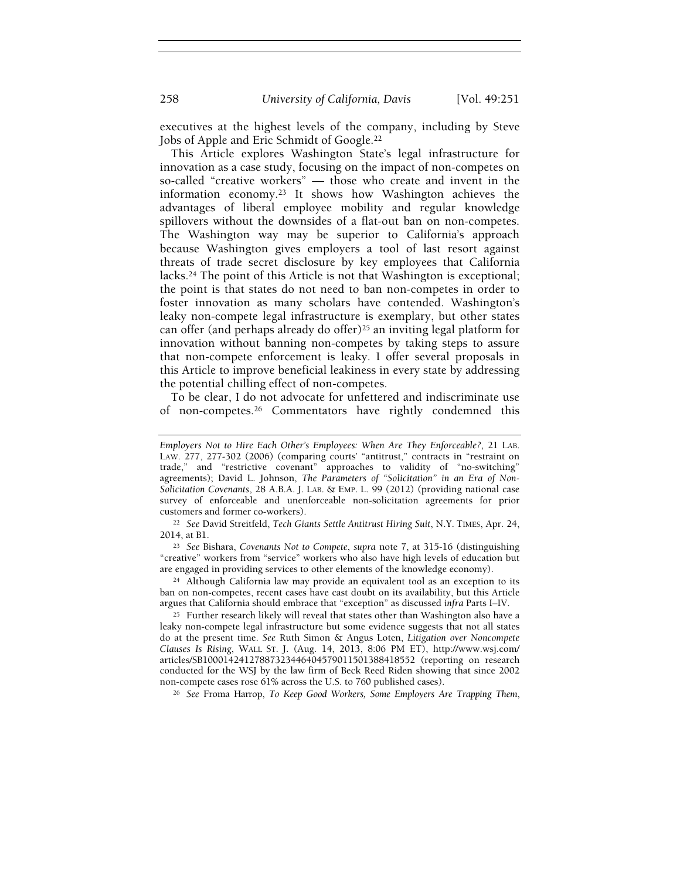executives at the highest levels of the company, including by Steve Jobs of Apple and Eric Schmidt of Google.<sup>22</sup>

This Article explores Washington State's legal infrastructure for innovation as a case study, focusing on the impact of non-competes on so-called "creative workers" — those who create and invent in the information economy.23 It shows how Washington achieves the advantages of liberal employee mobility and regular knowledge spillovers without the downsides of a flat-out ban on non-competes. The Washington way may be superior to California's approach because Washington gives employers a tool of last resort against threats of trade secret disclosure by key employees that California lacks.24 The point of this Article is not that Washington is exceptional; the point is that states do not need to ban non-competes in order to foster innovation as many scholars have contended. Washington's leaky non-compete legal infrastructure is exemplary, but other states can offer (and perhaps already do offer)25 an inviting legal platform for innovation without banning non-competes by taking steps to assure that non-compete enforcement is leaky. I offer several proposals in this Article to improve beneficial leakiness in every state by addressing the potential chilling effect of non-competes.

To be clear, I do not advocate for unfettered and indiscriminate use of non-competes.26 Commentators have rightly condemned this

<sup>26</sup> See Froma Harrop, To Keep Good Workers, Some Employers Are Trapping Them,

Employers Not to Hire Each Other's Employees: When Are They Enforceable?, 21 LAB. LAW. 277, 277-302 (2006) (comparing courts' "antitrust," contracts in "restraint on trade," and "restrictive covenant" approaches to validity of "no-switching" agreements); David L. Johnson, The Parameters of "Solicitation" in an Era of Non-Solicitation Covenants, 28 A.B.A. J. LAB. & EMP. L. 99 (2012) (providing national case survey of enforceable and unenforceable non-solicitation agreements for prior customers and former co-workers).

<sup>&</sup>lt;sup>22</sup> See David Streitfeld, Tech Giants Settle Antitrust Hiring Suit, N.Y. TIMES, Apr. 24, 2014, at B1.

<sup>23</sup> See Bishara, Covenants Not to Compete, supra note 7, at 315-16 (distinguishing "creative" workers from "service" workers who also have high levels of education but are engaged in providing services to other elements of the knowledge economy).

<sup>24</sup> Although California law may provide an equivalent tool as an exception to its ban on non-competes, recent cases have cast doubt on its availability, but this Article argues that California should embrace that "exception" as discussed infra Parts I–IV.

<sup>25</sup> Further research likely will reveal that states other than Washington also have a leaky non-compete legal infrastructure but some evidence suggests that not all states do at the present time. See Ruth Simon & Angus Loten, Litigation over Noncompete Clauses Is Rising, WALL ST. J. (Aug. 14, 2013, 8:06 PM ET), http://www.wsj.com/ articles/SB10001424127887323446404579011501388418552 (reporting on research conducted for the WSJ by the law firm of Beck Reed Riden showing that since 2002 non-compete cases rose 61% across the U.S. to 760 published cases).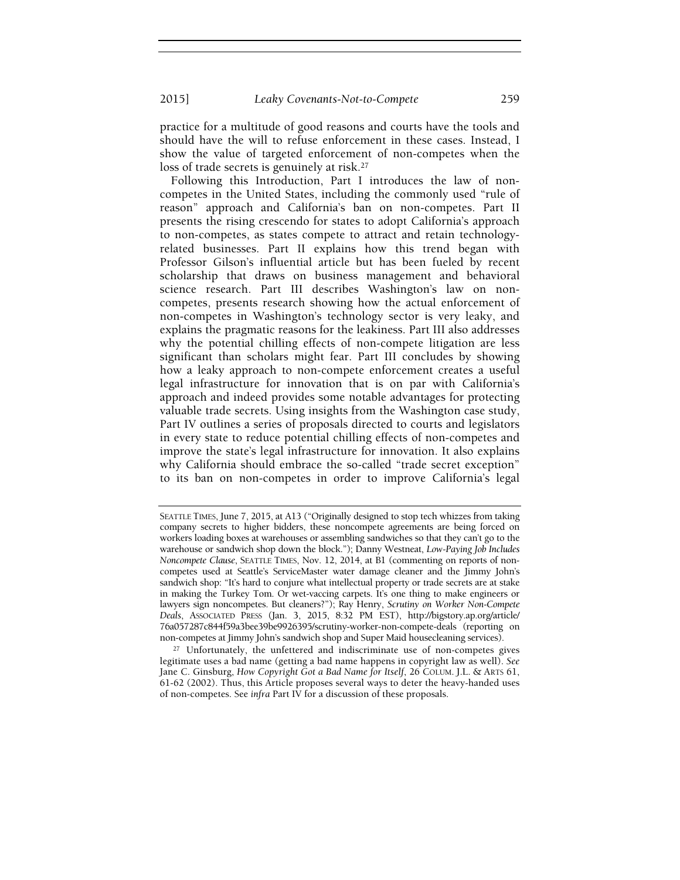practice for a multitude of good reasons and courts have the tools and should have the will to refuse enforcement in these cases. Instead, I show the value of targeted enforcement of non-competes when the loss of trade secrets is genuinely at risk.<sup>27</sup>

Following this Introduction, Part I introduces the law of noncompetes in the United States, including the commonly used "rule of reason" approach and California's ban on non-competes. Part II presents the rising crescendo for states to adopt California's approach to non-competes, as states compete to attract and retain technologyrelated businesses. Part II explains how this trend began with Professor Gilson's influential article but has been fueled by recent scholarship that draws on business management and behavioral science research. Part III describes Washington's law on noncompetes, presents research showing how the actual enforcement of non-competes in Washington's technology sector is very leaky, and explains the pragmatic reasons for the leakiness. Part III also addresses why the potential chilling effects of non-compete litigation are less significant than scholars might fear. Part III concludes by showing how a leaky approach to non-compete enforcement creates a useful legal infrastructure for innovation that is on par with California's approach and indeed provides some notable advantages for protecting valuable trade secrets. Using insights from the Washington case study, Part IV outlines a series of proposals directed to courts and legislators in every state to reduce potential chilling effects of non-competes and improve the state's legal infrastructure for innovation. It also explains why California should embrace the so-called "trade secret exception" to its ban on non-competes in order to improve California's legal

<sup>27</sup> Unfortunately, the unfettered and indiscriminate use of non-competes gives legitimate uses a bad name (getting a bad name happens in copyright law as well). See Jane C. Ginsburg, How Copyright Got a Bad Name for Itself, 26 COLUM. J.L. & ARTS 61, 61-62 (2002). Thus, this Article proposes several ways to deter the heavy-handed uses of non-competes. See infra Part IV for a discussion of these proposals.

SEATTLE TIMES, June 7, 2015, at A13 ("Originally designed to stop tech whizzes from taking company secrets to higher bidders, these noncompete agreements are being forced on workers loading boxes at warehouses or assembling sandwiches so that they can't go to the warehouse or sandwich shop down the block."); Danny Westneat, Low-Paying Job Includes Noncompete Clause, SEATTLE TIMES, Nov. 12, 2014, at B1 (commenting on reports of noncompetes used at Seattle's ServiceMaster water damage cleaner and the Jimmy John's sandwich shop: "It's hard to conjure what intellectual property or trade secrets are at stake in making the Turkey Tom. Or wet-vaccing carpets. It's one thing to make engineers or lawyers sign noncompetes. But cleaners?"); Ray Henry, Scrutiny on Worker Non-Compete Deals, ASSOCIATED PRESS (Jan. 3, 2015, 8:32 PM EST), http://bigstory.ap.org/article/ 76a057287c844f59a3bee39be9926395/scrutiny-worker-non-compete-deals (reporting on non-competes at Jimmy John's sandwich shop and Super Maid housecleaning services).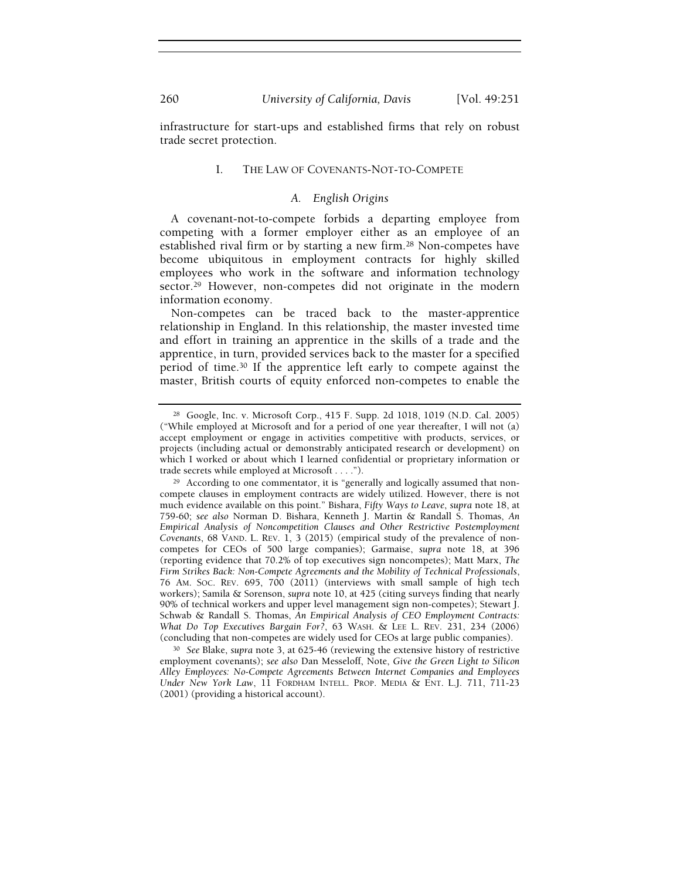infrastructure for start-ups and established firms that rely on robust trade secret protection.

#### I. THE LAW OF COVENANTS-NOT-TO-COMPETE

#### A. English Origins

A covenant-not-to-compete forbids a departing employee from competing with a former employer either as an employee of an established rival firm or by starting a new firm.28 Non-competes have become ubiquitous in employment contracts for highly skilled employees who work in the software and information technology sector.<sup>29</sup> However, non-competes did not originate in the modern information economy.

Non-competes can be traced back to the master-apprentice relationship in England. In this relationship, the master invested time and effort in training an apprentice in the skills of a trade and the apprentice, in turn, provided services back to the master for a specified period of time.30 If the apprentice left early to compete against the master, British courts of equity enforced non-competes to enable the

<sup>30</sup> See Blake, supra note 3, at 625-46 (reviewing the extensive history of restrictive employment covenants); see also Dan Messeloff, Note, Give the Green Light to Silicon Alley Employees: No-Compete Agreements Between Internet Companies and Employees Under New York Law, 11 FORDHAM INTELL. PROP. MEDIA & ENT. L.J. 711, 711-23 (2001) (providing a historical account).

<sup>28</sup> Google, Inc. v. Microsoft Corp., 415 F. Supp. 2d 1018, 1019 (N.D. Cal. 2005) ("While employed at Microsoft and for a period of one year thereafter, I will not (a) accept employment or engage in activities competitive with products, services, or projects (including actual or demonstrably anticipated research or development) on which I worked or about which I learned confidential or proprietary information or trade secrets while employed at Microsoft . . . .").

<sup>&</sup>lt;sup>29</sup> According to one commentator, it is "generally and logically assumed that noncompete clauses in employment contracts are widely utilized. However, there is not much evidence available on this point." Bishara, Fifty Ways to Leave, supra note 18, at 759-60; see also Norman D. Bishara, Kenneth J. Martin & Randall S. Thomas, An Empirical Analysis of Noncompetition Clauses and Other Restrictive Postemployment Covenants, 68 VAND. L. REV. 1, 3 (2015) (empirical study of the prevalence of noncompetes for CEOs of 500 large companies); Garmaise, supra note 18, at 396 (reporting evidence that 70.2% of top executives sign noncompetes); Matt Marx, The Firm Strikes Back: Non-Compete Agreements and the Mobility of Technical Professionals, 76 AM. SOC. REV. 695, 700 (2011) (interviews with small sample of high tech workers); Samila & Sorenson, supra note 10, at 425 (citing surveys finding that nearly 90% of technical workers and upper level management sign non-competes); Stewart J. Schwab & Randall S. Thomas, An Empirical Analysis of CEO Employment Contracts: What Do Top Executives Bargain For?, 63 WASH. & LEE L. REV. 231, 234 (2006) (concluding that non-competes are widely used for CEOs at large public companies).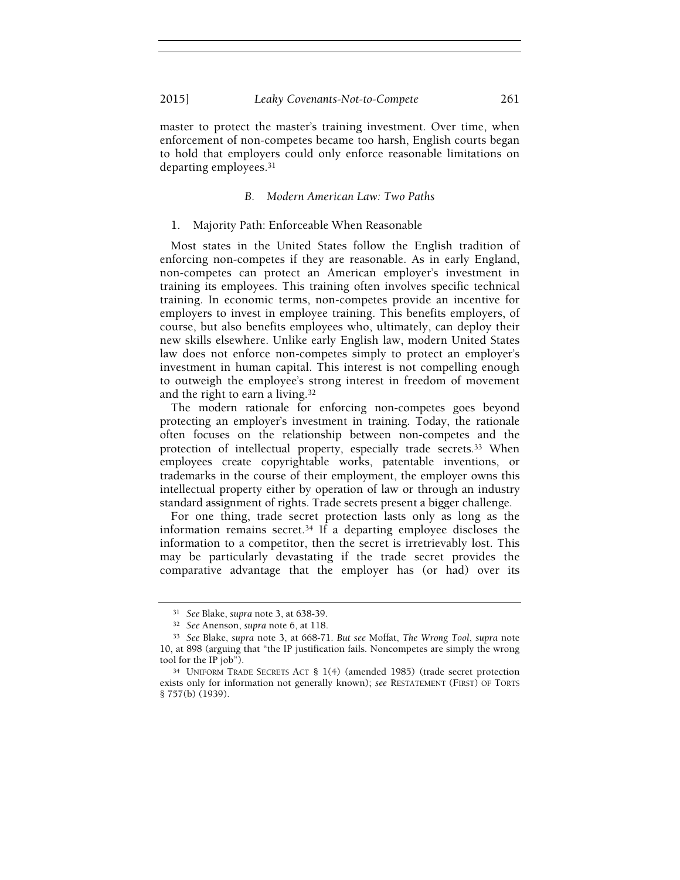master to protect the master's training investment. Over time, when enforcement of non-competes became too harsh, English courts began to hold that employers could only enforce reasonable limitations on departing employees.<sup>31</sup>

#### B. Modern American Law: Two Paths

#### 1. Majority Path: Enforceable When Reasonable

Most states in the United States follow the English tradition of enforcing non-competes if they are reasonable. As in early England, non-competes can protect an American employer's investment in training its employees. This training often involves specific technical training. In economic terms, non-competes provide an incentive for employers to invest in employee training. This benefits employers, of course, but also benefits employees who, ultimately, can deploy their new skills elsewhere. Unlike early English law, modern United States law does not enforce non-competes simply to protect an employer's investment in human capital. This interest is not compelling enough to outweigh the employee's strong interest in freedom of movement and the right to earn a living.<sup>32</sup>

The modern rationale for enforcing non-competes goes beyond protecting an employer's investment in training. Today, the rationale often focuses on the relationship between non-competes and the protection of intellectual property, especially trade secrets.33 When employees create copyrightable works, patentable inventions, or trademarks in the course of their employment, the employer owns this intellectual property either by operation of law or through an industry standard assignment of rights. Trade secrets present a bigger challenge.

For one thing, trade secret protection lasts only as long as the information remains secret.34 If a departing employee discloses the information to a competitor, then the secret is irretrievably lost. This may be particularly devastating if the trade secret provides the comparative advantage that the employer has (or had) over its

<sup>31</sup> See Blake, supra note 3, at 638-39.

<sup>32</sup> See Anenson, supra note 6, at 118.

<sup>33</sup> See Blake, supra note 3, at 668-71. But see Moffat, The Wrong Tool, supra note 10, at 898 (arguing that "the IP justification fails. Noncompetes are simply the wrong tool for the IP job").

<sup>34</sup> UNIFORM TRADE SECRETS ACT § 1(4) (amended 1985) (trade secret protection exists only for information not generally known); see RESTATEMENT (FIRST) OF TORTS § 757(b) (1939).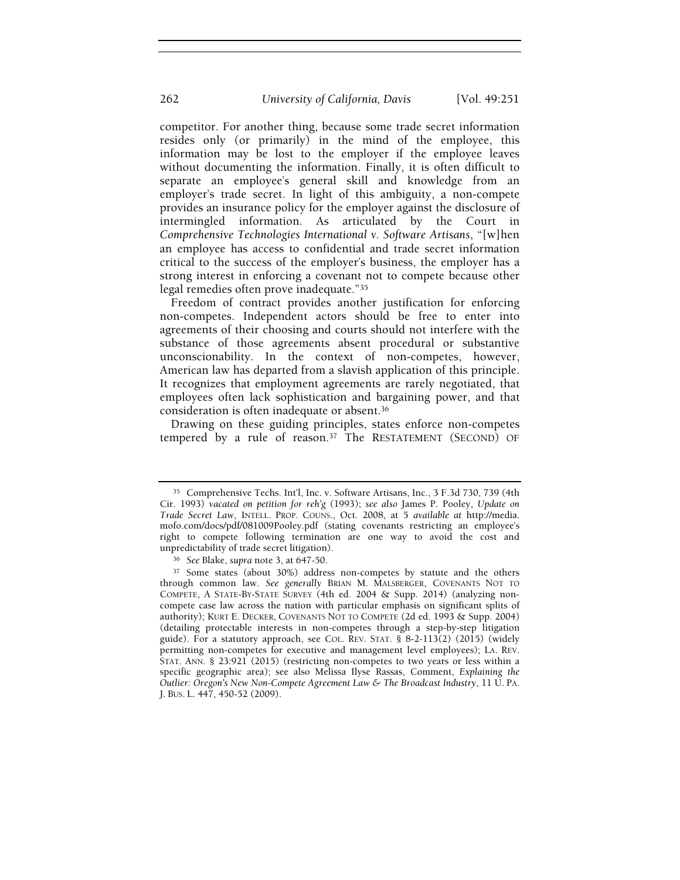competitor. For another thing, because some trade secret information resides only (or primarily) in the mind of the employee, this information may be lost to the employer if the employee leaves without documenting the information. Finally, it is often difficult to separate an employee's general skill and knowledge from an employer's trade secret. In light of this ambiguity, a non-compete provides an insurance policy for the employer against the disclosure of intermingled information. As articulated by the Court in Comprehensive Technologies International v. Software Artisans, "[w]hen an employee has access to confidential and trade secret information critical to the success of the employer's business, the employer has a strong interest in enforcing a covenant not to compete because other legal remedies often prove inadequate."<sup>35</sup>

Freedom of contract provides another justification for enforcing non-competes. Independent actors should be free to enter into agreements of their choosing and courts should not interfere with the substance of those agreements absent procedural or substantive unconscionability. In the context of non-competes, however, American law has departed from a slavish application of this principle. It recognizes that employment agreements are rarely negotiated, that employees often lack sophistication and bargaining power, and that consideration is often inadequate or absent.<sup>36</sup>

Drawing on these guiding principles, states enforce non-competes tempered by a rule of reason.<sup>37</sup> The RESTATEMENT (SECOND) OF

<sup>35</sup> Comprehensive Techs. Int'l, Inc. v. Software Artisans, Inc., 3 F.3d 730, 739 (4th Cir. 1993) vacated on petition for reh'g (1993); see also James P. Pooley, Update on Trade Secret Law, INTELL. PROP. COUNS., Oct. 2008, at 5 available at http://media. mofo.com/docs/pdf/081009Pooley.pdf (stating covenants restricting an employee's right to compete following termination are one way to avoid the cost and unpredictability of trade secret litigation).

<sup>36</sup> See Blake, supra note 3, at 647-50.

<sup>&</sup>lt;sup>37</sup> Some states (about 30%) address non-competes by statute and the others through common law. See generally BRIAN M. MALSBERGER, COVENANTS NOT TO COMPETE, A STATE-BY-STATE SURVEY (4th ed. 2004 & Supp. 2014) (analyzing noncompete case law across the nation with particular emphasis on significant splits of authority); KURT E. DECKER, COVENANTS NOT TO COMPETE (2d ed. 1993 & Supp. 2004) (detailing protectable interests in non-competes through a step-by-step litigation guide). For a statutory approach, see COL. REV. STAT. § 8-2-113(2) (2015) (widely permitting non-competes for executive and management level employees); LA. REV. STAT. ANN. § 23:921 (2015) (restricting non-competes to two years or less within a specific geographic area); see also Melissa Ilyse Rassas, Comment, Explaining the Outlier: Oregon's New Non-Compete Agreement Law & The Broadcast Industry, 11 U. PA. J. BUS. L. 447, 450-52 (2009).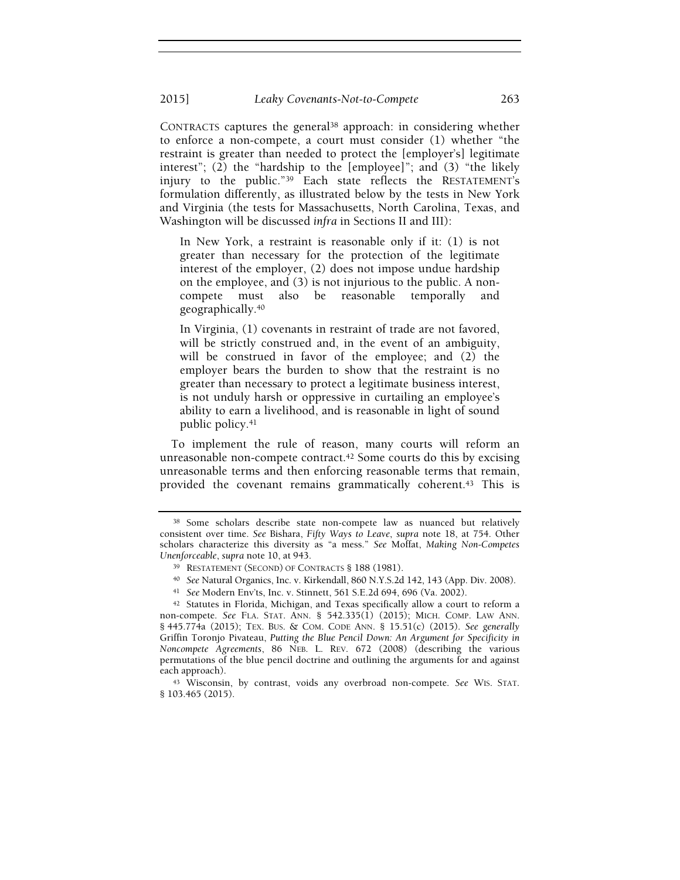CONTRACTS captures the general38 approach: in considering whether to enforce a non-compete, a court must consider (1) whether "the restraint is greater than needed to protect the [employer's] legitimate interest"; (2) the "hardship to the [employee]"; and (3) "the likely injury to the public."39 Each state reflects the RESTATEMENT's formulation differently, as illustrated below by the tests in New York and Virginia (the tests for Massachusetts, North Carolina, Texas, and Washington will be discussed infra in Sections II and III):

In New York, a restraint is reasonable only if it: (1) is not greater than necessary for the protection of the legitimate interest of the employer, (2) does not impose undue hardship on the employee, and (3) is not injurious to the public. A noncompete must also be reasonable temporally and geographically.<sup>40</sup>

In Virginia, (1) covenants in restraint of trade are not favored, will be strictly construed and, in the event of an ambiguity, will be construed in favor of the employee; and (2) the employer bears the burden to show that the restraint is no greater than necessary to protect a legitimate business interest, is not unduly harsh or oppressive in curtailing an employee's ability to earn a livelihood, and is reasonable in light of sound public policy.<sup>41</sup>

To implement the rule of reason, many courts will reform an unreasonable non-compete contract.<sup>42</sup> Some courts do this by excising unreasonable terms and then enforcing reasonable terms that remain, provided the covenant remains grammatically coherent.43 This is

<sup>38</sup> Some scholars describe state non-compete law as nuanced but relatively consistent over time. See Bishara, Fifty Ways to Leave, supra note 18, at 754. Other scholars characterize this diversity as "a mess." See Moffat, Making Non-Competes Unenforceable, supra note 10, at 943.

<sup>39</sup> RESTATEMENT (SECOND) OF CONTRACTS § 188 (1981).

<sup>40</sup> See Natural Organics, Inc. v. Kirkendall, 860 N.Y.S.2d 142, 143 (App. Div. 2008).

<sup>41</sup> See Modern Env'ts, Inc. v. Stinnett, 561 S.E.2d 694, 696 (Va. 2002).

<sup>42</sup> Statutes in Florida, Michigan, and Texas specifically allow a court to reform a non-compete. See FLA. STAT. ANN.  $\S$  542.335(1) (2015); MICH. COMP. LAW ANN. § 445.774a (2015); TEX. BUS. & COM. CODE ANN. § 15.51(c) (2015). See generally Griffin Toronjo Pivateau, Putting the Blue Pencil Down: An Argument for Specificity in Noncompete Agreements, 86 NEB. L. REV. 672 (2008) (describing the various permutations of the blue pencil doctrine and outlining the arguments for and against each approach).

<sup>43</sup> Wisconsin, by contrast, voids any overbroad non-compete. See WIS. STAT. § 103.465 (2015).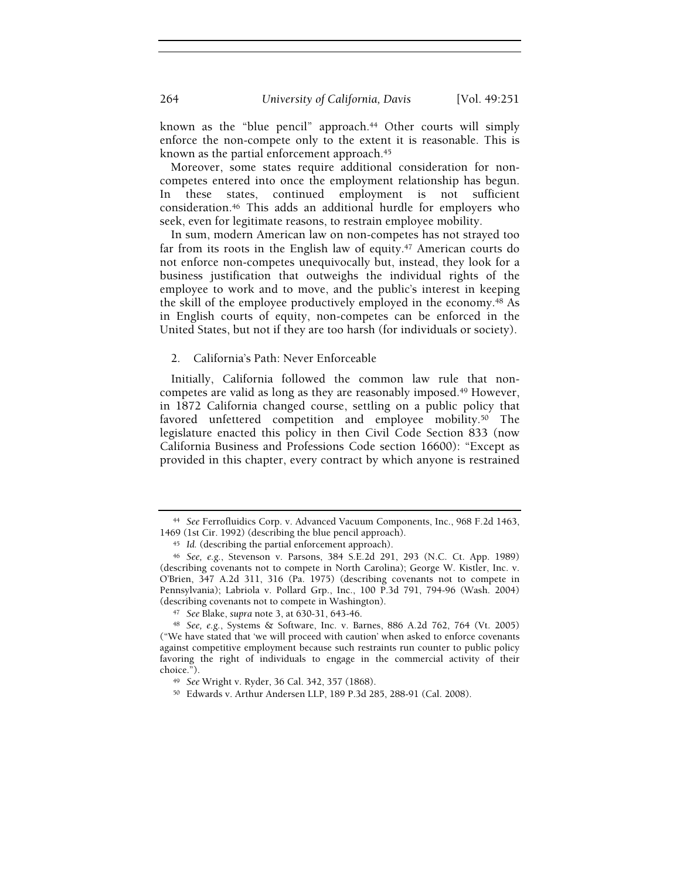known as the "blue pencil" approach.<sup>44</sup> Other courts will simply enforce the non-compete only to the extent it is reasonable. This is known as the partial enforcement approach.<sup>45</sup>

Moreover, some states require additional consideration for noncompetes entered into once the employment relationship has begun. In these states, continued employment is not sufficient consideration.46 This adds an additional hurdle for employers who seek, even for legitimate reasons, to restrain employee mobility.

In sum, modern American law on non-competes has not strayed too far from its roots in the English law of equity.<sup>47</sup> American courts do not enforce non-competes unequivocally but, instead, they look for a business justification that outweighs the individual rights of the employee to work and to move, and the public's interest in keeping the skill of the employee productively employed in the economy.48 As in English courts of equity, non-competes can be enforced in the United States, but not if they are too harsh (for individuals or society).

2. California's Path: Never Enforceable

Initially, California followed the common law rule that noncompetes are valid as long as they are reasonably imposed.49 However, in 1872 California changed course, settling on a public policy that favored unfettered competition and employee mobility.<sup>50</sup> The legislature enacted this policy in then Civil Code Section 833 (now California Business and Professions Code section 16600): "Except as provided in this chapter, every contract by which anyone is restrained

<sup>44</sup> See Ferrofluidics Corp. v. Advanced Vacuum Components, Inc., 968 F.2d 1463, 1469 (1st Cir. 1992) (describing the blue pencil approach).

<sup>45</sup> Id. (describing the partial enforcement approach).

<sup>46</sup> See, e.g., Stevenson v. Parsons, 384 S.E.2d 291, 293 (N.C. Ct. App. 1989) (describing covenants not to compete in North Carolina); George W. Kistler, Inc. v. O'Brien, 347 A.2d 311, 316 (Pa. 1975) (describing covenants not to compete in Pennsylvania); Labriola v. Pollard Grp., Inc., 100 P.3d 791, 794-96 (Wash. 2004) (describing covenants not to compete in Washington).

<sup>47</sup> See Blake, supra note 3, at 630-31, 643-46.

<sup>48</sup> See, e.g., Systems & Software, Inc. v. Barnes, 886 A.2d 762, 764 (Vt. 2005) ("We have stated that 'we will proceed with caution' when asked to enforce covenants against competitive employment because such restraints run counter to public policy favoring the right of individuals to engage in the commercial activity of their choice.").

<sup>49</sup> See Wright v. Ryder, 36 Cal. 342, 357 (1868).

<sup>50</sup> Edwards v. Arthur Andersen LLP, 189 P.3d 285, 288-91 (Cal. 2008).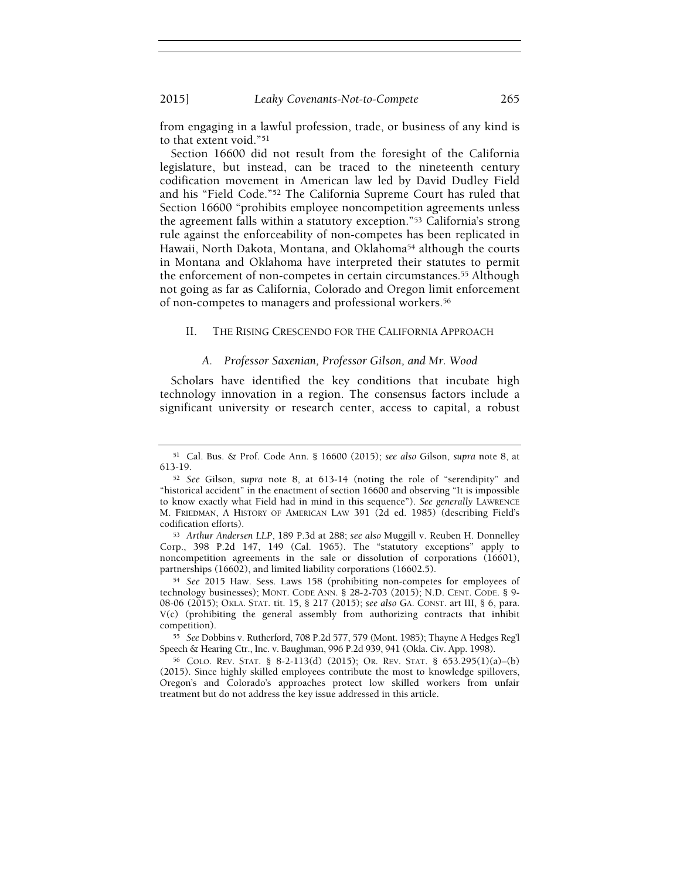from engaging in a lawful profession, trade, or business of any kind is to that extent void."<sup>51</sup>

Section 16600 did not result from the foresight of the California legislature, but instead, can be traced to the nineteenth century codification movement in American law led by David Dudley Field and his "Field Code."52 The California Supreme Court has ruled that Section 16600 "prohibits employee noncompetition agreements unless the agreement falls within a statutory exception."53 California's strong rule against the enforceability of non-competes has been replicated in Hawaii, North Dakota, Montana, and Oklahoma54 although the courts in Montana and Oklahoma have interpreted their statutes to permit the enforcement of non-competes in certain circumstances.55 Although not going as far as California, Colorado and Oregon limit enforcement of non-competes to managers and professional workers.<sup>56</sup>

#### II. THE RISING CRESCENDO FOR THE CALIFORNIA APPROACH

#### A. Professor Saxenian, Professor Gilson, and Mr. Wood

Scholars have identified the key conditions that incubate high technology innovation in a region. The consensus factors include a significant university or research center, access to capital, a robust

<sup>55</sup> See Dobbins v. Rutherford, 708 P.2d 577, 579 (Mont. 1985); Thayne A Hedges Reg'l Speech & Hearing Ctr., Inc. v. Baughman, 996 P.2d 939, 941 (Okla. Civ. App. 1998).

<sup>56</sup> COLO. REV. STAT. § 8-2-113(d) (2015); OR. REV. STAT. § 653.295(1)(a)–(b) (2015). Since highly skilled employees contribute the most to knowledge spillovers, Oregon's and Colorado's approaches protect low skilled workers from unfair treatment but do not address the key issue addressed in this article.

<sup>51</sup> Cal. Bus. & Prof. Code Ann. § 16600 (2015); see also Gilson, supra note 8, at 613-19.

<sup>52</sup> See Gilson, supra note 8, at 613-14 (noting the role of "serendipity" and "historical accident" in the enactment of section 16600 and observing "It is impossible to know exactly what Field had in mind in this sequence"). See generally LAWRENCE M. FRIEDMAN, A HISTORY OF AMERICAN LAW 391 (2d ed. 1985) (describing Field's codification efforts).

<sup>53</sup> Arthur Andersen LLP, 189 P.3d at 288; see also Muggill v. Reuben H. Donnelley Corp., 398 P.2d 147, 149 (Cal. 1965). The "statutory exceptions" apply to noncompetition agreements in the sale or dissolution of corporations (16601), partnerships (16602), and limited liability corporations (16602.5).

<sup>54</sup> See 2015 Haw. Sess. Laws 158 (prohibiting non-competes for employees of technology businesses); MONT. CODE ANN. § 28-2-703 (2015); N.D. CENT. CODE. § 9- 08-06 (2015); OKLA. STAT. tit. 15, § 217 (2015); see also GA. CONST. art III, § 6, para. V(c) (prohibiting the general assembly from authorizing contracts that inhibit competition).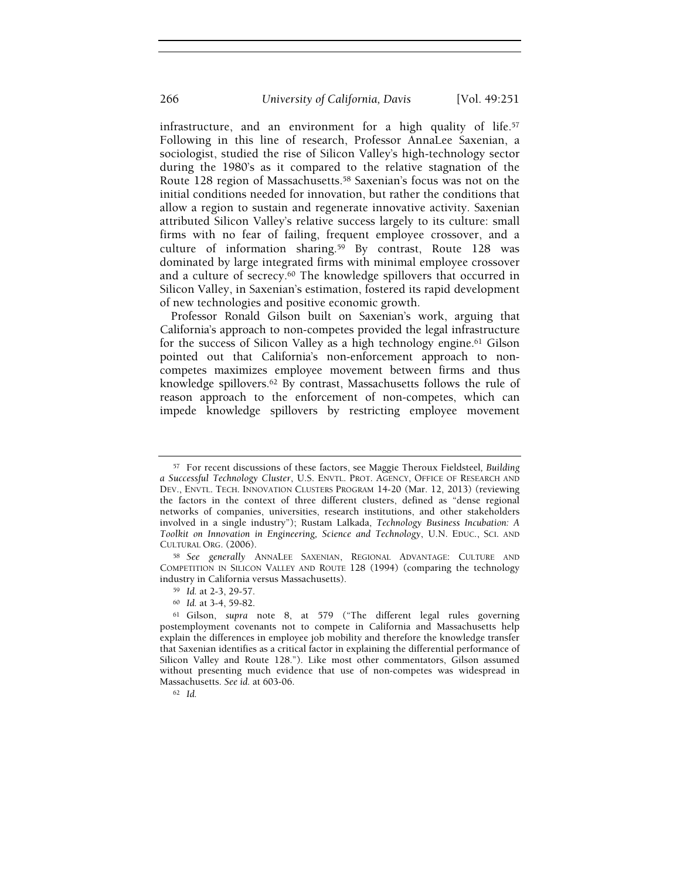infrastructure, and an environment for a high quality of life.<sup>57</sup> Following in this line of research, Professor AnnaLee Saxenian, a sociologist, studied the rise of Silicon Valley's high-technology sector during the 1980's as it compared to the relative stagnation of the Route 128 region of Massachusetts.58 Saxenian's focus was not on the initial conditions needed for innovation, but rather the conditions that allow a region to sustain and regenerate innovative activity. Saxenian attributed Silicon Valley's relative success largely to its culture: small firms with no fear of failing, frequent employee crossover, and a culture of information sharing.59 By contrast, Route 128 was dominated by large integrated firms with minimal employee crossover and a culture of secrecy.60 The knowledge spillovers that occurred in Silicon Valley, in Saxenian's estimation, fostered its rapid development of new technologies and positive economic growth.

Professor Ronald Gilson built on Saxenian's work, arguing that California's approach to non-competes provided the legal infrastructure for the success of Silicon Valley as a high technology engine.61 Gilson pointed out that California's non-enforcement approach to noncompetes maximizes employee movement between firms and thus knowledge spillovers.62 By contrast, Massachusetts follows the rule of reason approach to the enforcement of non-competes, which can impede knowledge spillovers by restricting employee movement

<sup>60</sup> Id. at 3-4, 59-82.

<sup>57</sup> For recent discussions of these factors, see Maggie Theroux Fieldsteel, Building a Successful Technology Cluster, U.S. ENVTL. PROT. AGENCY, OFFICE OF RESEARCH AND DEV., ENVTL. TECH. INNOVATION CLUSTERS PROGRAM 14-20 (Mar. 12, 2013) (reviewing the factors in the context of three different clusters, defined as "dense regional networks of companies, universities, research institutions, and other stakeholders involved in a single industry"); Rustam Lalkada, Technology Business Incubation: A Toolkit on Innovation in Engineering, Science and Technology, U.N. EDUC., SCI. AND CULTURAL ORG. (2006).

<sup>58</sup> See generally ANNALEE SAXENIAN, REGIONAL ADVANTAGE: CULTURE AND COMPETITION IN SILICON VALLEY AND ROUTE 128 (1994) (comparing the technology industry in California versus Massachusetts).

<sup>59</sup> Id. at 2-3, 29-57.

<sup>61</sup> Gilson, supra note 8, at 579 ("The different legal rules governing postemployment covenants not to compete in California and Massachusetts help explain the differences in employee job mobility and therefore the knowledge transfer that Saxenian identifies as a critical factor in explaining the differential performance of Silicon Valley and Route 128."). Like most other commentators, Gilson assumed without presenting much evidence that use of non-competes was widespread in Massachusetts. See id. at 603-06.

<sup>62</sup> Id.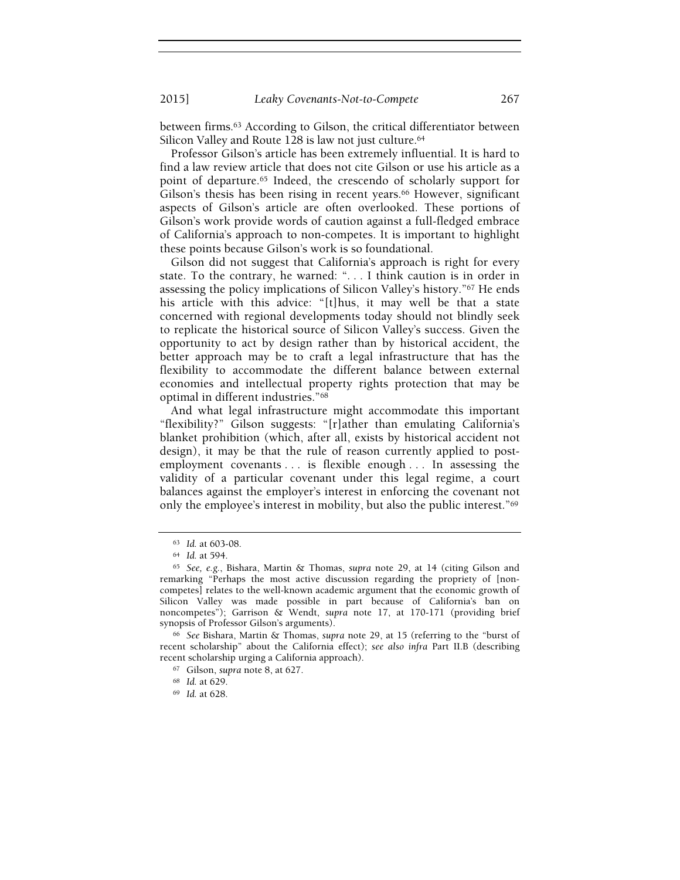between firms.63 According to Gilson, the critical differentiator between Silicon Valley and Route 128 is law not just culture.<sup>64</sup>

Professor Gilson's article has been extremely influential. It is hard to find a law review article that does not cite Gilson or use his article as a point of departure.65 Indeed, the crescendo of scholarly support for Gilson's thesis has been rising in recent years.<sup>66</sup> However, significant aspects of Gilson's article are often overlooked. These portions of Gilson's work provide words of caution against a full-fledged embrace of California's approach to non-competes. It is important to highlight these points because Gilson's work is so foundational.

Gilson did not suggest that California's approach is right for every state. To the contrary, he warned: ". . . I think caution is in order in assessing the policy implications of Silicon Valley's history."67 He ends his article with this advice: "[t]hus, it may well be that a state concerned with regional developments today should not blindly seek to replicate the historical source of Silicon Valley's success. Given the opportunity to act by design rather than by historical accident, the better approach may be to craft a legal infrastructure that has the flexibility to accommodate the different balance between external economies and intellectual property rights protection that may be optimal in different industries."<sup>68</sup>

And what legal infrastructure might accommodate this important "flexibility?" Gilson suggests: "[r]ather than emulating California's blanket prohibition (which, after all, exists by historical accident not design), it may be that the rule of reason currently applied to postemployment covenants . . . is flexible enough . . . In assessing the validity of a particular covenant under this legal regime, a court balances against the employer's interest in enforcing the covenant not only the employee's interest in mobility, but also the public interest."<sup>69</sup>

<sup>69</sup> Id. at 628.

<sup>63</sup> Id. at 603-08.

<sup>64</sup> Id. at 594.

<sup>65</sup> See, e.g., Bishara, Martin & Thomas, supra note 29, at 14 (citing Gilson and remarking "Perhaps the most active discussion regarding the propriety of [noncompetes] relates to the well-known academic argument that the economic growth of Silicon Valley was made possible in part because of California's ban on noncompetes"); Garrison & Wendt, supra note 17, at 170-171 (providing brief synopsis of Professor Gilson's arguments).

<sup>66</sup> See Bishara, Martin & Thomas, supra note 29, at 15 (referring to the "burst of recent scholarship" about the California effect); see also infra Part II.B (describing recent scholarship urging a California approach).

<sup>67</sup> Gilson, supra note 8, at 627.

<sup>68</sup> Id. at 629.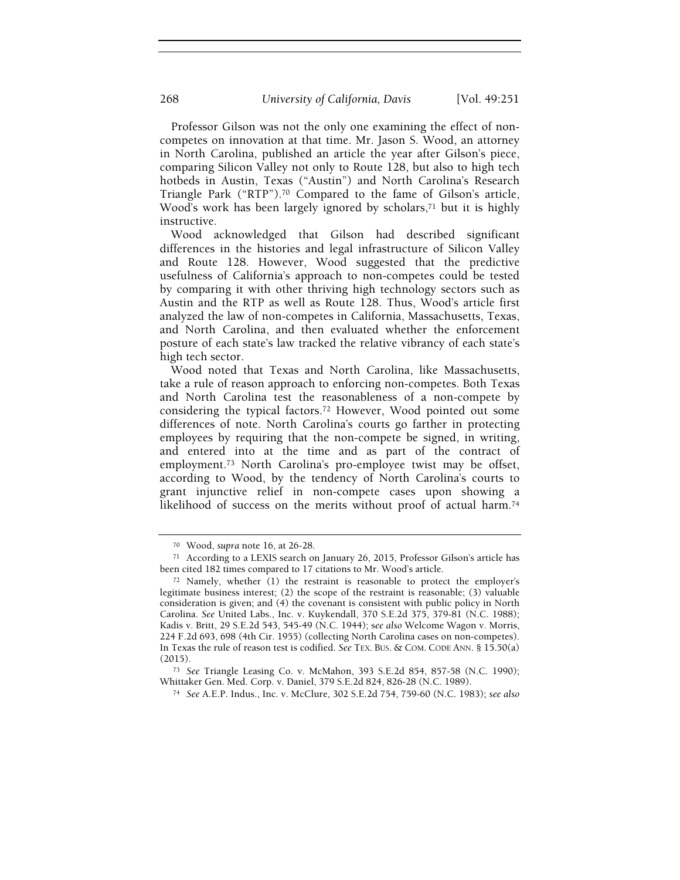Professor Gilson was not the only one examining the effect of noncompetes on innovation at that time. Mr. Jason S. Wood, an attorney in North Carolina, published an article the year after Gilson's piece, comparing Silicon Valley not only to Route 128, but also to high tech hotbeds in Austin, Texas ("Austin") and North Carolina's Research Triangle Park ("RTP").70 Compared to the fame of Gilson's article, Wood's work has been largely ignored by scholars,<sup>71</sup> but it is highly instructive.

Wood acknowledged that Gilson had described significant differences in the histories and legal infrastructure of Silicon Valley and Route 128. However, Wood suggested that the predictive usefulness of California's approach to non-competes could be tested by comparing it with other thriving high technology sectors such as Austin and the RTP as well as Route 128. Thus, Wood's article first analyzed the law of non-competes in California, Massachusetts, Texas, and North Carolina, and then evaluated whether the enforcement posture of each state's law tracked the relative vibrancy of each state's high tech sector.

Wood noted that Texas and North Carolina, like Massachusetts, take a rule of reason approach to enforcing non-competes. Both Texas and North Carolina test the reasonableness of a non-compete by considering the typical factors.72 However, Wood pointed out some differences of note. North Carolina's courts go farther in protecting employees by requiring that the non-compete be signed, in writing, and entered into at the time and as part of the contract of employment.73 North Carolina's pro-employee twist may be offset, according to Wood, by the tendency of North Carolina's courts to grant injunctive relief in non-compete cases upon showing a likelihood of success on the merits without proof of actual harm.<sup>74</sup>

<sup>70</sup> Wood, supra note 16, at 26-28.

<sup>71</sup> According to a LEXIS search on January 26, 2015, Professor Gilson's article has been cited 182 times compared to 17 citations to Mr. Wood's article.

<sup>72</sup> Namely, whether (1) the restraint is reasonable to protect the employer's legitimate business interest; (2) the scope of the restraint is reasonable; (3) valuable consideration is given; and (4) the covenant is consistent with public policy in North Carolina. See United Labs., Inc. v. Kuykendall, 370 S.E.2d 375, 379-81 (N.C. 1988); Kadis v. Britt, 29 S.E.2d 543, 545-49 (N.C. 1944); see also Welcome Wagon v. Morris, 224 F.2d 693, 698 (4th Cir. 1955) (collecting North Carolina cases on non-competes). In Texas the rule of reason test is codified. See TEX. BUS. & COM. CODE ANN. § 15.50(a) (2015).

<sup>73</sup> See Triangle Leasing Co. v. McMahon, 393 S.E.2d 854, 857-58 (N.C. 1990); Whittaker Gen. Med. Corp. v. Daniel, 379 S.E.2d 824, 826-28 (N.C. 1989).

<sup>74</sup> See A.E.P. Indus., Inc. v. McClure, 302 S.E.2d 754, 759-60 (N.C. 1983); see also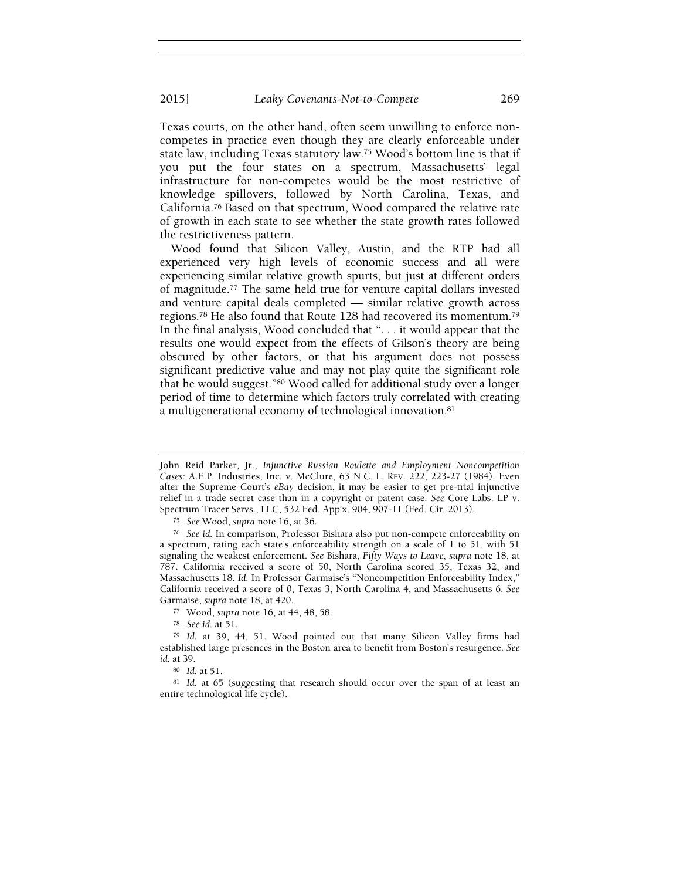Texas courts, on the other hand, often seem unwilling to enforce noncompetes in practice even though they are clearly enforceable under state law, including Texas statutory law.75 Wood's bottom line is that if you put the four states on a spectrum, Massachusetts' legal infrastructure for non-competes would be the most restrictive of knowledge spillovers, followed by North Carolina, Texas, and California.76 Based on that spectrum, Wood compared the relative rate of growth in each state to see whether the state growth rates followed the restrictiveness pattern.

Wood found that Silicon Valley, Austin, and the RTP had all experienced very high levels of economic success and all were experiencing similar relative growth spurts, but just at different orders of magnitude.77 The same held true for venture capital dollars invested and venture capital deals completed — similar relative growth across regions.78 He also found that Route 128 had recovered its momentum.<sup>79</sup> In the final analysis, Wood concluded that ". . . it would appear that the results one would expect from the effects of Gilson's theory are being obscured by other factors, or that his argument does not possess significant predictive value and may not play quite the significant role that he would suggest."80 Wood called for additional study over a longer period of time to determine which factors truly correlated with creating a multigenerational economy of technological innovation.<sup>81</sup>

John Reid Parker, Jr., Injunctive Russian Roulette and Employment Noncompetition Cases: A.E.P. Industries, Inc. v. McClure, 63 N.C. L. REV. 222, 223-27 (1984). Even after the Supreme Court's eBay decision, it may be easier to get pre-trial injunctive relief in a trade secret case than in a copyright or patent case. See Core Labs. LP v. Spectrum Tracer Servs., LLC, 532 Fed. App'x. 904, 907-11 (Fed. Cir. 2013).

<sup>75</sup> See Wood, supra note 16, at 36.

<sup>76</sup> See id. In comparison, Professor Bishara also put non-compete enforceability on a spectrum, rating each state's enforceability strength on a scale of 1 to 51, with 51 signaling the weakest enforcement. See Bishara, Fifty Ways to Leave, supra note 18, at 787. California received a score of 50, North Carolina scored 35, Texas 32, and Massachusetts 18. Id. In Professor Garmaise's "Noncompetition Enforceability Index," California received a score of 0, Texas 3, North Carolina 4, and Massachusetts 6. See Garmaise, supra note 18, at 420.

<sup>77</sup> Wood, supra note 16, at 44, 48, 58.

<sup>78</sup> See id. at 51.

<sup>79</sup> Id. at 39, 44, 51. Wood pointed out that many Silicon Valley firms had established large presences in the Boston area to benefit from Boston's resurgence. See id. at 39.

<sup>80</sup> Id. at 51.

<sup>81</sup> Id. at 65 (suggesting that research should occur over the span of at least an entire technological life cycle).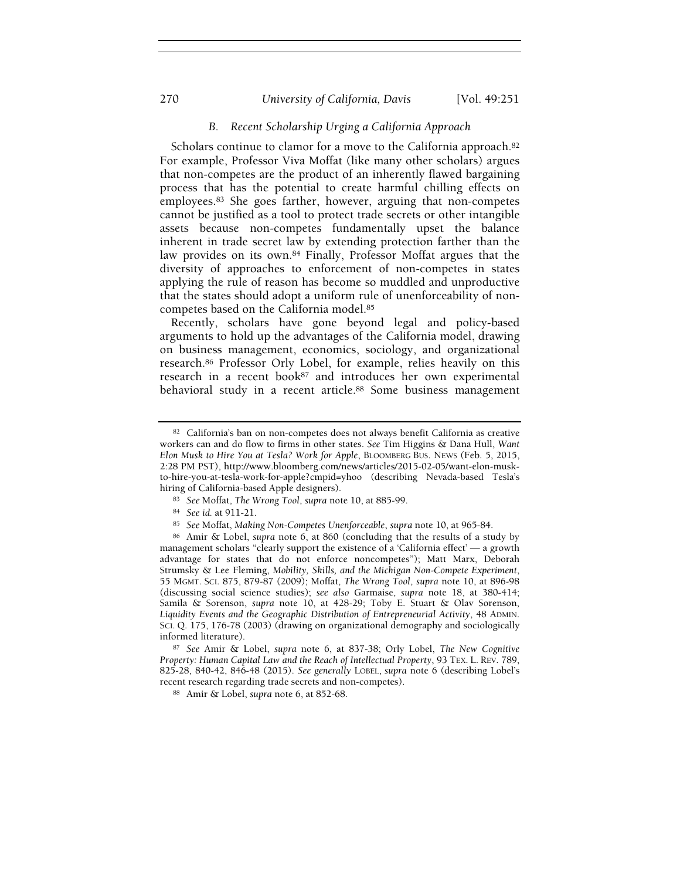### 270 *University of California, Davis* [Vol. 49:251]

#### B. Recent Scholarship Urging a California Approach

Scholars continue to clamor for a move to the California approach.<sup>82</sup> For example, Professor Viva Moffat (like many other scholars) argues that non-competes are the product of an inherently flawed bargaining process that has the potential to create harmful chilling effects on employees.83 She goes farther, however, arguing that non-competes cannot be justified as a tool to protect trade secrets or other intangible assets because non-competes fundamentally upset the balance inherent in trade secret law by extending protection farther than the law provides on its own.84 Finally, Professor Moffat argues that the diversity of approaches to enforcement of non-competes in states applying the rule of reason has become so muddled and unproductive that the states should adopt a uniform rule of unenforceability of noncompetes based on the California model.<sup>85</sup>

Recently, scholars have gone beyond legal and policy-based arguments to hold up the advantages of the California model, drawing on business management, economics, sociology, and organizational research.86 Professor Orly Lobel, for example, relies heavily on this research in a recent book<sup>87</sup> and introduces her own experimental behavioral study in a recent article.<sup>88</sup> Some business management

<sup>82</sup> California's ban on non-competes does not always benefit California as creative workers can and do flow to firms in other states. See Tim Higgins & Dana Hull, Want Elon Musk to Hire You at Tesla? Work for Apple, BLOOMBERG BUS. NEWS (Feb. 5, 2015, 2:28 PM PST), http://www.bloomberg.com/news/articles/2015-02-05/want-elon-muskto-hire-you-at-tesla-work-for-apple?cmpid=yhoo (describing Nevada-based Tesla's hiring of California-based Apple designers).

<sup>83</sup> See Moffat, The Wrong Tool, supra note 10, at 885-99.

<sup>84</sup> See id. at 911-21.

<sup>85</sup> See Moffat, Making Non-Competes Unenforceable, supra note 10, at 965-84.

<sup>86</sup> Amir & Lobel, supra note 6, at 860 (concluding that the results of a study by management scholars "clearly support the existence of a 'California effect' — a growth advantage for states that do not enforce noncompetes"); Matt Marx, Deborah Strumsky & Lee Fleming, Mobility, Skills, and the Michigan Non-Compete Experiment, 55 MGMT. SCI. 875, 879-87 (2009); Moffat, The Wrong Tool, supra note 10, at 896-98 (discussing social science studies); see also Garmaise, supra note 18, at 380-414; Samila & Sorenson, supra note 10, at 428-29; Toby E. Stuart & Olav Sorenson, Liquidity Events and the Geographic Distribution of Entrepreneurial Activity, 48 ADMIN. SCI. Q. 175, 176-78 (2003) (drawing on organizational demography and sociologically informed literature).

<sup>87</sup> See Amir & Lobel, supra note 6, at 837-38; Orly Lobel, The New Cognitive Property: Human Capital Law and the Reach of Intellectual Property, 93 TEX. L. REV. 789, 825-28, 840-42, 846-48 (2015). See generally LOBEL, supra note 6 (describing Lobel's recent research regarding trade secrets and non-competes).

<sup>88</sup> Amir & Lobel, supra note 6, at 852-68.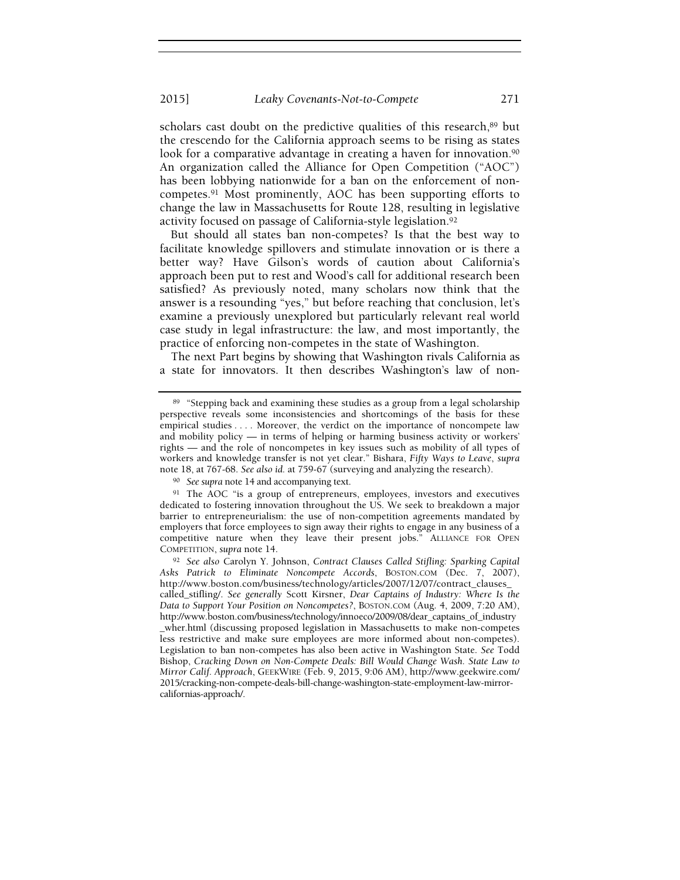scholars cast doubt on the predictive qualities of this research,<sup>89</sup> but the crescendo for the California approach seems to be rising as states look for a comparative advantage in creating a haven for innovation.<sup>90</sup> An organization called the Alliance for Open Competition ("AOC") has been lobbying nationwide for a ban on the enforcement of noncompetes.91 Most prominently, AOC has been supporting efforts to change the law in Massachusetts for Route 128, resulting in legislative activity focused on passage of California-style legislation.<sup>92</sup>

But should all states ban non-competes? Is that the best way to facilitate knowledge spillovers and stimulate innovation or is there a better way? Have Gilson's words of caution about California's approach been put to rest and Wood's call for additional research been satisfied? As previously noted, many scholars now think that the answer is a resounding "yes," but before reaching that conclusion, let's examine a previously unexplored but particularly relevant real world case study in legal infrastructure: the law, and most importantly, the practice of enforcing non-competes in the state of Washington.

The next Part begins by showing that Washington rivals California as a state for innovators. It then describes Washington's law of non-

<sup>&</sup>lt;sup>89</sup> "Stepping back and examining these studies as a group from a legal scholarship perspective reveals some inconsistencies and shortcomings of the basis for these empirical studies . . . . Moreover, the verdict on the importance of noncompete law and mobility policy — in terms of helping or harming business activity or workers' rights — and the role of noncompetes in key issues such as mobility of all types of workers and knowledge transfer is not yet clear." Bishara, Fifty Ways to Leave, supra note 18, at 767-68. See also id. at 759-67 (surveying and analyzing the research).

<sup>90</sup> See supra note 14 and accompanying text.

<sup>91</sup> The AOC "is a group of entrepreneurs, employees, investors and executives dedicated to fostering innovation throughout the US. We seek to breakdown a major barrier to entrepreneurialism: the use of non-competition agreements mandated by employers that force employees to sign away their rights to engage in any business of a competitive nature when they leave their present jobs." ALLIANCE FOR OPEN COMPETITION, supra note 14.

<sup>92</sup> See also Carolyn Y. Johnson, Contract Clauses Called Stifling: Sparking Capital Asks Patrick to Eliminate Noncompete Accords, BOSTON.COM (Dec. 7, 2007), http://www.boston.com/business/technology/articles/2007/12/07/contract\_clauses\_ called\_stifling/. See generally Scott Kirsner, Dear Captains of Industry: Where Is the Data to Support Your Position on Noncompetes?, BOSTON.COM (Aug. 4, 2009, 7:20 AM), http://www.boston.com/business/technology/innoeco/2009/08/dear\_captains\_of\_industry \_wher.html (discussing proposed legislation in Massachusetts to make non-competes less restrictive and make sure employees are more informed about non-competes). Legislation to ban non-competes has also been active in Washington State. See Todd Bishop, Cracking Down on Non-Compete Deals: Bill Would Change Wash. State Law to Mirror Calif. Approach, GEEKWIRE (Feb. 9, 2015, 9:06 AM), http://www.geekwire.com/ 2015/cracking-non-compete-deals-bill-change-washington-state-employment-law-mirrorcalifornias-approach/.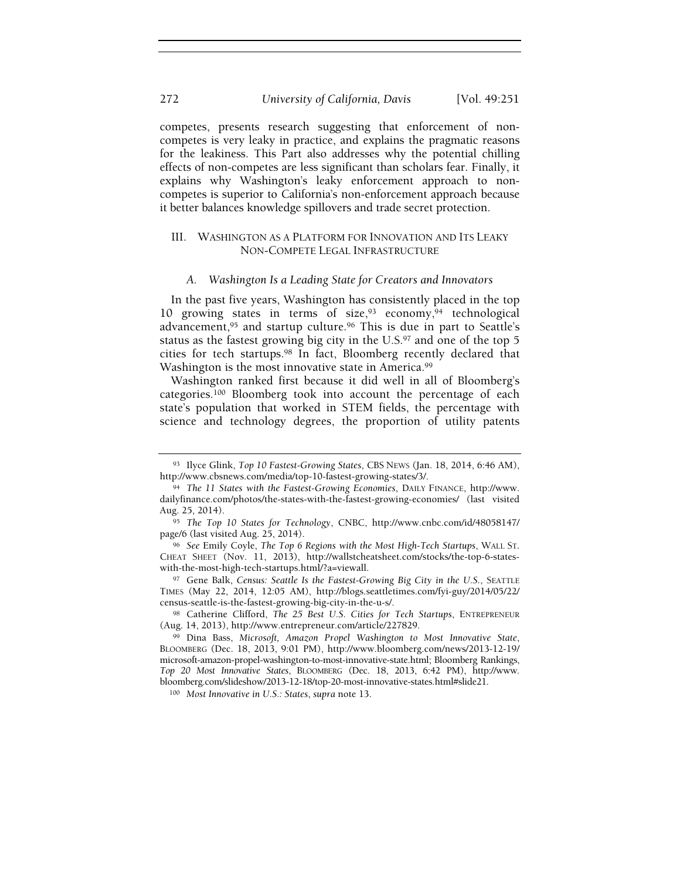competes, presents research suggesting that enforcement of noncompetes is very leaky in practice, and explains the pragmatic reasons for the leakiness. This Part also addresses why the potential chilling effects of non-competes are less significant than scholars fear. Finally, it explains why Washington's leaky enforcement approach to noncompetes is superior to California's non-enforcement approach because it better balances knowledge spillovers and trade secret protection.

#### III. WASHINGTON AS A PLATFORM FOR INNOVATION AND ITS LEAKY NON-COMPETE LEGAL INFRASTRUCTURE

#### A. Washington Is a Leading State for Creators and Innovators

In the past five years, Washington has consistently placed in the top 10 growing states in terms of size,  $93$  economy,  $94$  technological advancement,95 and startup culture.96 This is due in part to Seattle's status as the fastest growing big city in the  $U.S.^{97}$  and one of the top 5 cities for tech startups.98 In fact, Bloomberg recently declared that Washington is the most innovative state in America.<sup>99</sup>

Washington ranked first because it did well in all of Bloomberg's categories.100 Bloomberg took into account the percentage of each state's population that worked in STEM fields, the percentage with science and technology degrees, the proportion of utility patents

98 Catherine Clifford, The 25 Best U.S. Cities for Tech Startups, ENTREPRENEUR (Aug. 14, 2013), http://www.entrepreneur.com/article/227829.

<sup>93</sup> Ilyce Glink, Top 10 Fastest-Growing States, CBS NEWS (Jan. 18, 2014, 6:46 AM), http://www.cbsnews.com/media/top-10-fastest-growing-states/3/.

<sup>94</sup> The 11 States with the Fastest-Growing Economies, DAILY FINANCE, http://www. dailyfinance.com/photos/the-states-with-the-fastest-growing-economies/ (last visited Aug. 25, 2014).

<sup>95</sup> The Top 10 States for Technology, CNBC, http://www.cnbc.com/id/48058147/ page/6 (last visited Aug. 25, 2014).

<sup>96</sup> See Emily Coyle, The Top 6 Regions with the Most High-Tech Startups, WALL ST. CHEAT SHEET (Nov. 11, 2013), http://wallstcheatsheet.com/stocks/the-top-6-stateswith-the-most-high-tech-startups.html/?a=viewall.

<sup>97</sup> Gene Balk, Census: Seattle Is the Fastest-Growing Big City in the U.S., SEATTLE TIMES (May 22, 2014, 12:05 AM), http://blogs.seattletimes.com/fyi-guy/2014/05/22/ census-seattle-is-the-fastest-growing-big-city-in-the-u-s/.

<sup>99</sup> Dina Bass, Microsoft, Amazon Propel Washington to Most Innovative State, BLOOMBERG (Dec. 18, 2013, 9:01 PM), http://www.bloomberg.com/news/2013-12-19/ microsoft-amazon-propel-washington-to-most-innovative-state.html; Bloomberg Rankings, Top 20 Most Innovative States, BLOOMBERG (Dec. 18, 2013, 6:42 PM), http://www. bloomberg.com/slideshow/2013-12-18/top-20-most-innovative-states.html#slide21.

<sup>100</sup> Most Innovative in U.S.: States, supra note 13.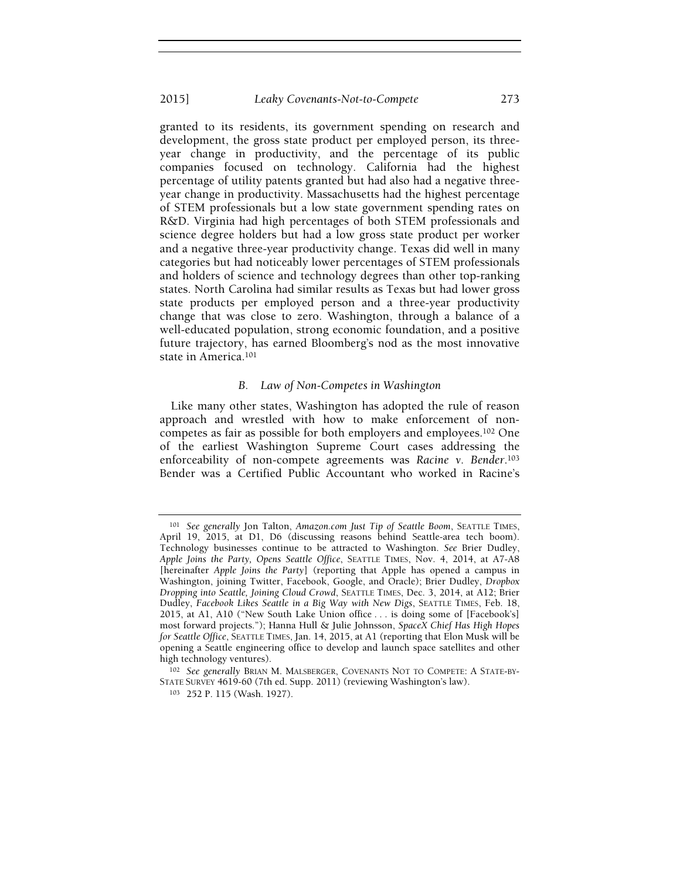#### 2015] Leaky Covenants-Not-to-Compete 273

granted to its residents, its government spending on research and development, the gross state product per employed person, its threeyear change in productivity, and the percentage of its public companies focused on technology. California had the highest percentage of utility patents granted but had also had a negative threeyear change in productivity. Massachusetts had the highest percentage of STEM professionals but a low state government spending rates on R&D. Virginia had high percentages of both STEM professionals and science degree holders but had a low gross state product per worker and a negative three-year productivity change. Texas did well in many categories but had noticeably lower percentages of STEM professionals and holders of science and technology degrees than other top-ranking states. North Carolina had similar results as Texas but had lower gross state products per employed person and a three-year productivity change that was close to zero. Washington, through a balance of a well-educated population, strong economic foundation, and a positive future trajectory, has earned Bloomberg's nod as the most innovative state in America.<sup>101</sup>

#### B. Law of Non-Competes in Washington

Like many other states, Washington has adopted the rule of reason approach and wrestled with how to make enforcement of noncompetes as fair as possible for both employers and employees.102 One of the earliest Washington Supreme Court cases addressing the enforceability of non-compete agreements was Racine v. Bender.<sup>103</sup> Bender was a Certified Public Accountant who worked in Racine's

<sup>101</sup> See generally Jon Talton, Amazon.com Just Tip of Seattle Boom, SEATTLE TIMES, April 19, 2015, at D1, D6 (discussing reasons behind Seattle-area tech boom). Technology businesses continue to be attracted to Washington. See Brier Dudley, Apple Joins the Party, Opens Seattle Office, SEATTLE TIMES, Nov. 4, 2014, at A7-A8 [hereinafter Apple Joins the Party] (reporting that Apple has opened a campus in Washington, joining Twitter, Facebook, Google, and Oracle); Brier Dudley, Dropbox Dropping into Seattle, Joining Cloud Crowd, SEATTLE TIMES, Dec. 3, 2014, at A12; Brier Dudley, Facebook Likes Seattle in a Big Way with New Digs, SEATTLE TIMES, Feb. 18, 2015, at A1, A10 ("New South Lake Union office . . . is doing some of [Facebook's] most forward projects."); Hanna Hull & Julie Johnsson, SpaceX Chief Has High Hopes for Seattle Office, SEATTLE TIMES, Jan. 14, 2015, at A1 (reporting that Elon Musk will be opening a Seattle engineering office to develop and launch space satellites and other high technology ventures).

<sup>102</sup> See generally BRIAN M. MALSBERGER, COVENANTS NOT TO COMPETE: A STATE-BY-STATE SURVEY 4619-60 (7th ed. Supp. 2011) (reviewing Washington's law).

<sup>103</sup> 252 P. 115 (Wash. 1927).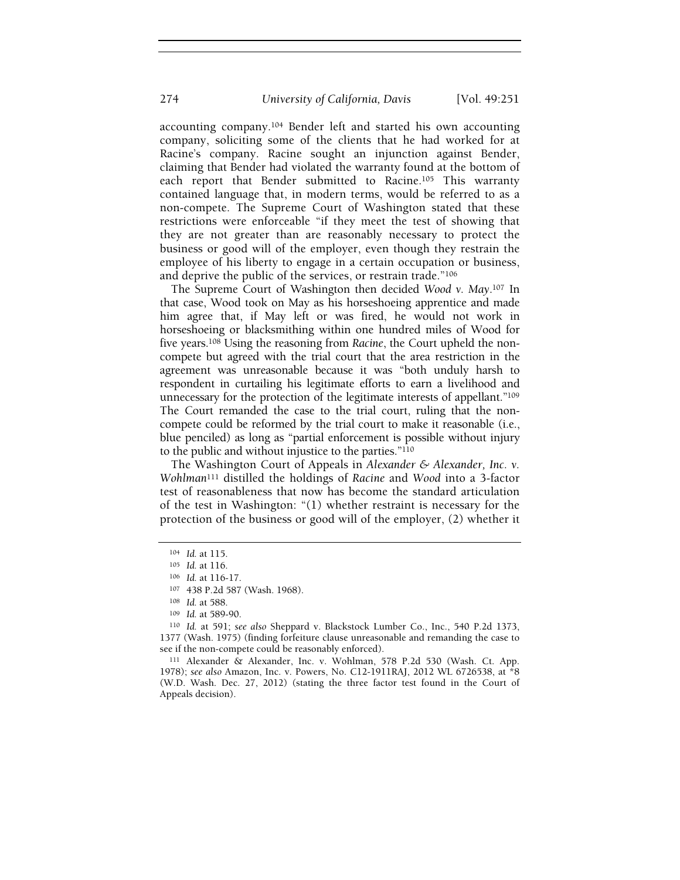accounting company.104 Bender left and started his own accounting company, soliciting some of the clients that he had worked for at Racine's company. Racine sought an injunction against Bender, claiming that Bender had violated the warranty found at the bottom of each report that Bender submitted to Racine.105 This warranty contained language that, in modern terms, would be referred to as a non-compete. The Supreme Court of Washington stated that these restrictions were enforceable "if they meet the test of showing that they are not greater than are reasonably necessary to protect the business or good will of the employer, even though they restrain the employee of his liberty to engage in a certain occupation or business, and deprive the public of the services, or restrain trade."<sup>106</sup>

The Supreme Court of Washington then decided Wood v. May.107 In that case, Wood took on May as his horseshoeing apprentice and made him agree that, if May left or was fired, he would not work in horseshoeing or blacksmithing within one hundred miles of Wood for five years.<sup>108</sup> Using the reasoning from Racine, the Court upheld the noncompete but agreed with the trial court that the area restriction in the agreement was unreasonable because it was "both unduly harsh to respondent in curtailing his legitimate efforts to earn a livelihood and unnecessary for the protection of the legitimate interests of appellant."<sup>109</sup> The Court remanded the case to the trial court, ruling that the noncompete could be reformed by the trial court to make it reasonable (i.e., blue penciled) as long as "partial enforcement is possible without injury to the public and without injustice to the parties."<sup>110</sup>

The Washington Court of Appeals in Alexander & Alexander, Inc. v. Wohlman111 distilled the holdings of Racine and Wood into a 3-factor test of reasonableness that now has become the standard articulation of the test in Washington: "(1) whether restraint is necessary for the protection of the business or good will of the employer, (2) whether it

<sup>111</sup> Alexander & Alexander, Inc. v. Wohlman, 578 P.2d 530 (Wash. Ct. App. 1978); see also Amazon, Inc. v. Powers, No. C12-1911RAJ, 2012 WL 6726538, at \*8 (W.D. Wash. Dec. 27, 2012) (stating the three factor test found in the Court of Appeals decision).

<sup>104</sup> Id. at 115.

<sup>105</sup> Id. at 116.

<sup>106</sup> Id. at 116-17.

<sup>107</sup> 438 P.2d 587 (Wash. 1968).

<sup>108</sup> Id. at 588.

<sup>109</sup> Id. at 589-90.

<sup>110</sup> Id. at 591; see also Sheppard v. Blackstock Lumber Co., Inc., 540 P.2d 1373, 1377 (Wash. 1975) (finding forfeiture clause unreasonable and remanding the case to see if the non-compete could be reasonably enforced).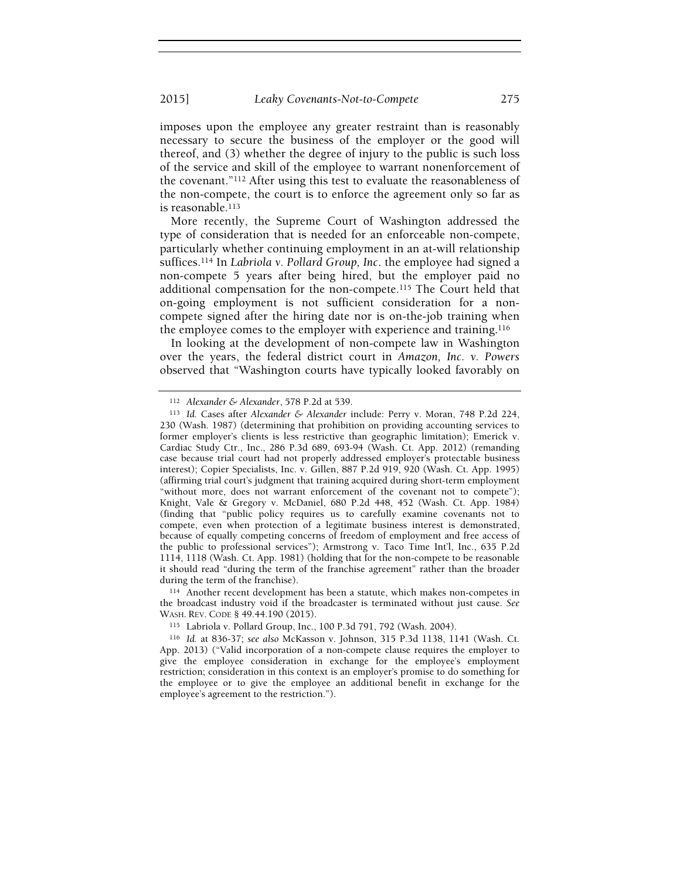imposes upon the employee any greater restraint than is reasonably necessary to secure the business of the employer or the good will thereof, and (3) whether the degree of injury to the public is such loss of the service and skill of the employee to warrant nonenforcement of the covenant."112 After using this test to evaluate the reasonableness of the non-compete, the court is to enforce the agreement only so far as is reasonable.<sup>113</sup>

More recently, the Supreme Court of Washington addressed the type of consideration that is needed for an enforceable non-compete, particularly whether continuing employment in an at-will relationship suffices.114 In Labriola v. Pollard Group, Inc. the employee had signed a non-compete 5 years after being hired, but the employer paid no additional compensation for the non-compete.115 The Court held that on-going employment is not sufficient consideration for a noncompete signed after the hiring date nor is on-the-job training when the employee comes to the employer with experience and training.<sup>116</sup>

In looking at the development of non-compete law in Washington over the years, the federal district court in Amazon, Inc. v. Powers observed that "Washington courts have typically looked favorably on

<sup>114</sup> Another recent development has been a statute, which makes non-competes in the broadcast industry void if the broadcaster is terminated without just cause. See WASH. REV. CODE § 49.44.190 (2015).

<sup>112</sup> Alexander & Alexander, 578 P.2d at 539.

<sup>113</sup> Id. Cases after Alexander & Alexander include: Perry v. Moran, 748 P.2d 224, 230 (Wash. 1987) (determining that prohibition on providing accounting services to former employer's clients is less restrictive than geographic limitation); Emerick v. Cardiac Study Ctr., Inc., 286 P.3d 689, 693-94 (Wash. Ct. App. 2012) (remanding case because trial court had not properly addressed employer's protectable business interest); Copier Specialists, Inc. v. Gillen, 887 P.2d 919, 920 (Wash. Ct. App. 1995) (affirming trial court's judgment that training acquired during short-term employment "without more, does not warrant enforcement of the covenant not to compete"); Knight, Vale & Gregory v. McDaniel, 680 P.2d 448, 452 (Wash. Ct. App. 1984) (finding that "public policy requires us to carefully examine covenants not to compete, even when protection of a legitimate business interest is demonstrated, because of equally competing concerns of freedom of employment and free access of the public to professional services"); Armstrong v. Taco Time Int'l, Inc., 635 P.2d 1114, 1118 (Wash. Ct. App. 1981) (holding that for the non-compete to be reasonable it should read "during the term of the franchise agreement" rather than the broader during the term of the franchise).

<sup>115</sup> Labriola v. Pollard Group, Inc., 100 P.3d 791, 792 (Wash. 2004).

<sup>116</sup> Id. at 836-37; see also McKasson v. Johnson, 315 P.3d 1138, 1141 (Wash. Ct. App. 2013) ("Valid incorporation of a non-compete clause requires the employer to give the employee consideration in exchange for the employee's employment restriction; consideration in this context is an employer's promise to do something for the employee or to give the employee an additional benefit in exchange for the employee's agreement to the restriction.").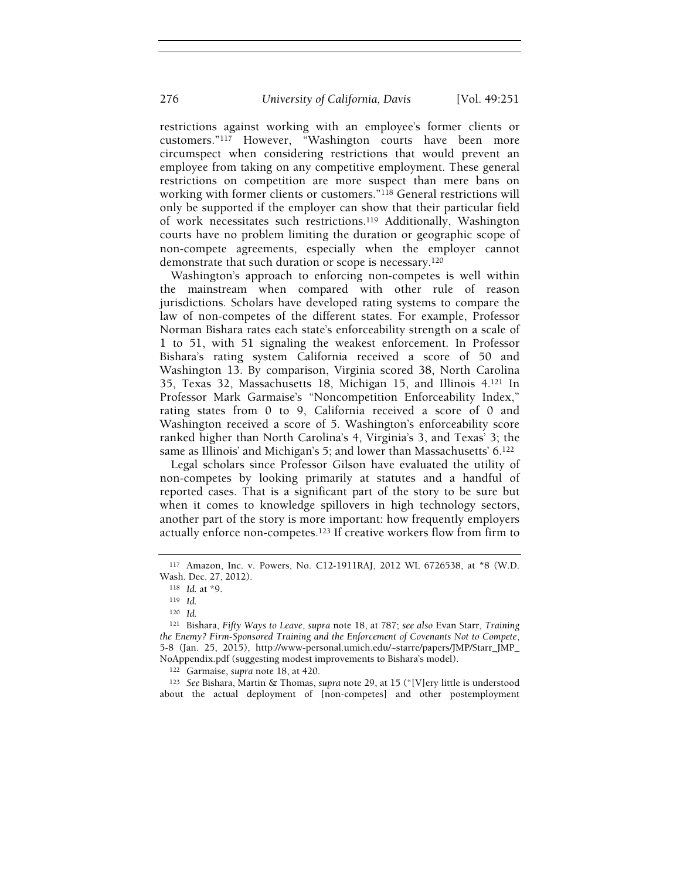restrictions against working with an employee's former clients or customers."117 However, "Washington courts have been more circumspect when considering restrictions that would prevent an employee from taking on any competitive employment. These general restrictions on competition are more suspect than mere bans on working with former clients or customers."118 General restrictions will only be supported if the employer can show that their particular field of work necessitates such restrictions.119 Additionally, Washington courts have no problem limiting the duration or geographic scope of non-compete agreements, especially when the employer cannot demonstrate that such duration or scope is necessary.<sup>120</sup>

Washington's approach to enforcing non-competes is well within the mainstream when compared with other rule of reason jurisdictions. Scholars have developed rating systems to compare the law of non-competes of the different states. For example, Professor Norman Bishara rates each state's enforceability strength on a scale of 1 to 51, with 51 signaling the weakest enforcement. In Professor Bishara's rating system California received a score of 50 and Washington 13. By comparison, Virginia scored 38, North Carolina 35, Texas 32, Massachusetts 18, Michigan 15, and Illinois 4.121 In Professor Mark Garmaise's "Noncompetition Enforceability Index," rating states from 0 to 9, California received a score of 0 and Washington received a score of 5. Washington's enforceability score ranked higher than North Carolina's 4, Virginia's 3, and Texas' 3; the same as Illinois' and Michigan's 5; and lower than Massachusetts' 6.<sup>122</sup>

Legal scholars since Professor Gilson have evaluated the utility of non-competes by looking primarily at statutes and a handful of reported cases. That is a significant part of the story to be sure but when it comes to knowledge spillovers in high technology sectors, another part of the story is more important: how frequently employers actually enforce non-competes.123 If creative workers flow from firm to

<sup>123</sup> See Bishara, Martin & Thomas, supra note 29, at 15 ("[V]ery little is understood about the actual deployment of [non-competes] and other postemployment

<sup>117</sup> Amazon, Inc. v. Powers, No. C12-1911RAJ, 2012 WL 6726538, at \*8 (W.D. Wash. Dec. 27, 2012).

<sup>118</sup> Id. at \*9.

<sup>119</sup> Id.

<sup>120</sup> Id.

<sup>121</sup> Bishara, Fifty Ways to Leave, supra note 18, at 787; see also Evan Starr, Training the Enemy? Firm-Sponsored Training and the Enforcement of Covenants Not to Compete, 5-8 (Jan. 25, 2015), http://www-personal.umich.edu/~starre/papers/JMP/Starr\_JMP\_ NoAppendix.pdf (suggesting modest improvements to Bishara's model).

<sup>122</sup> Garmaise, supra note 18, at 420.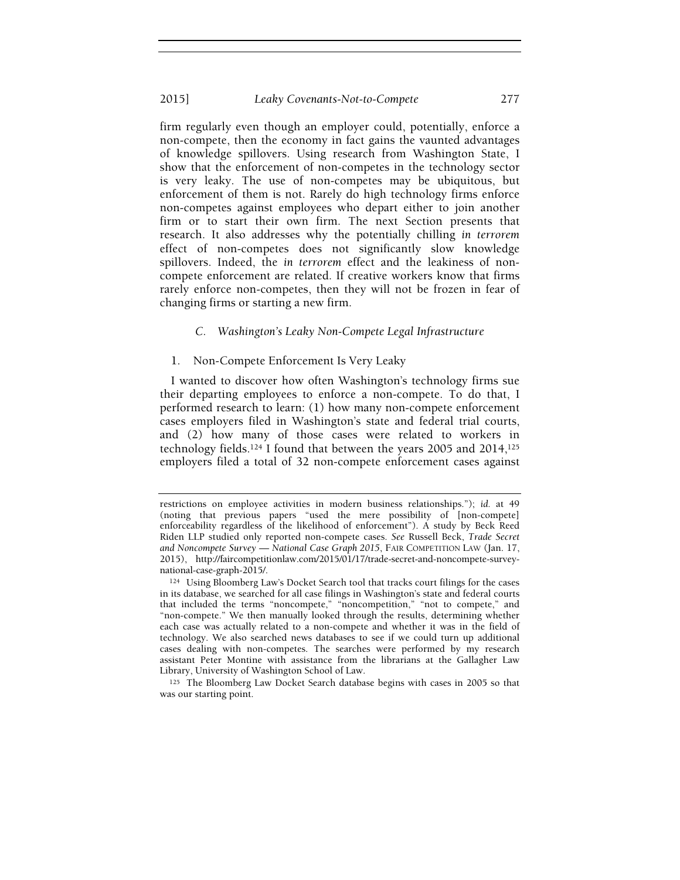#### 2015] Leaky Covenants-Not-to-Compete 277

firm regularly even though an employer could, potentially, enforce a non-compete, then the economy in fact gains the vaunted advantages of knowledge spillovers. Using research from Washington State, I show that the enforcement of non-competes in the technology sector is very leaky. The use of non-competes may be ubiquitous, but enforcement of them is not. Rarely do high technology firms enforce non-competes against employees who depart either to join another firm or to start their own firm. The next Section presents that research. It also addresses why the potentially chilling in terrorem effect of non-competes does not significantly slow knowledge spillovers. Indeed, the in terrorem effect and the leakiness of noncompete enforcement are related. If creative workers know that firms rarely enforce non-competes, then they will not be frozen in fear of changing firms or starting a new firm.

#### C. Washington's Leaky Non-Compete Legal Infrastructure

#### 1. Non-Compete Enforcement Is Very Leaky

I wanted to discover how often Washington's technology firms sue their departing employees to enforce a non-compete. To do that, I performed research to learn: (1) how many non-compete enforcement cases employers filed in Washington's state and federal trial courts, and (2) how many of those cases were related to workers in technology fields.124 I found that between the years 2005 and 2014,<sup>125</sup> employers filed a total of 32 non-compete enforcement cases against

restrictions on employee activities in modern business relationships."); id. at 49 (noting that previous papers "used the mere possibility of [non-compete] enforceability regardless of the likelihood of enforcement"). A study by Beck Reed Riden LLP studied only reported non-compete cases. See Russell Beck, Trade Secret and Noncompete Survey — National Case Graph 2015, FAIR COMPETITION LAW (Jan. 17, 2015), http://faircompetitionlaw.com/2015/01/17/trade-secret-and-noncompete-surveynational-case-graph-2015/.

<sup>124</sup> Using Bloomberg Law's Docket Search tool that tracks court filings for the cases in its database, we searched for all case filings in Washington's state and federal courts that included the terms "noncompete," "noncompetition," "not to compete," and "non-compete." We then manually looked through the results, determining whether each case was actually related to a non-compete and whether it was in the field of technology. We also searched news databases to see if we could turn up additional cases dealing with non-competes. The searches were performed by my research assistant Peter Montine with assistance from the librarians at the Gallagher Law Library, University of Washington School of Law.

<sup>125</sup> The Bloomberg Law Docket Search database begins with cases in 2005 so that was our starting point.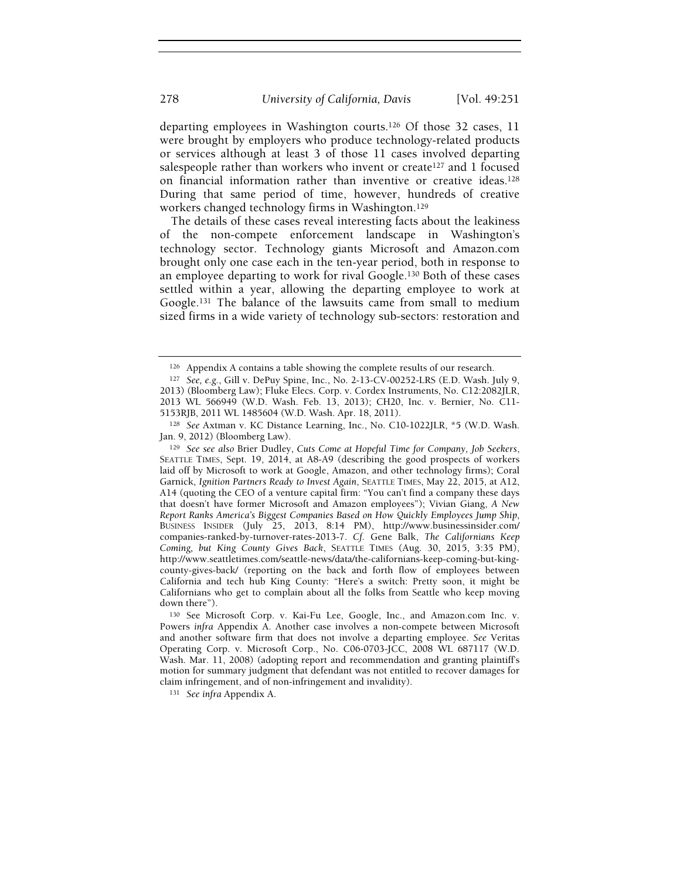departing employees in Washington courts.126 Of those 32 cases, 11 were brought by employers who produce technology-related products or services although at least 3 of those 11 cases involved departing salespeople rather than workers who invent or create<sup>127</sup> and 1 focused on financial information rather than inventive or creative ideas.<sup>128</sup> During that same period of time, however, hundreds of creative workers changed technology firms in Washington.<sup>129</sup>

The details of these cases reveal interesting facts about the leakiness of the non-compete enforcement landscape in Washington's technology sector. Technology giants Microsoft and Amazon.com brought only one case each in the ten-year period, both in response to an employee departing to work for rival Google.130 Both of these cases settled within a year, allowing the departing employee to work at Google.131 The balance of the lawsuits came from small to medium sized firms in a wide variety of technology sub-sectors: restoration and

<sup>126</sup> Appendix A contains a table showing the complete results of our research.

<sup>127</sup> See, e.g., Gill v. DePuy Spine, Inc., No. 2-13-CV-00252-LRS (E.D. Wash. July 9, 2013) (Bloomberg Law); Fluke Elecs. Corp. v. Cordex Instruments, No. C12:2082JLR, 2013 WL 566949 (W.D. Wash. Feb. 13, 2013); CH20, Inc. v. Bernier, No. C11- 5153RJB, 2011 WL 1485604 (W.D. Wash. Apr. 18, 2011).

<sup>128</sup> See Axtman v. KC Distance Learning, Inc., No. C10-1022JLR, \*5 (W.D. Wash. Jan. 9, 2012) (Bloomberg Law).

<sup>129</sup> See see also Brier Dudley, Cuts Come at Hopeful Time for Company, Job Seekers, SEATTLE TIMES, Sept. 19, 2014, at A8-A9 (describing the good prospects of workers laid off by Microsoft to work at Google, Amazon, and other technology firms); Coral Garnick, Ignition Partners Ready to Invest Again, SEATTLE TIMES, May 22, 2015, at A12, A14 (quoting the CEO of a venture capital firm: "You can't find a company these days that doesn't have former Microsoft and Amazon employees"); Vivian Giang, A New Report Ranks America's Biggest Companies Based on How Quickly Employees Jump Ship, BUSINESS INSIDER (July 25, 2013, 8:14 PM), http://www.businessinsider.com/ companies-ranked-by-turnover-rates-2013-7. Cf. Gene Balk, The Californians Keep Coming, but King County Gives Back, SEATTLE TIMES (Aug. 30, 2015, 3:35 PM), http://www.seattletimes.com/seattle-news/data/the-californians-keep-coming-but-kingcounty-gives-back/ (reporting on the back and forth flow of employees between California and tech hub King County: "Here's a switch: Pretty soon, it might be Californians who get to complain about all the folks from Seattle who keep moving down there").

<sup>130</sup> See Microsoft Corp. v. Kai-Fu Lee, Google, Inc., and Amazon.com Inc. v. Powers infra Appendix A. Another case involves a non-compete between Microsoft and another software firm that does not involve a departing employee. See Veritas Operating Corp. v. Microsoft Corp., No. C06-0703-JCC, 2008 WL 687117 (W.D. Wash. Mar. 11, 2008) (adopting report and recommendation and granting plaintiff's motion for summary judgment that defendant was not entitled to recover damages for claim infringement, and of non-infringement and invalidity).

<sup>131</sup> See infra Appendix A.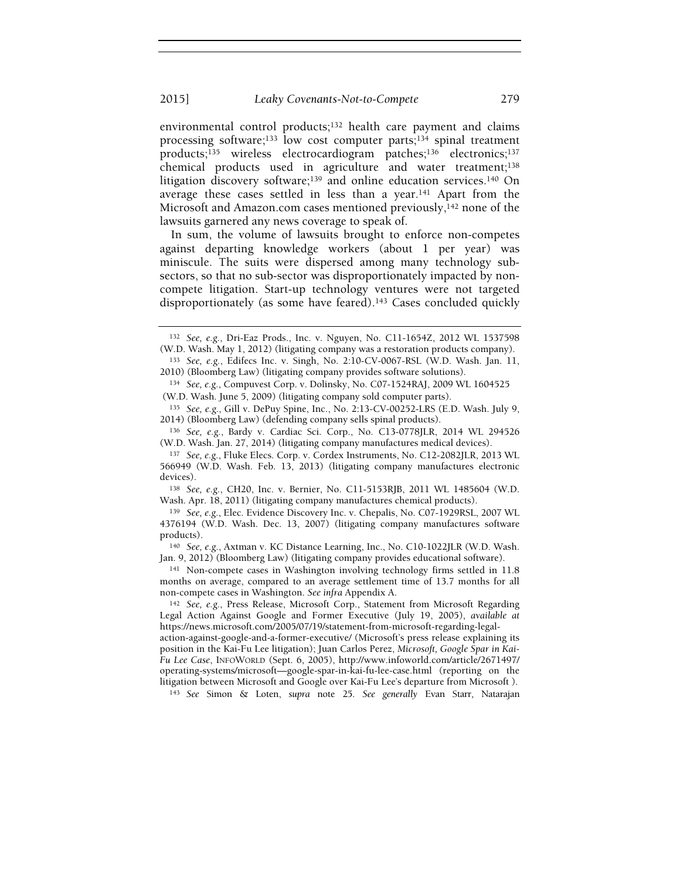environmental control products;132 health care payment and claims processing software;<sup>133</sup> low cost computer parts;<sup>134</sup> spinal treatment products;135 wireless electrocardiogram patches;136 electronics;<sup>137</sup> chemical products used in agriculture and water treatment;<sup>138</sup> litigation discovery software;<sup>139</sup> and online education services.<sup>140</sup> On average these cases settled in less than a year.<sup>141</sup> Apart from the Microsoft and Amazon.com cases mentioned previously, $142$  none of the lawsuits garnered any news coverage to speak of.

In sum, the volume of lawsuits brought to enforce non-competes against departing knowledge workers (about 1 per year) was miniscule. The suits were dispersed among many technology subsectors, so that no sub-sector was disproportionately impacted by noncompete litigation. Start-up technology ventures were not targeted disproportionately (as some have feared).<sup>143</sup> Cases concluded quickly

<sup>138</sup> See, e.g., CH20, Inc. v. Bernier, No. C11-5153RJB, 2011 WL 1485604 (W.D. Wash. Apr. 18, 2011) (litigating company manufactures chemical products).

<sup>141</sup> Non-compete cases in Washington involving technology firms settled in 11.8 months on average, compared to an average settlement time of 13.7 months for all non-compete cases in Washington. See infra Appendix A.

<sup>143</sup> See Simon & Loten, supra note 25. See generally Evan Starr, Natarajan

<sup>132</sup> See, e.g., Dri-Eaz Prods., Inc. v. Nguyen, No. C11-1654Z, 2012 WL 1537598 (W.D. Wash. May 1, 2012) (litigating company was a restoration products company).

<sup>133</sup> See, e.g., Edifecs Inc. v. Singh, No. 2:10-CV-0067-RSL (W.D. Wash. Jan. 11, 2010) (Bloomberg Law) (litigating company provides software solutions).

<sup>134</sup> See, e.g., Compuvest Corp. v. Dolinsky, No. C07-1524RAJ, 2009 WL 1604525 (W.D. Wash. June 5, 2009) (litigating company sold computer parts).

<sup>135</sup> See, e.g., Gill v. DePuy Spine, Inc., No. 2:13-CV-00252-LRS (E.D. Wash. July 9, 2014) (Bloomberg Law) (defending company sells spinal products).

<sup>136</sup> See, e.g., Bardy v. Cardiac Sci. Corp., No. C13-0778JLR, 2014 WL 294526 (W.D. Wash. Jan. 27, 2014) (litigating company manufactures medical devices).

<sup>137</sup> See, e.g., Fluke Elecs. Corp. v. Cordex Instruments, No. C12-2082JLR, 2013 WL 566949 (W.D. Wash. Feb. 13, 2013) (litigating company manufactures electronic devices).

<sup>139</sup> See, e.g., Elec. Evidence Discovery Inc. v. Chepalis, No. C07-1929RSL, 2007 WL 4376194 (W.D. Wash. Dec. 13, 2007) (litigating company manufactures software products).

<sup>140</sup> See, e.g., Axtman v. KC Distance Learning, Inc., No. C10-1022JLR (W.D. Wash. Jan. 9, 2012) (Bloomberg Law) (litigating company provides educational software).

<sup>142</sup> See, e.g., Press Release, Microsoft Corp., Statement from Microsoft Regarding Legal Action Against Google and Former Executive (July 19, 2005), available at https://news.microsoft.com/2005/07/19/statement-from-microsoft-regarding-legal-

action-against-google-and-a-former-executive/ (Microsoft's press release explaining its position in the Kai-Fu Lee litigation); Juan Carlos Perez, Microsoft, Google Spar in Kai-Fu Lee Case, INFOWORLD (Sept. 6, 2005), http://www.infoworld.com/article/2671497/ operating-systems/microsoft—google-spar-in-kai-fu-lee-case.html (reporting on the litigation between Microsoft and Google over Kai-Fu Lee's departure from Microsoft ).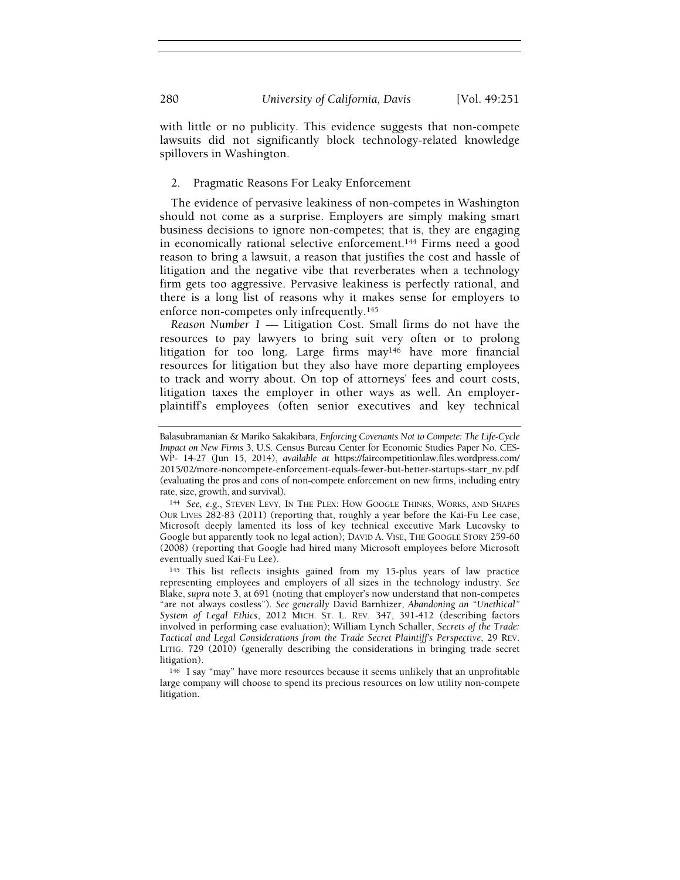with little or no publicity. This evidence suggests that non-compete lawsuits did not significantly block technology-related knowledge spillovers in Washington.

### 2. Pragmatic Reasons For Leaky Enforcement

The evidence of pervasive leakiness of non-competes in Washington should not come as a surprise. Employers are simply making smart business decisions to ignore non-competes; that is, they are engaging in economically rational selective enforcement.144 Firms need a good reason to bring a lawsuit, a reason that justifies the cost and hassle of litigation and the negative vibe that reverberates when a technology firm gets too aggressive. Pervasive leakiness is perfectly rational, and there is a long list of reasons why it makes sense for employers to enforce non-competes only infrequently.<sup>145</sup>

Reason Number  $1$  — Litigation Cost. Small firms do not have the resources to pay lawyers to bring suit very often or to prolong litigation for too long. Large firms may146 have more financial resources for litigation but they also have more departing employees to track and worry about. On top of attorneys' fees and court costs, litigation taxes the employer in other ways as well. An employerplaintiff's employees (often senior executives and key technical

Balasubramanian & Mariko Sakakibara, Enforcing Covenants Not to Compete: The Life-Cycle Impact on New Firms 3, U.S. Census Bureau Center for Economic Studies Paper No. CES-WP- 14-27 (Jun 15, 2014), available at https://faircompetitionlaw.files.wordpress.com/ 2015/02/more-noncompete-enforcement-equals-fewer-but-better-startups-starr\_nv.pdf (evaluating the pros and cons of non-compete enforcement on new firms, including entry rate, size, growth, and survival).

<sup>144</sup> See, e.g., STEVEN LEVY, IN THE PLEX: HOW GOOGLE THINKS, WORKS, AND SHAPES OUR LIVES 282-83 (2011) (reporting that, roughly a year before the Kai-Fu Lee case, Microsoft deeply lamented its loss of key technical executive Mark Lucovsky to Google but apparently took no legal action); DAVID A. VISE, THE GOOGLE STORY 259-60 (2008) (reporting that Google had hired many Microsoft employees before Microsoft eventually sued Kai-Fu Lee).

<sup>145</sup> This list reflects insights gained from my 15-plus years of law practice representing employees and employers of all sizes in the technology industry. See Blake, supra note 3, at 691 (noting that employer's now understand that non-competes "are not always costless"). See generally David Barnhizer, Abandoning an "Unethical" System of Legal Ethics, 2012 MICH. ST. L. REV. 347, 391-412 (describing factors involved in performing case evaluation); William Lynch Schaller, Secrets of the Trade: Tactical and Legal Considerations from the Trade Secret Plaintiff's Perspective, 29 REV. LITIG. 729 (2010) (generally describing the considerations in bringing trade secret litigation).

<sup>146</sup> I say "may" have more resources because it seems unlikely that an unprofitable large company will choose to spend its precious resources on low utility non-compete litigation.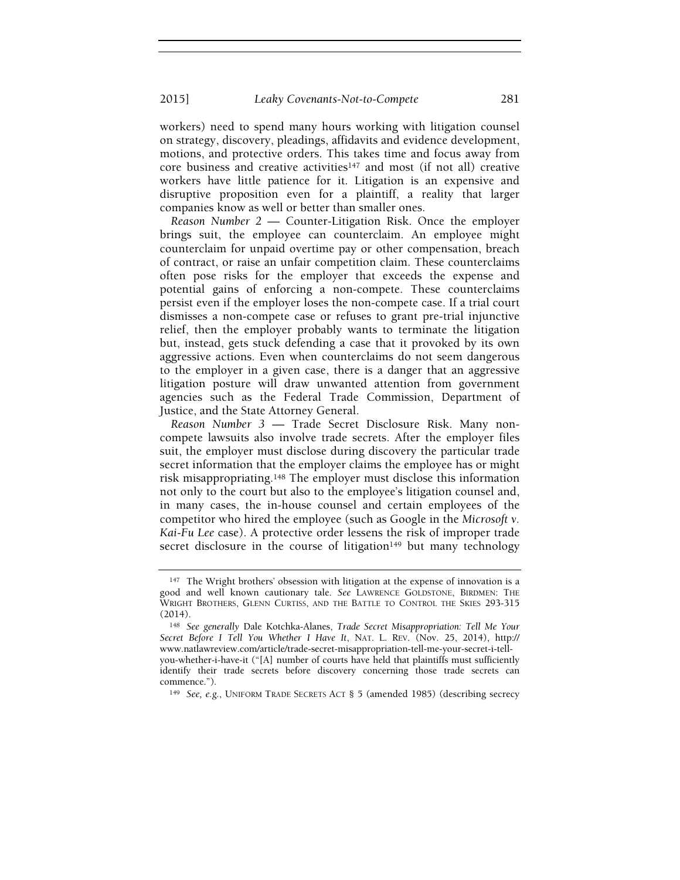2015] Leaky Covenants-Not-to-Compete 281

workers) need to spend many hours working with litigation counsel on strategy, discovery, pleadings, affidavits and evidence development, motions, and protective orders. This takes time and focus away from core business and creative activities<sup>147</sup> and most (if not all) creative workers have little patience for it. Litigation is an expensive and disruptive proposition even for a plaintiff, a reality that larger companies know as well or better than smaller ones.

Reason Number 2 — Counter-Litigation Risk. Once the employer brings suit, the employee can counterclaim. An employee might counterclaim for unpaid overtime pay or other compensation, breach of contract, or raise an unfair competition claim. These counterclaims often pose risks for the employer that exceeds the expense and potential gains of enforcing a non-compete. These counterclaims persist even if the employer loses the non-compete case. If a trial court dismisses a non-compete case or refuses to grant pre-trial injunctive relief, then the employer probably wants to terminate the litigation but, instead, gets stuck defending a case that it provoked by its own aggressive actions. Even when counterclaims do not seem dangerous to the employer in a given case, there is a danger that an aggressive litigation posture will draw unwanted attention from government agencies such as the Federal Trade Commission, Department of Justice, and the State Attorney General.

Reason Number 3 — Trade Secret Disclosure Risk. Many noncompete lawsuits also involve trade secrets. After the employer files suit, the employer must disclose during discovery the particular trade secret information that the employer claims the employee has or might risk misappropriating.148 The employer must disclose this information not only to the court but also to the employee's litigation counsel and, in many cases, the in-house counsel and certain employees of the competitor who hired the employee (such as Google in the Microsoft v. Kai-Fu Lee case). A protective order lessens the risk of improper trade secret disclosure in the course of litigation $149$  but many technology

<sup>147</sup> The Wright brothers' obsession with litigation at the expense of innovation is a good and well known cautionary tale. See LAWRENCE GOLDSTONE, BIRDMEN: THE WRIGHT BROTHERS, GLENN CURTISS, AND THE BATTLE TO CONTROL THE SKIES 293-315  $(2014)$ 

<sup>148</sup> See generally Dale Kotchka-Alanes, Trade Secret Misappropriation: Tell Me Your Secret Before I Tell You Whether I Have It, NAT. L. REV. (Nov. 25, 2014), http:// www.natlawreview.com/article/trade-secret-misappropriation-tell-me-your-secret-i-tellyou-whether-i-have-it ("[A] number of courts have held that plaintiffs must sufficiently identify their trade secrets before discovery concerning those trade secrets can commence.").

<sup>149</sup> See, e.g., UNIFORM TRADE SECRETS ACT § 5 (amended 1985) (describing secrecy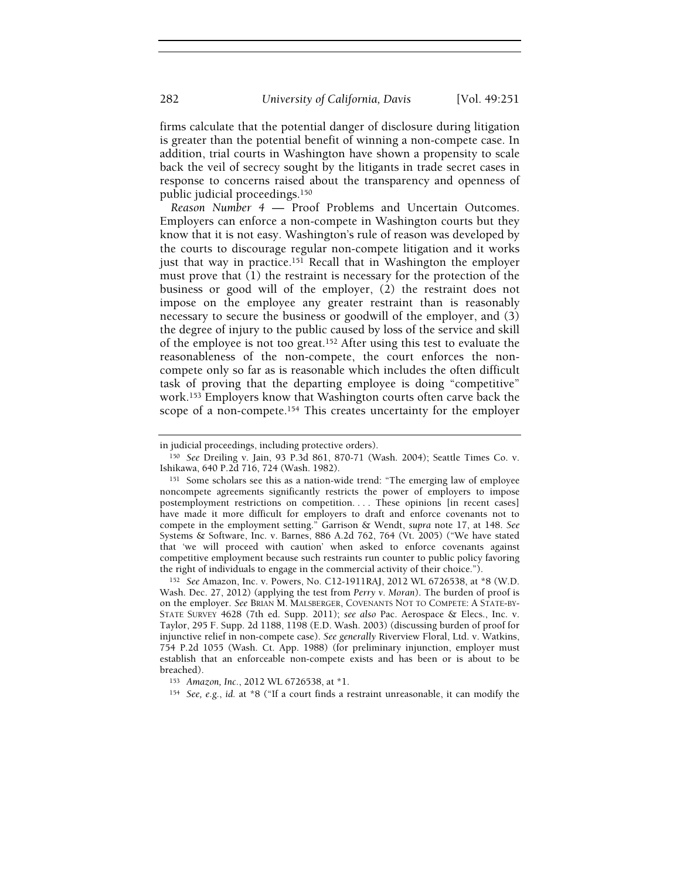firms calculate that the potential danger of disclosure during litigation is greater than the potential benefit of winning a non-compete case. In addition, trial courts in Washington have shown a propensity to scale back the veil of secrecy sought by the litigants in trade secret cases in response to concerns raised about the transparency and openness of public judicial proceedings.<sup>150</sup>

Reason Number 4 — Proof Problems and Uncertain Outcomes. Employers can enforce a non-compete in Washington courts but they know that it is not easy. Washington's rule of reason was developed by the courts to discourage regular non-compete litigation and it works just that way in practice.<sup>151</sup> Recall that in Washington the employer must prove that (1) the restraint is necessary for the protection of the business or good will of the employer, (2) the restraint does not impose on the employee any greater restraint than is reasonably necessary to secure the business or goodwill of the employer, and (3) the degree of injury to the public caused by loss of the service and skill of the employee is not too great.152 After using this test to evaluate the reasonableness of the non-compete, the court enforces the noncompete only so far as is reasonable which includes the often difficult task of proving that the departing employee is doing "competitive" work.153 Employers know that Washington courts often carve back the scope of a non-compete.<sup>154</sup> This creates uncertainty for the employer

<sup>152</sup> See Amazon, Inc. v. Powers, No. C12-1911RAJ, 2012 WL 6726538, at \*8 (W.D. Wash. Dec. 27, 2012) (applying the test from Perry v. Moran). The burden of proof is on the employer. See BRIAN M. MALSBERGER, COVENANTS NOT TO COMPETE: A STATE-BY-STATE SURVEY 4628 (7th ed. Supp. 2011); see also Pac. Aerospace & Elecs., Inc. v. Taylor, 295 F. Supp. 2d 1188, 1198 (E.D. Wash. 2003) (discussing burden of proof for injunctive relief in non-compete case). See generally Riverview Floral, Ltd. v. Watkins, 754 P.2d 1055 (Wash. Ct. App. 1988) (for preliminary injunction, employer must establish that an enforceable non-compete exists and has been or is about to be breached).

in judicial proceedings, including protective orders).

<sup>150</sup> See Dreiling v. Jain, 93 P.3d 861, 870-71 (Wash. 2004); Seattle Times Co. v. Ishikawa, 640 P.2d 716, 724 (Wash. 1982).

<sup>151</sup> Some scholars see this as a nation-wide trend: "The emerging law of employee noncompete agreements significantly restricts the power of employers to impose postemployment restrictions on competition. . . . These opinions [in recent cases] have made it more difficult for employers to draft and enforce covenants not to compete in the employment setting." Garrison & Wendt, supra note 17, at 148. See Systems & Software, Inc. v. Barnes, 886 A.2d 762, 764 (Vt. 2005) ("We have stated that 'we will proceed with caution' when asked to enforce covenants against competitive employment because such restraints run counter to public policy favoring the right of individuals to engage in the commercial activity of their choice.").

<sup>153</sup> Amazon, Inc., 2012 WL 6726538, at \*1.

<sup>154</sup> See, e.g., id. at \*8 ("If a court finds a restraint unreasonable, it can modify the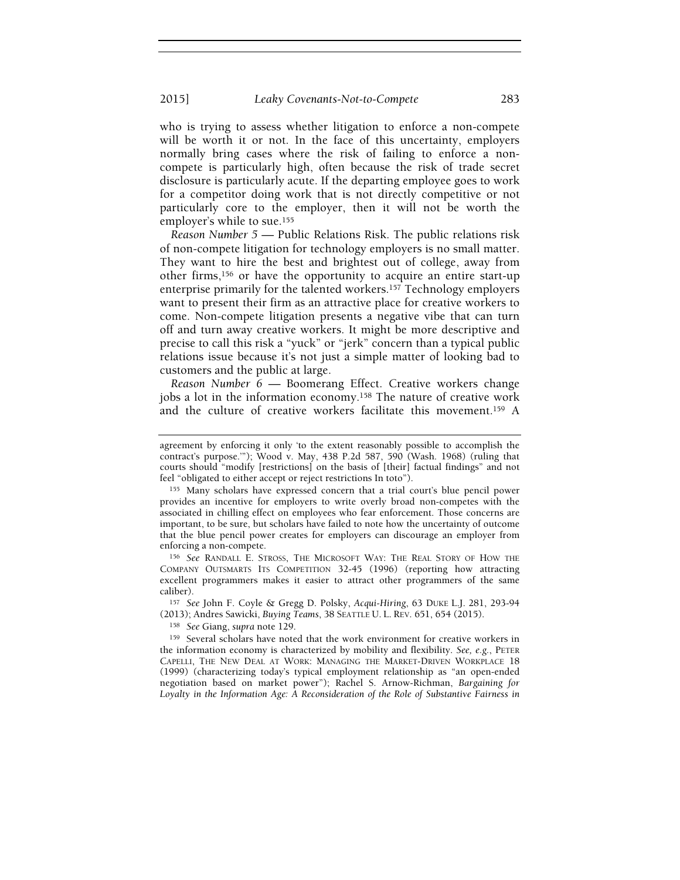2015] Leaky Covenants-Not-to-Compete 283

who is trying to assess whether litigation to enforce a non-compete will be worth it or not. In the face of this uncertainty, employers normally bring cases where the risk of failing to enforce a noncompete is particularly high, often because the risk of trade secret disclosure is particularly acute. If the departing employee goes to work for a competitor doing work that is not directly competitive or not particularly core to the employer, then it will not be worth the employer's while to sue.<sup>155</sup>

Reason Number 5 — Public Relations Risk. The public relations risk of non-compete litigation for technology employers is no small matter. They want to hire the best and brightest out of college, away from other firms,156 or have the opportunity to acquire an entire start-up enterprise primarily for the talented workers.157 Technology employers want to present their firm as an attractive place for creative workers to come. Non-compete litigation presents a negative vibe that can turn off and turn away creative workers. It might be more descriptive and precise to call this risk a "yuck" or "jerk" concern than a typical public relations issue because it's not just a simple matter of looking bad to customers and the public at large.

Reason Number 6 — Boomerang Effect. Creative workers change jobs a lot in the information economy.<sup>158</sup> The nature of creative work and the culture of creative workers facilitate this movement.159 A

<sup>156</sup> See RANDALL E. STROSS, THE MICROSOFT WAY: THE REAL STORY OF HOW THE COMPANY OUTSMARTS ITS COMPETITION 32-45 (1996) (reporting how attracting excellent programmers makes it easier to attract other programmers of the same caliber).

<sup>157</sup> See John F. Coyle & Gregg D. Polsky, Acqui-Hiring, 63 DUKE L.J. 281, 293-94 (2013); Andres Sawicki, Buying Teams, 38 SEATTLE U. L. REV. 651, 654 (2015).

<sup>158</sup> See Giang, supra note 129.

<sup>159</sup> Several scholars have noted that the work environment for creative workers in the information economy is characterized by mobility and flexibility. See, e.g., PETER CAPELLI, THE NEW DEAL AT WORK: MANAGING THE MARKET-DRIVEN WORKPLACE 18 (1999) (characterizing today's typical employment relationship as "an open-ended negotiation based on market power"); Rachel S. Arnow-Richman, Bargaining for Loyalty in the Information Age: A Reconsideration of the Role of Substantive Fairness in

agreement by enforcing it only 'to the extent reasonably possible to accomplish the contract's purpose.'"); Wood v. May, 438 P.2d 587, 590 (Wash. 1968) (ruling that courts should "modify [restrictions] on the basis of [their] factual findings" and not feel "obligated to either accept or reject restrictions In toto").

<sup>155</sup> Many scholars have expressed concern that a trial court's blue pencil power provides an incentive for employers to write overly broad non-competes with the associated in chilling effect on employees who fear enforcement. Those concerns are important, to be sure, but scholars have failed to note how the uncertainty of outcome that the blue pencil power creates for employers can discourage an employer from enforcing a non-compete.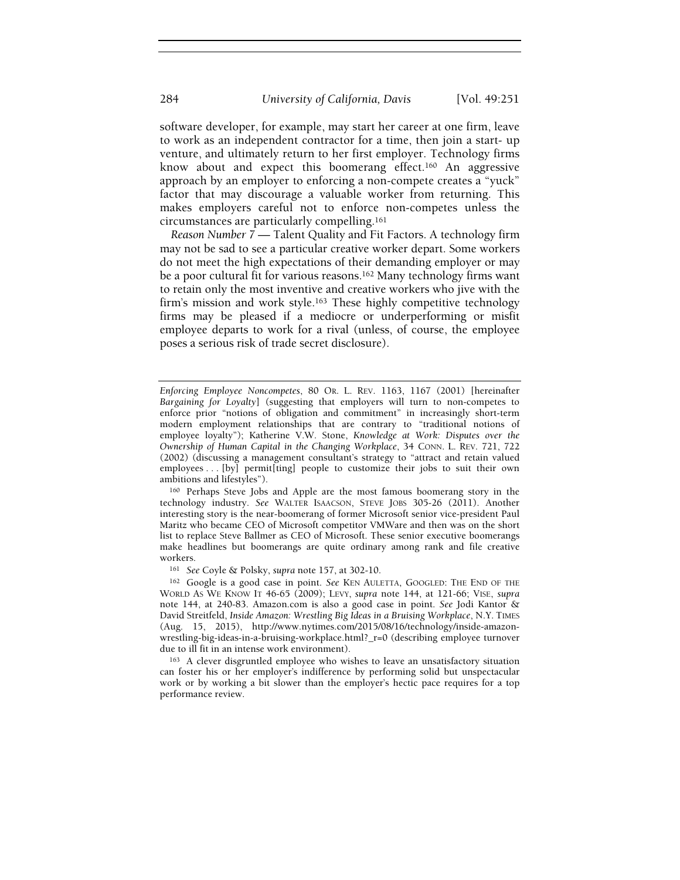software developer, for example, may start her career at one firm, leave to work as an independent contractor for a time, then join a start- up venture, and ultimately return to her first employer. Technology firms know about and expect this boomerang effect.<sup>160</sup> An aggressive approach by an employer to enforcing a non-compete creates a "yuck" factor that may discourage a valuable worker from returning. This makes employers careful not to enforce non-competes unless the circumstances are particularly compelling.<sup>161</sup>

Reason Number 7 — Talent Quality and Fit Factors. A technology firm may not be sad to see a particular creative worker depart. Some workers do not meet the high expectations of their demanding employer or may be a poor cultural fit for various reasons.162 Many technology firms want to retain only the most inventive and creative workers who jive with the firm's mission and work style.<sup>163</sup> These highly competitive technology firms may be pleased if a mediocre or underperforming or misfit employee departs to work for a rival (unless, of course, the employee poses a serious risk of trade secret disclosure).

<sup>160</sup> Perhaps Steve Jobs and Apple are the most famous boomerang story in the technology industry. See WALTER ISAACSON, STEVE JOBS 305-26 (2011). Another interesting story is the near-boomerang of former Microsoft senior vice-president Paul Maritz who became CEO of Microsoft competitor VMWare and then was on the short list to replace Steve Ballmer as CEO of Microsoft. These senior executive boomerangs make headlines but boomerangs are quite ordinary among rank and file creative workers.

<sup>161</sup> See Coyle & Polsky, supra note 157, at 302-10.

<sup>162</sup> Google is a good case in point. See KEN AULETTA, GOOGLED: THE END OF THE WORLD AS WE KNOW IT 46-65 (2009); LEVY, supra note 144, at 121-66; VISE, supra note 144, at 240-83. Amazon.com is also a good case in point. See Jodi Kantor & David Streitfeld, Inside Amazon: Wrestling Big Ideas in a Bruising Workplace, N.Y. TIMES (Aug. 15, 2015), http://www.nytimes.com/2015/08/16/technology/inside-amazonwrestling-big-ideas-in-a-bruising-workplace.html?\_r=0 (describing employee turnover due to ill fit in an intense work environment).

<sup>163</sup> A clever disgruntled employee who wishes to leave an unsatisfactory situation can foster his or her employer's indifference by performing solid but unspectacular work or by working a bit slower than the employer's hectic pace requires for a top performance review.

Enforcing Employee Noncompetes, 80 OR. L. REV. 1163, 1167 (2001) [hereinafter Bargaining for Loyalty] (suggesting that employers will turn to non-competes to enforce prior "notions of obligation and commitment" in increasingly short-term modern employment relationships that are contrary to "traditional notions of employee loyalty"); Katherine V.W. Stone, Knowledge at Work: Disputes over the Ownership of Human Capital in the Changing Workplace, 34 CONN. L. REV. 721, 722 (2002) (discussing a management consultant's strategy to "attract and retain valued employees . . . [by] permit[ting] people to customize their jobs to suit their own ambitions and lifestyles").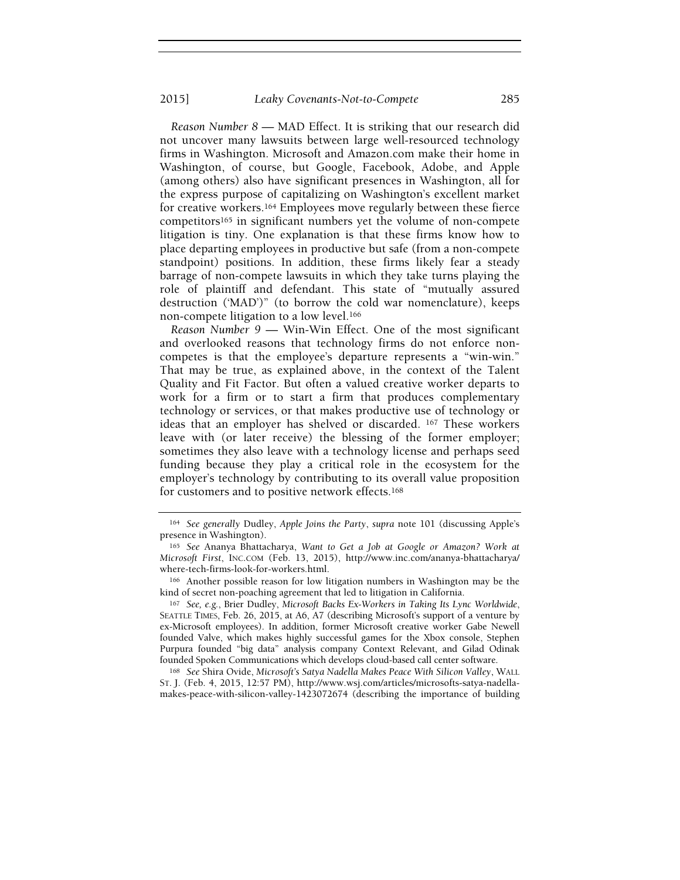#### 2015] Leaky Covenants-Not-to-Compete 285

Reason Number 8 — MAD Effect. It is striking that our research did not uncover many lawsuits between large well-resourced technology firms in Washington. Microsoft and Amazon.com make their home in Washington, of course, but Google, Facebook, Adobe, and Apple (among others) also have significant presences in Washington, all for the express purpose of capitalizing on Washington's excellent market for creative workers.164 Employees move regularly between these fierce competitors165 in significant numbers yet the volume of non-compete litigation is tiny. One explanation is that these firms know how to place departing employees in productive but safe (from a non-compete standpoint) positions. In addition, these firms likely fear a steady barrage of non-compete lawsuits in which they take turns playing the role of plaintiff and defendant. This state of "mutually assured destruction ('MAD')" (to borrow the cold war nomenclature), keeps non-compete litigation to a low level.<sup>166</sup>

Reason Number 9 — Win-Win Effect. One of the most significant and overlooked reasons that technology firms do not enforce noncompetes is that the employee's departure represents a "win-win." That may be true, as explained above, in the context of the Talent Quality and Fit Factor. But often a valued creative worker departs to work for a firm or to start a firm that produces complementary technology or services, or that makes productive use of technology or ideas that an employer has shelved or discarded. 167 These workers leave with (or later receive) the blessing of the former employer; sometimes they also leave with a technology license and perhaps seed funding because they play a critical role in the ecosystem for the employer's technology by contributing to its overall value proposition for customers and to positive network effects.<sup>168</sup>

<sup>166</sup> Another possible reason for low litigation numbers in Washington may be the kind of secret non-poaching agreement that led to litigation in California.

<sup>167</sup> See, e.g., Brier Dudley, Microsoft Backs Ex-Workers in Taking Its Lync Worldwide, SEATTLE TIMES, Feb. 26, 2015, at A6, A7 (describing Microsoft's support of a venture by ex-Microsoft employees). In addition, former Microsoft creative worker Gabe Newell founded Valve, which makes highly successful games for the Xbox console, Stephen Purpura founded "big data" analysis company Context Relevant, and Gilad Odinak founded Spoken Communications which develops cloud-based call center software.

168 See Shira Ovide, Microsoft's Satya Nadella Makes Peace With Silicon Valley, WALL ST. J. (Feb. 4, 2015, 12:57 PM), http://www.wsj.com/articles/microsofts-satya-nadellamakes-peace-with-silicon-valley-1423072674 (describing the importance of building

<sup>164</sup> See generally Dudley, Apple Joins the Party, supra note 101 (discussing Apple's presence in Washington).

<sup>165</sup> See Ananya Bhattacharya, Want to Get a Job at Google or Amazon? Work at Microsoft First, INC.COM (Feb. 13, 2015), http://www.inc.com/ananya-bhattacharya/ where-tech-firms-look-for-workers.html.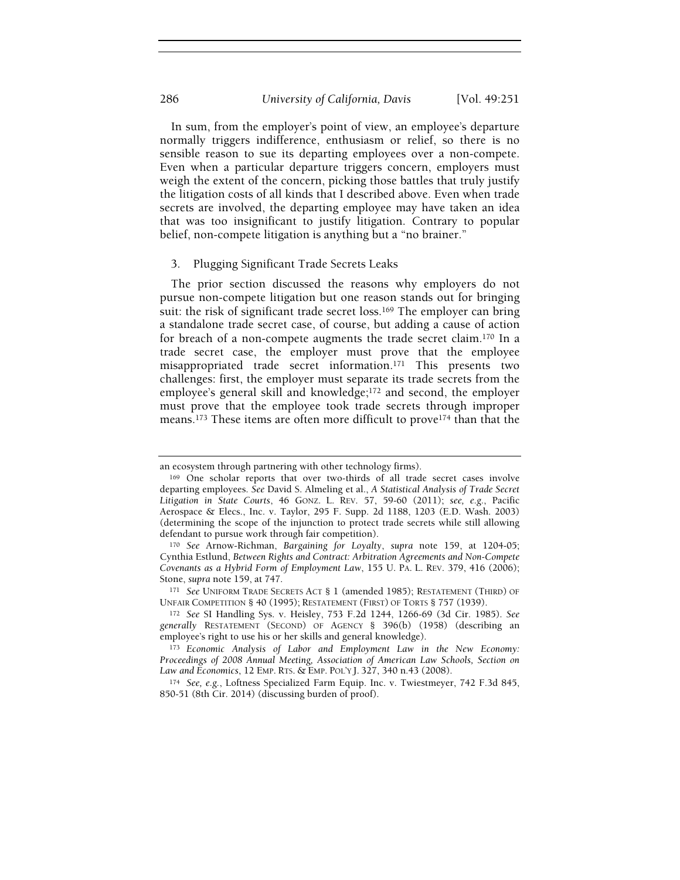In sum, from the employer's point of view, an employee's departure normally triggers indifference, enthusiasm or relief, so there is no sensible reason to sue its departing employees over a non-compete. Even when a particular departure triggers concern, employers must weigh the extent of the concern, picking those battles that truly justify the litigation costs of all kinds that I described above. Even when trade secrets are involved, the departing employee may have taken an idea that was too insignificant to justify litigation. Contrary to popular belief, non-compete litigation is anything but a "no brainer."

#### 3. Plugging Significant Trade Secrets Leaks

The prior section discussed the reasons why employers do not pursue non-compete litigation but one reason stands out for bringing suit: the risk of significant trade secret loss.<sup>169</sup> The employer can bring a standalone trade secret case, of course, but adding a cause of action for breach of a non-compete augments the trade secret claim.170 In a trade secret case, the employer must prove that the employee misappropriated trade secret information.171 This presents two challenges: first, the employer must separate its trade secrets from the employee's general skill and knowledge;172 and second, the employer must prove that the employee took trade secrets through improper means.<sup>173</sup> These items are often more difficult to prove<sup>174</sup> than that the

an ecosystem through partnering with other technology firms).

<sup>169</sup> One scholar reports that over two-thirds of all trade secret cases involve departing employees. See David S. Almeling et al., A Statistical Analysis of Trade Secret Litigation in State Courts, 46 GONZ. L. REV. 57, 59-60 (2011); see, e.g., Pacific Aerospace & Elecs., Inc. v. Taylor, 295 F. Supp. 2d 1188, 1203 (E.D. Wash. 2003) (determining the scope of the injunction to protect trade secrets while still allowing defendant to pursue work through fair competition).

<sup>170</sup> See Arnow-Richman, Bargaining for Loyalty, supra note 159, at 1204-05; Cynthia Estlund, Between Rights and Contract: Arbitration Agreements and Non-Compete Covenants as a Hybrid Form of Employment Law, 155 U. PA. L. REV. 379, 416 (2006); Stone, supra note 159, at 747.

<sup>171</sup> See UNIFORM TRADE SECRETS ACT § 1 (amended 1985); RESTATEMENT (THIRD) OF UNFAIR COMPETITION § 40 (1995); RESTATEMENT (FIRST) OF TORTS § 757 (1939).

<sup>172</sup> See SI Handling Sys. v. Heisley, 753 F.2d 1244, 1266-69 (3d Cir. 1985). See generally RESTATEMENT (SECOND) OF AGENCY § 396(b) (1958) (describing an employee's right to use his or her skills and general knowledge).

<sup>173</sup> Economic Analysis of Labor and Employment Law in the New Economy: Proceedings of 2008 Annual Meeting, Association of American Law Schools, Section on Law and Economics, 12 EMP. RTS. & EMP. POL'Y J. 327, 340 n.43 (2008).

<sup>174</sup> See, e.g., Loftness Specialized Farm Equip. Inc. v. Twiestmeyer, 742 F.3d 845, 850-51 (8th Cir. 2014) (discussing burden of proof).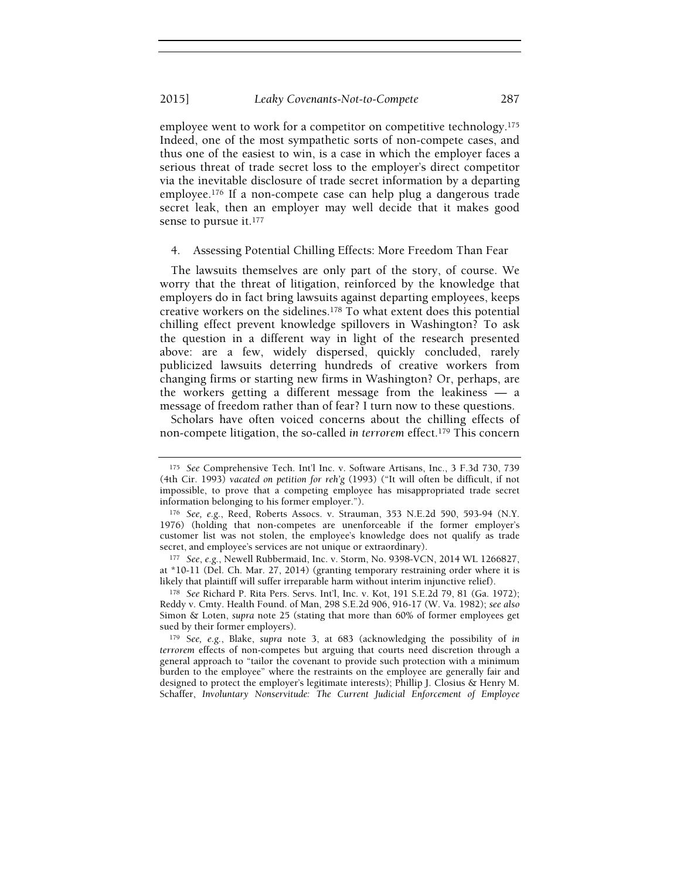employee went to work for a competitor on competitive technology.<sup>175</sup> Indeed, one of the most sympathetic sorts of non-compete cases, and thus one of the easiest to win, is a case in which the employer faces a serious threat of trade secret loss to the employer's direct competitor via the inevitable disclosure of trade secret information by a departing employee.176 If a non-compete case can help plug a dangerous trade secret leak, then an employer may well decide that it makes good sense to pursue it.<sup>177</sup>

#### 4. Assessing Potential Chilling Effects: More Freedom Than Fear

The lawsuits themselves are only part of the story, of course. We worry that the threat of litigation, reinforced by the knowledge that employers do in fact bring lawsuits against departing employees, keeps creative workers on the sidelines.178 To what extent does this potential chilling effect prevent knowledge spillovers in Washington? To ask the question in a different way in light of the research presented above: are a few, widely dispersed, quickly concluded, rarely publicized lawsuits deterring hundreds of creative workers from changing firms or starting new firms in Washington? Or, perhaps, are the workers getting a different message from the leakiness — a message of freedom rather than of fear? I turn now to these questions.

Scholars have often voiced concerns about the chilling effects of non-compete litigation, the so-called in terrorem effect.<sup>179</sup> This concern

177 See, e.g., Newell Rubbermaid, Inc. v. Storm, No. 9398-VCN, 2014 WL 1266827, at \*10-11 (Del. Ch. Mar. 27, 2014) (granting temporary restraining order where it is likely that plaintiff will suffer irreparable harm without interim injunctive relief).

<sup>178</sup> See Richard P. Rita Pers. Servs. Int'l, Inc. v. Kot, 191 S.E.2d 79, 81 (Ga. 1972); Reddy v. Cmty. Health Found. of Man, 298 S.E.2d 906, 916-17 (W. Va. 1982); see also Simon & Loten, supra note 25 (stating that more than 60% of former employees get sued by their former employers).

<sup>179</sup> See, e.g., Blake, supra note 3, at 683 (acknowledging the possibility of in terrorem effects of non-competes but arguing that courts need discretion through a general approach to "tailor the covenant to provide such protection with a minimum burden to the employee" where the restraints on the employee are generally fair and designed to protect the employer's legitimate interests); Phillip J. Closius & Henry M. Schaffer, Involuntary Nonservitude: The Current Judicial Enforcement of Employee

<sup>175</sup> See Comprehensive Tech. Int'l Inc. v. Software Artisans, Inc., 3 F.3d 730, 739 (4th Cir. 1993) vacated on petition for reh'g (1993) ("It will often be difficult, if not impossible, to prove that a competing employee has misappropriated trade secret information belonging to his former employer.").

<sup>176</sup> See, e.g., Reed, Roberts Assocs. v. Strauman, 353 N.E.2d 590, 593-94 (N.Y. 1976) (holding that non-competes are unenforceable if the former employer's customer list was not stolen, the employee's knowledge does not qualify as trade secret, and employee's services are not unique or extraordinary).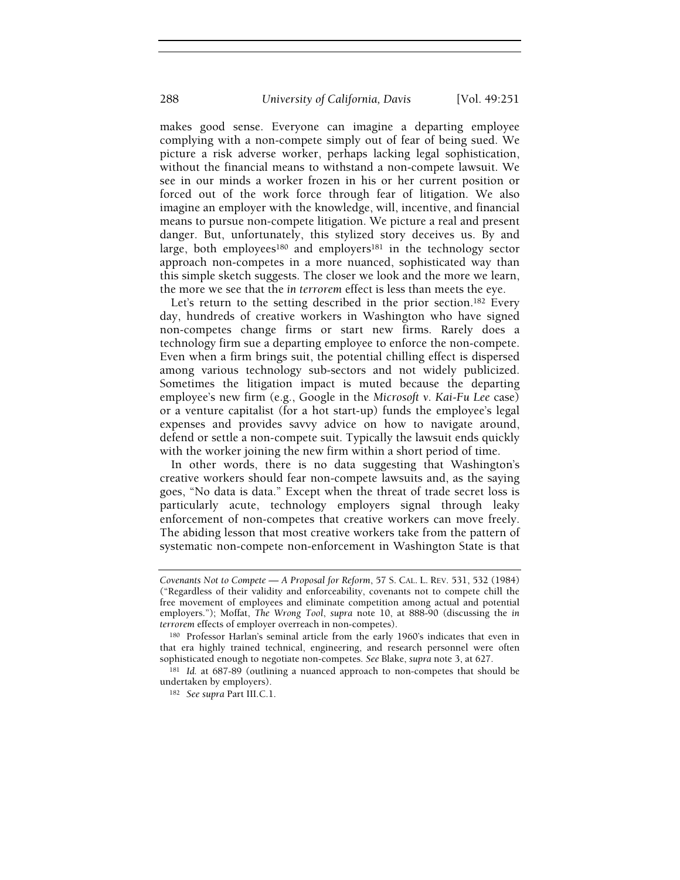makes good sense. Everyone can imagine a departing employee complying with a non-compete simply out of fear of being sued. We picture a risk adverse worker, perhaps lacking legal sophistication, without the financial means to withstand a non-compete lawsuit. We see in our minds a worker frozen in his or her current position or forced out of the work force through fear of litigation. We also imagine an employer with the knowledge, will, incentive, and financial means to pursue non-compete litigation. We picture a real and present danger. But, unfortunately, this stylized story deceives us. By and large, both employees<sup>180</sup> and employers<sup>181</sup> in the technology sector approach non-competes in a more nuanced, sophisticated way than this simple sketch suggests. The closer we look and the more we learn, the more we see that the in terrorem effect is less than meets the eye.

Let's return to the setting described in the prior section.<sup>182</sup> Every day, hundreds of creative workers in Washington who have signed non-competes change firms or start new firms. Rarely does a technology firm sue a departing employee to enforce the non-compete. Even when a firm brings suit, the potential chilling effect is dispersed among various technology sub-sectors and not widely publicized. Sometimes the litigation impact is muted because the departing employee's new firm (e.g., Google in the Microsoft v. Kai-Fu Lee case) or a venture capitalist (for a hot start-up) funds the employee's legal expenses and provides savvy advice on how to navigate around, defend or settle a non-compete suit. Typically the lawsuit ends quickly with the worker joining the new firm within a short period of time.

In other words, there is no data suggesting that Washington's creative workers should fear non-compete lawsuits and, as the saying goes, "No data is data." Except when the threat of trade secret loss is particularly acute, technology employers signal through leaky enforcement of non-competes that creative workers can move freely. The abiding lesson that most creative workers take from the pattern of systematic non-compete non-enforcement in Washington State is that

Covenants Not to Compete — A Proposal for Reform, 57 S. CAL. L. REV. 531, 532 (1984) ("Regardless of their validity and enforceability, covenants not to compete chill the free movement of employees and eliminate competition among actual and potential employers."); Moffat, The Wrong Tool, supra note 10, at 888-90 (discussing the in terrorem effects of employer overreach in non-competes).

<sup>180</sup> Professor Harlan's seminal article from the early 1960's indicates that even in that era highly trained technical, engineering, and research personnel were often sophisticated enough to negotiate non-competes. See Blake, supra note 3, at 627.

<sup>181</sup> Id. at 687-89 (outlining a nuanced approach to non-competes that should be undertaken by employers).

<sup>182</sup> See supra Part III.C.1.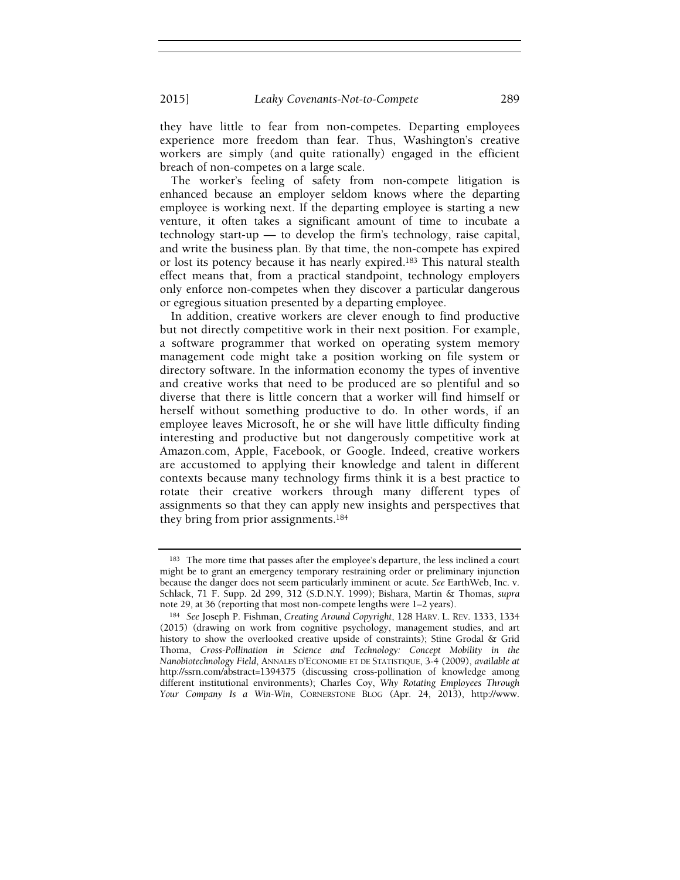2015] Leaky Covenants-Not-to-Compete 289

they have little to fear from non-competes. Departing employees experience more freedom than fear. Thus, Washington's creative workers are simply (and quite rationally) engaged in the efficient breach of non-competes on a large scale.

The worker's feeling of safety from non-compete litigation is enhanced because an employer seldom knows where the departing employee is working next. If the departing employee is starting a new venture, it often takes a significant amount of time to incubate a technology start-up — to develop the firm's technology, raise capital, and write the business plan. By that time, the non-compete has expired or lost its potency because it has nearly expired.183 This natural stealth effect means that, from a practical standpoint, technology employers only enforce non-competes when they discover a particular dangerous or egregious situation presented by a departing employee.

In addition, creative workers are clever enough to find productive but not directly competitive work in their next position. For example, a software programmer that worked on operating system memory management code might take a position working on file system or directory software. In the information economy the types of inventive and creative works that need to be produced are so plentiful and so diverse that there is little concern that a worker will find himself or herself without something productive to do. In other words, if an employee leaves Microsoft, he or she will have little difficulty finding interesting and productive but not dangerously competitive work at Amazon.com, Apple, Facebook, or Google. Indeed, creative workers are accustomed to applying their knowledge and talent in different contexts because many technology firms think it is a best practice to rotate their creative workers through many different types of assignments so that they can apply new insights and perspectives that they bring from prior assignments.<sup>184</sup>

<sup>183</sup> The more time that passes after the employee's departure, the less inclined a court might be to grant an emergency temporary restraining order or preliminary injunction because the danger does not seem particularly imminent or acute. See EarthWeb, Inc. v. Schlack, 71 F. Supp. 2d 299, 312 (S.D.N.Y. 1999); Bishara, Martin & Thomas, supra note 29, at 36 (reporting that most non-compete lengths were 1–2 years).

<sup>184</sup> See Joseph P. Fishman, Creating Around Copyright, 128 HARV. L. REV. 1333, 1334 (2015) (drawing on work from cognitive psychology, management studies, and art history to show the overlooked creative upside of constraints); Stine Grodal & Grid Thoma, Cross-Pollination in Science and Technology: Concept Mobility in the Nanobiotechnology Field, ANNALES D'ECONOMIE ET DE STATISTIQUE, 3-4 (2009), available at http://ssrn.com/abstract=1394375 (discussing cross-pollination of knowledge among different institutional environments); Charles Coy, Why Rotating Employees Through Your Company Is a Win-Win, CORNERSTONE BLOG (Apr. 24, 2013), http://www.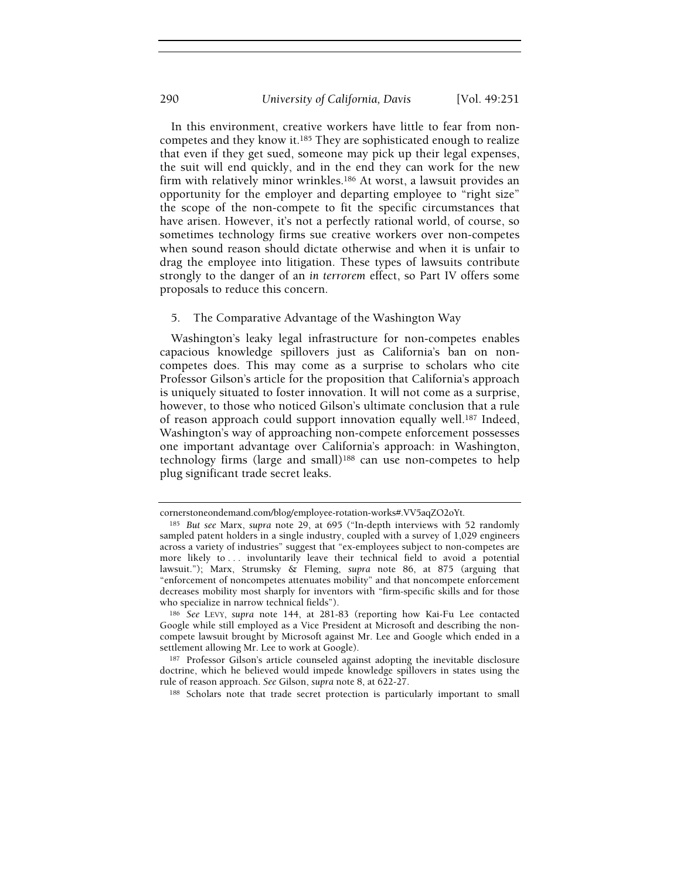In this environment, creative workers have little to fear from noncompetes and they know it.185 They are sophisticated enough to realize that even if they get sued, someone may pick up their legal expenses, the suit will end quickly, and in the end they can work for the new firm with relatively minor wrinkles.186 At worst, a lawsuit provides an opportunity for the employer and departing employee to "right size" the scope of the non-compete to fit the specific circumstances that have arisen. However, it's not a perfectly rational world, of course, so sometimes technology firms sue creative workers over non-competes when sound reason should dictate otherwise and when it is unfair to drag the employee into litigation. These types of lawsuits contribute strongly to the danger of an in terrorem effect, so Part IV offers some proposals to reduce this concern.

#### 5. The Comparative Advantage of the Washington Way

Washington's leaky legal infrastructure for non-competes enables capacious knowledge spillovers just as California's ban on noncompetes does. This may come as a surprise to scholars who cite Professor Gilson's article for the proposition that California's approach is uniquely situated to foster innovation. It will not come as a surprise, however, to those who noticed Gilson's ultimate conclusion that a rule of reason approach could support innovation equally well.187 Indeed, Washington's way of approaching non-compete enforcement possesses one important advantage over California's approach: in Washington, technology firms (large and small)188 can use non-competes to help plug significant trade secret leaks.

cornerstoneondemand.com/blog/employee-rotation-works#.VV5aqZO2oYt.

<sup>185</sup> But see Marx, supra note 29, at 695 ("In-depth interviews with 52 randomly sampled patent holders in a single industry, coupled with a survey of 1,029 engineers across a variety of industries" suggest that "ex-employees subject to non-competes are more likely to ... involuntarily leave their technical field to avoid a potential lawsuit."); Marx, Strumsky & Fleming, supra note 86, at 875 (arguing that "enforcement of noncompetes attenuates mobility" and that noncompete enforcement decreases mobility most sharply for inventors with "firm-specific skills and for those who specialize in narrow technical fields").

<sup>186</sup> See LEVY, supra note 144, at 281-83 (reporting how Kai-Fu Lee contacted Google while still employed as a Vice President at Microsoft and describing the noncompete lawsuit brought by Microsoft against Mr. Lee and Google which ended in a settlement allowing Mr. Lee to work at Google).

<sup>187</sup> Professor Gilson's article counseled against adopting the inevitable disclosure doctrine, which he believed would impede knowledge spillovers in states using the rule of reason approach. See Gilson, supra note 8, at 622-27.

<sup>188</sup> Scholars note that trade secret protection is particularly important to small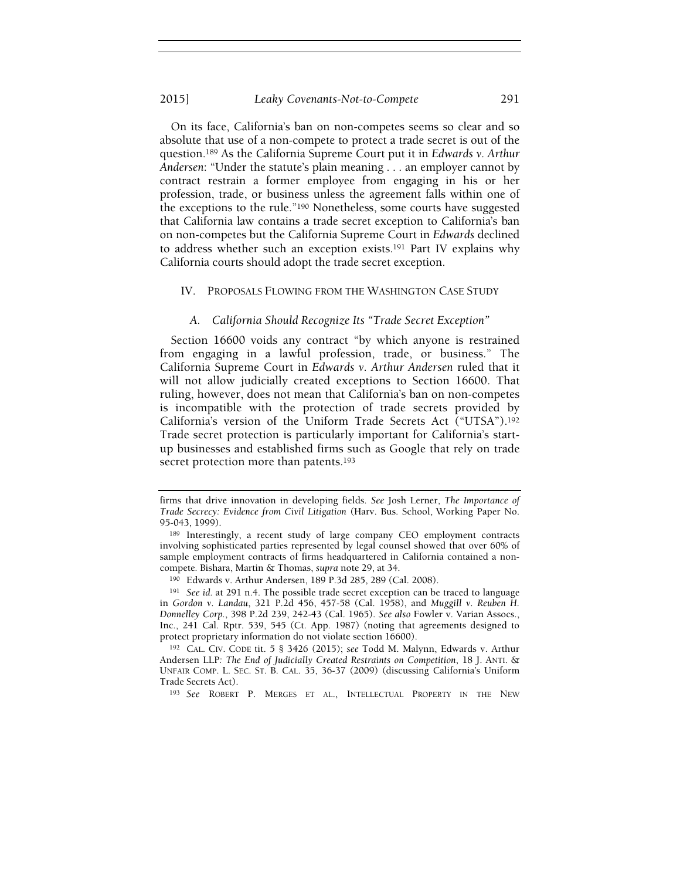#### 2015] Leaky Covenants-Not-to-Compete 291

On its face, California's ban on non-competes seems so clear and so absolute that use of a non-compete to protect a trade secret is out of the question.189 As the California Supreme Court put it in Edwards v. Arthur Andersen: "Under the statute's plain meaning . . . an employer cannot by contract restrain a former employee from engaging in his or her profession, trade, or business unless the agreement falls within one of the exceptions to the rule."190 Nonetheless, some courts have suggested that California law contains a trade secret exception to California's ban on non-competes but the California Supreme Court in Edwards declined to address whether such an exception exists.191 Part IV explains why California courts should adopt the trade secret exception.

#### IV. PROPOSALS FLOWING FROM THE WASHINGTON CASE STUDY

#### A. California Should Recognize Its "Trade Secret Exception"

Section 16600 voids any contract "by which anyone is restrained from engaging in a lawful profession, trade, or business." The California Supreme Court in Edwards v. Arthur Andersen ruled that it will not allow judicially created exceptions to Section 16600. That ruling, however, does not mean that California's ban on non-competes is incompatible with the protection of trade secrets provided by California's version of the Uniform Trade Secrets Act ("UTSA").<sup>192</sup> Trade secret protection is particularly important for California's startup businesses and established firms such as Google that rely on trade secret protection more than patents.<sup>193</sup>

<sup>190</sup> Edwards v. Arthur Andersen, 189 P.3d 285, 289 (Cal. 2008).

<sup>193</sup> See ROBERT P. MERGES ET AL., INTELLECTUAL PROPERTY IN THE NEW

firms that drive innovation in developing fields. See Josh Lerner, The Importance of Trade Secrecy: Evidence from Civil Litigation (Harv. Bus. School, Working Paper No. 95-043, 1999).

<sup>189</sup> Interestingly, a recent study of large company CEO employment contracts involving sophisticated parties represented by legal counsel showed that over 60% of sample employment contracts of firms headquartered in California contained a noncompete. Bishara, Martin & Thomas, supra note 29, at 34.

<sup>191</sup> See id. at 291 n.4. The possible trade secret exception can be traced to language in Gordon v. Landau, 321 P.2d 456, 457-58 (Cal. 1958), and Muggill v. Reuben H. Donnelley Corp., 398 P.2d 239, 242-43 (Cal. 1965). See also Fowler v. Varian Assocs., Inc., 241 Cal. Rptr. 539, 545 (Ct. App. 1987) (noting that agreements designed to protect proprietary information do not violate section 16600).

<sup>192</sup> CAL. CIV. CODE tit. 5 § 3426 (2015); see Todd M. Malynn, Edwards v. Arthur Andersen LLP: The End of Judicially Created Restraints on Competition, 18 J. ANTI. & UNFAIR COMP. L. SEC. ST. B. CAL. 35, 36-37 (2009) (discussing California's Uniform Trade Secrets Act).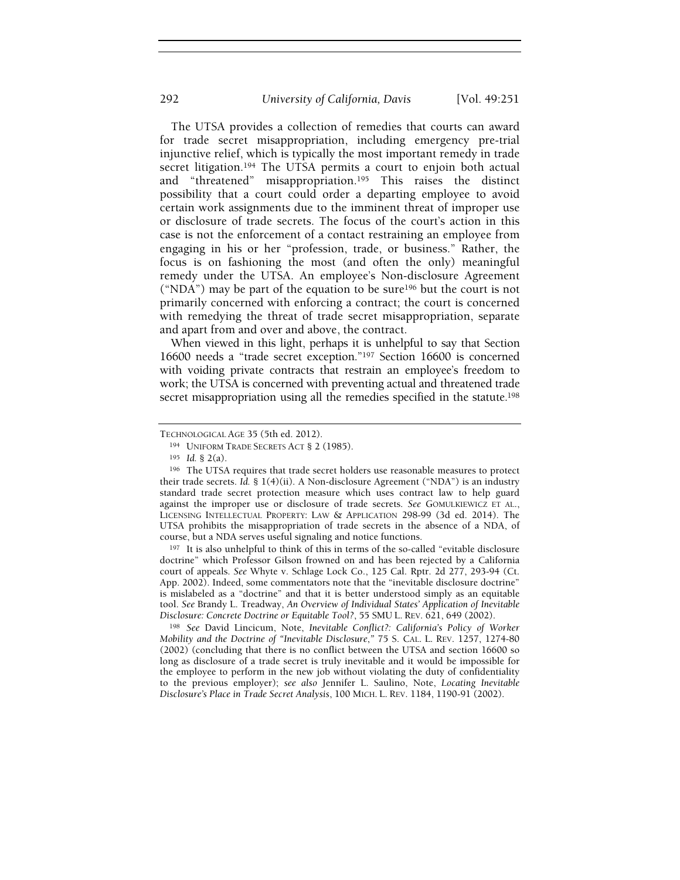The UTSA provides a collection of remedies that courts can award for trade secret misappropriation, including emergency pre-trial injunctive relief, which is typically the most important remedy in trade secret litigation.<sup>194</sup> The UTSA permits a court to enjoin both actual and "threatened" misappropriation.195 This raises the distinct possibility that a court could order a departing employee to avoid certain work assignments due to the imminent threat of improper use or disclosure of trade secrets. The focus of the court's action in this case is not the enforcement of a contact restraining an employee from engaging in his or her "profession, trade, or business." Rather, the focus is on fashioning the most (and often the only) meaningful remedy under the UTSA. An employee's Non-disclosure Agreement ("NDA") may be part of the equation to be sure196 but the court is not primarily concerned with enforcing a contract; the court is concerned with remedying the threat of trade secret misappropriation, separate and apart from and over and above, the contract.

When viewed in this light, perhaps it is unhelpful to say that Section 16600 needs a "trade secret exception."197 Section 16600 is concerned with voiding private contracts that restrain an employee's freedom to work; the UTSA is concerned with preventing actual and threatened trade secret misappropriation using all the remedies specified in the statute.<sup>198</sup>

<sup>197</sup> It is also unhelpful to think of this in terms of the so-called "evitable disclosure doctrine" which Professor Gilson frowned on and has been rejected by a California court of appeals. See Whyte v. Schlage Lock Co., 125 Cal. Rptr. 2d 277, 293-94 (Ct. App. 2002). Indeed, some commentators note that the "inevitable disclosure doctrine" is mislabeled as a "doctrine" and that it is better understood simply as an equitable tool. See Brandy L. Treadway, An Overview of Individual States' Application of Inevitable Disclosure: Concrete Doctrine or Equitable Tool?, 55 SMU L. REV. 621, 649 (2002).

<sup>198</sup> See David Lincicum, Note, Inevitable Conflict?: California's Policy of Worker Mobility and the Doctrine of "Inevitable Disclosure," 75 S. CAL. L. REV. 1257, 1274-80 (2002) (concluding that there is no conflict between the UTSA and section 16600 so long as disclosure of a trade secret is truly inevitable and it would be impossible for the employee to perform in the new job without violating the duty of confidentiality to the previous employer); see also Jennifer L. Saulino, Note, Locating Inevitable Disclosure's Place in Trade Secret Analysis, 100 MICH. L. REV. 1184, 1190-91 (2002).

TECHNOLOGICAL AGE 35 (5th ed. 2012).

<sup>194</sup> UNIFORM TRADE SECRETS ACT § 2 (1985).

<sup>195</sup> Id. § 2(a).

<sup>196</sup> The UTSA requires that trade secret holders use reasonable measures to protect their trade secrets. Id. § 1(4)(ii). A Non-disclosure Agreement ("NDA") is an industry standard trade secret protection measure which uses contract law to help guard against the improper use or disclosure of trade secrets. See GOMULKIEWICZ ET AL., LICENSING INTELLECTUAL PROPERTY: LAW & APPLICATION 298-99 (3d ed. 2014). The UTSA prohibits the misappropriation of trade secrets in the absence of a NDA, of course, but a NDA serves useful signaling and notice functions.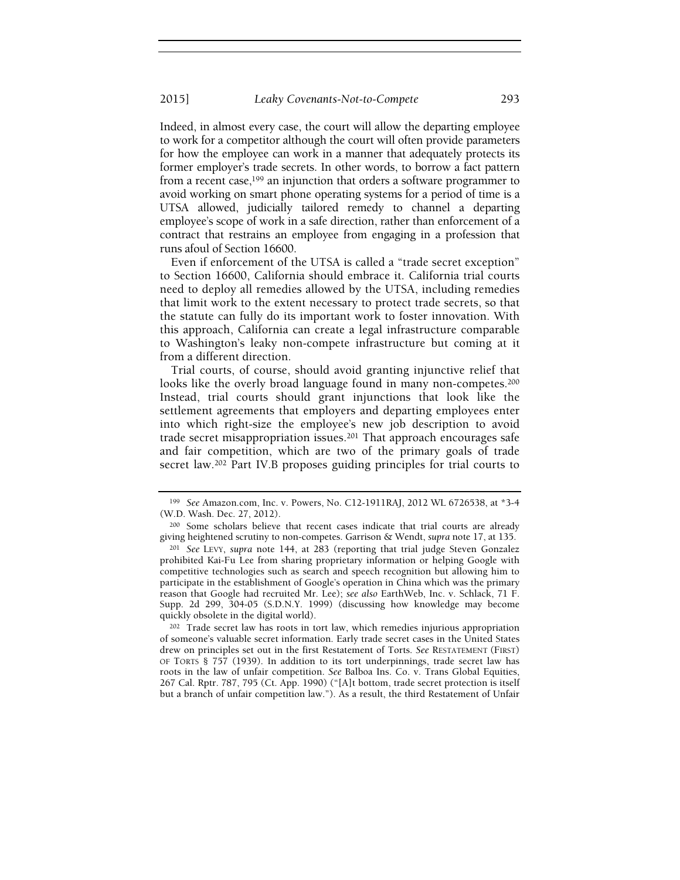Indeed, in almost every case, the court will allow the departing employee to work for a competitor although the court will often provide parameters for how the employee can work in a manner that adequately protects its former employer's trade secrets. In other words, to borrow a fact pattern from a recent case,<sup>199</sup> an injunction that orders a software programmer to avoid working on smart phone operating systems for a period of time is a UTSA allowed, judicially tailored remedy to channel a departing employee's scope of work in a safe direction, rather than enforcement of a contract that restrains an employee from engaging in a profession that runs afoul of Section 16600.

Even if enforcement of the UTSA is called a "trade secret exception" to Section 16600, California should embrace it. California trial courts need to deploy all remedies allowed by the UTSA, including remedies that limit work to the extent necessary to protect trade secrets, so that the statute can fully do its important work to foster innovation. With this approach, California can create a legal infrastructure comparable to Washington's leaky non-compete infrastructure but coming at it from a different direction.

Trial courts, of course, should avoid granting injunctive relief that looks like the overly broad language found in many non-competes.<sup>200</sup> Instead, trial courts should grant injunctions that look like the settlement agreements that employers and departing employees enter into which right-size the employee's new job description to avoid trade secret misappropriation issues.201 That approach encourages safe and fair competition, which are two of the primary goals of trade secret law.202 Part IV.B proposes guiding principles for trial courts to

<sup>202</sup> Trade secret law has roots in tort law, which remedies injurious appropriation of someone's valuable secret information. Early trade secret cases in the United States drew on principles set out in the first Restatement of Torts. See RESTATEMENT (FIRST) OF TORTS § 757 (1939). In addition to its tort underpinnings, trade secret law has roots in the law of unfair competition. See Balboa Ins. Co. v. Trans Global Equities, 267 Cal. Rptr. 787, 795 (Ct. App. 1990) ("[A]t bottom, trade secret protection is itself but a branch of unfair competition law."). As a result, the third Restatement of Unfair

<sup>199</sup> See Amazon.com, Inc. v. Powers, No. C12-1911RAJ, 2012 WL 6726538, at \*3-4 (W.D. Wash. Dec. 27, 2012).

<sup>200</sup> Some scholars believe that recent cases indicate that trial courts are already giving heightened scrutiny to non-competes. Garrison & Wendt, supra note 17, at 135.

<sup>201</sup> See LEVY, supra note 144, at 283 (reporting that trial judge Steven Gonzalez prohibited Kai-Fu Lee from sharing proprietary information or helping Google with competitive technologies such as search and speech recognition but allowing him to participate in the establishment of Google's operation in China which was the primary reason that Google had recruited Mr. Lee); see also EarthWeb, Inc. v. Schlack, 71 F. Supp. 2d 299, 304-05 (S.D.N.Y. 1999) (discussing how knowledge may become quickly obsolete in the digital world).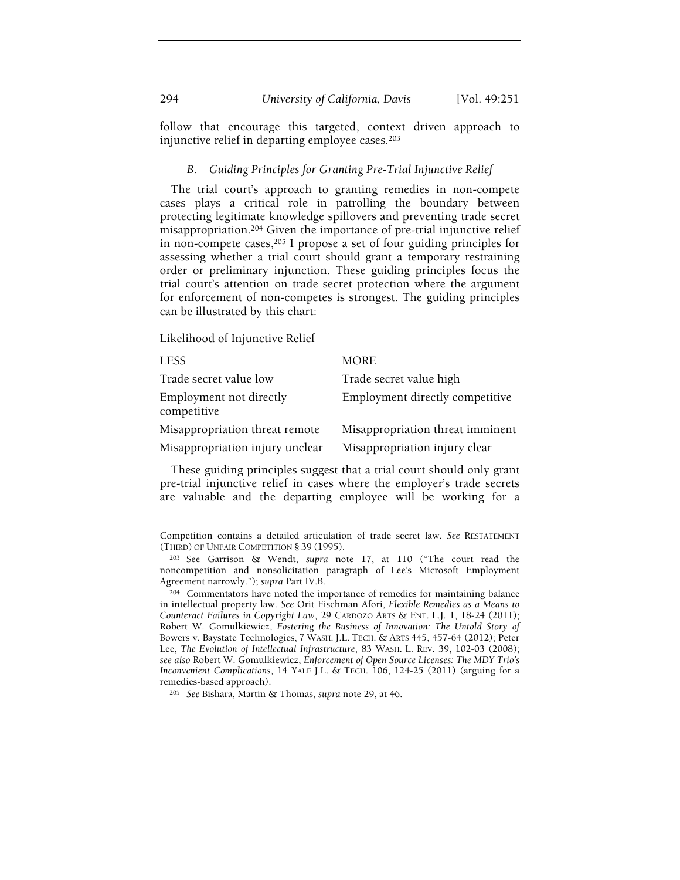follow that encourage this targeted, context driven approach to injunctive relief in departing employee cases.<sup>203</sup>

#### B. Guiding Principles for Granting Pre-Trial Injunctive Relief

The trial court's approach to granting remedies in non-compete cases plays a critical role in patrolling the boundary between protecting legitimate knowledge spillovers and preventing trade secret misappropriation.204 Given the importance of pre-trial injunctive relief in non-compete cases,205 I propose a set of four guiding principles for assessing whether a trial court should grant a temporary restraining order or preliminary injunction. These guiding principles focus the trial court's attention on trade secret protection where the argument for enforcement of non-competes is strongest. The guiding principles can be illustrated by this chart:

Likelihood of Injunctive Relief

| <b>LESS</b>                            | <b>MORE</b>                      |
|----------------------------------------|----------------------------------|
| Trade secret value low                 | Trade secret value high          |
| Employment not directly<br>competitive | Employment directly competitive  |
| Misappropriation threat remote         | Misappropriation threat imminent |
| Misappropriation injury unclear        | Misappropriation injury clear    |

These guiding principles suggest that a trial court should only grant pre-trial injunctive relief in cases where the employer's trade secrets are valuable and the departing employee will be working for a

Competition contains a detailed articulation of trade secret law. See RESTATEMENT (THIRD) OF UNFAIR COMPETITION § 39 (1995).

<sup>203</sup> See Garrison & Wendt, supra note 17, at 110 ("The court read the noncompetition and nonsolicitation paragraph of Lee's Microsoft Employment Agreement narrowly."); supra Part IV.B.

<sup>204</sup> Commentators have noted the importance of remedies for maintaining balance in intellectual property law. See Orit Fischman Afori, Flexible Remedies as a Means to Counteract Failures in Copyright Law, 29 CARDOZO ARTS & ENT. L.J. 1, 18-24 (2011); Robert W. Gomulkiewicz, Fostering the Business of Innovation: The Untold Story of Bowers v. Baystate Technologies, 7 WASH. J.L. TECH. & ARTS 445, 457-64 (2012); Peter Lee, The Evolution of Intellectual Infrastructure, 83 WASH. L. REV. 39, 102-03 (2008); see also Robert W. Gomulkiewicz, Enforcement of Open Source Licenses: The MDY Trio's Inconvenient Complications, 14 YALE J.L. & TECH. 106, 124-25 (2011) (arguing for a remedies-based approach).

<sup>205</sup> See Bishara, Martin & Thomas, supra note 29, at 46.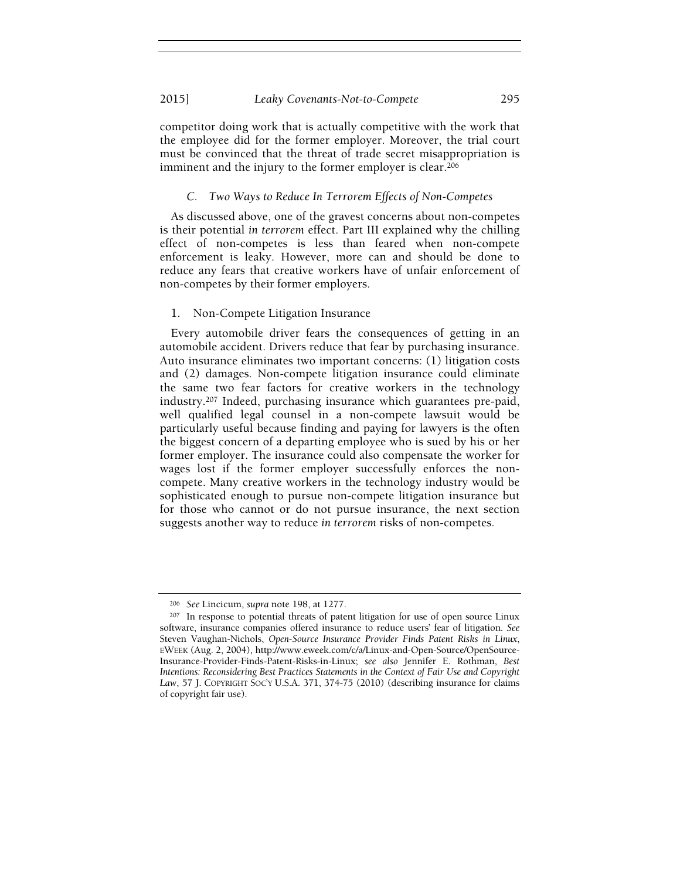competitor doing work that is actually competitive with the work that the employee did for the former employer. Moreover, the trial court must be convinced that the threat of trade secret misappropriation is imminent and the injury to the former employer is clear.<sup>206</sup>

#### C. Two Ways to Reduce In Terrorem Effects of Non-Competes

As discussed above, one of the gravest concerns about non-competes is their potential in terrorem effect. Part III explained why the chilling effect of non-competes is less than feared when non-compete enforcement is leaky. However, more can and should be done to reduce any fears that creative workers have of unfair enforcement of non-competes by their former employers.

#### 1. Non-Compete Litigation Insurance

Every automobile driver fears the consequences of getting in an automobile accident. Drivers reduce that fear by purchasing insurance. Auto insurance eliminates two important concerns: (1) litigation costs and (2) damages. Non-compete litigation insurance could eliminate the same two fear factors for creative workers in the technology industry.207 Indeed, purchasing insurance which guarantees pre-paid, well qualified legal counsel in a non-compete lawsuit would be particularly useful because finding and paying for lawyers is the often the biggest concern of a departing employee who is sued by his or her former employer. The insurance could also compensate the worker for wages lost if the former employer successfully enforces the noncompete. Many creative workers in the technology industry would be sophisticated enough to pursue non-compete litigation insurance but for those who cannot or do not pursue insurance, the next section suggests another way to reduce in terrorem risks of non-competes.

<sup>206</sup> See Lincicum, supra note 198, at 1277.

<sup>&</sup>lt;sup>207</sup> In response to potential threats of patent litigation for use of open source Linux software, insurance companies offered insurance to reduce users' fear of litigation. See Steven Vaughan-Nichols, Open-Source Insurance Provider Finds Patent Risks in Linux, EWEEK (Aug. 2, 2004), http://www.eweek.com/c/a/Linux-and-Open-Source/OpenSource-Insurance-Provider-Finds-Patent-Risks-in-Linux; see also Jennifer E. Rothman, Best Intentions: Reconsidering Best Practices Statements in the Context of Fair Use and Copyright Law, 57 J. COPYRIGHT SOC'Y U.S.A. 371, 374-75 (2010) (describing insurance for claims of copyright fair use).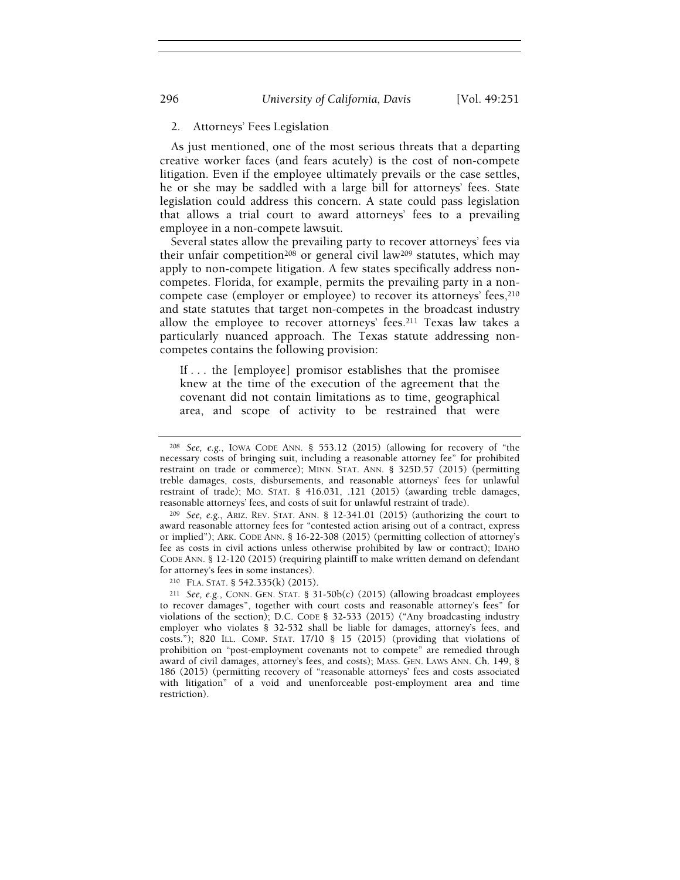#### 2. Attorneys' Fees Legislation

As just mentioned, one of the most serious threats that a departing creative worker faces (and fears acutely) is the cost of non-compete litigation. Even if the employee ultimately prevails or the case settles, he or she may be saddled with a large bill for attorneys' fees. State legislation could address this concern. A state could pass legislation that allows a trial court to award attorneys' fees to a prevailing employee in a non-compete lawsuit.

Several states allow the prevailing party to recover attorneys' fees via their unfair competition208 or general civil law209 statutes, which may apply to non-compete litigation. A few states specifically address noncompetes. Florida, for example, permits the prevailing party in a noncompete case (employer or employee) to recover its attorneys' fees, 210 and state statutes that target non-competes in the broadcast industry allow the employee to recover attorneys' fees.211 Texas law takes a particularly nuanced approach. The Texas statute addressing noncompetes contains the following provision:

If . . . the [employee] promisor establishes that the promisee knew at the time of the execution of the agreement that the covenant did not contain limitations as to time, geographical area, and scope of activity to be restrained that were

 $209$  See, e.g., ARIZ. REV. STAT. ANN. § 12-341.01 (2015) (authorizing the court to award reasonable attorney fees for "contested action arising out of a contract, express or implied"); ARK. CODE ANN. § 16-22-308 (2015) (permitting collection of attorney's fee as costs in civil actions unless otherwise prohibited by law or contract); IDAHO CODE ANN. § 12-120 (2015) (requiring plaintiff to make written demand on defendant for attorney's fees in some instances).

<sup>210</sup> FLA. STAT. § 542.335(k) (2015).

<sup>211</sup> See, e.g., CONN. GEN. STAT. § 31-50b(c) (2015) (allowing broadcast employees to recover damages", together with court costs and reasonable attorney's fees" for violations of the section); D.C. CODE § 32-533 (2015) ("Any broadcasting industry employer who violates § 32-532 shall be liable for damages, attorney's fees, and costs."); 820 ILL. COMP. STAT. 17/10 § 15 (2015) (providing that violations of prohibition on "post-employment covenants not to compete" are remedied through award of civil damages, attorney's fees, and costs); MASS. GEN. LAWS ANN. Ch. 149, § 186 (2015) (permitting recovery of "reasonable attorneys' fees and costs associated with litigation" of a void and unenforceable post-employment area and time restriction).

<sup>208</sup> See, e.g., IOWA CODE ANN. § 553.12 (2015) (allowing for recovery of "the necessary costs of bringing suit, including a reasonable attorney fee" for prohibited restraint on trade or commerce); MINN. STAT. ANN. § 325D.57 (2015) (permitting treble damages, costs, disbursements, and reasonable attorneys' fees for unlawful restraint of trade); MO. STAT. § 416.031, .121 (2015) (awarding treble damages, reasonable attorneys' fees, and costs of suit for unlawful restraint of trade).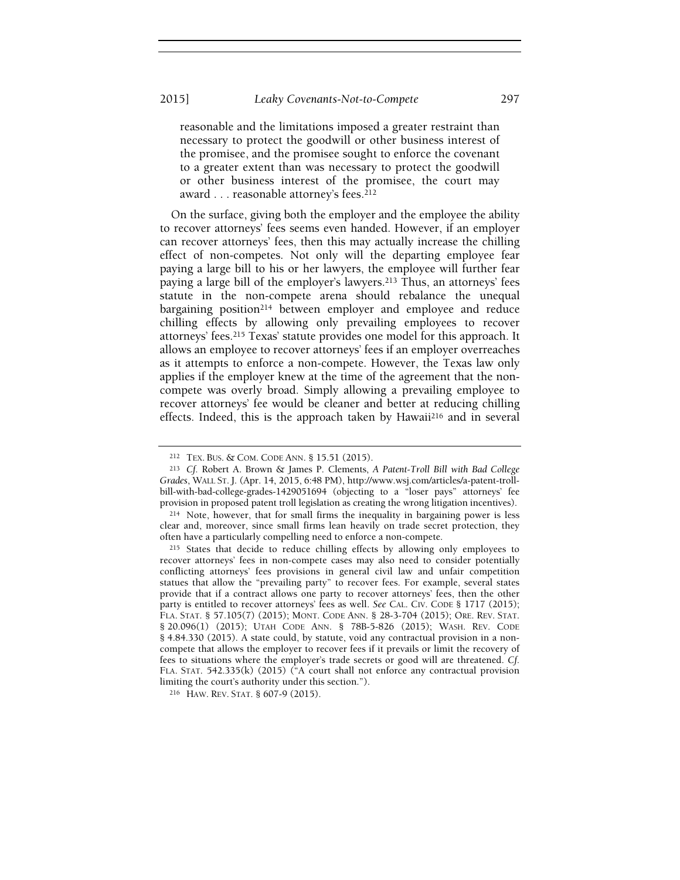#### 2015] Leaky Covenants-Not-to-Compete 297

reasonable and the limitations imposed a greater restraint than necessary to protect the goodwill or other business interest of the promisee, and the promisee sought to enforce the covenant to a greater extent than was necessary to protect the goodwill or other business interest of the promisee, the court may award . . . reasonable attorney's fees.<sup>212</sup>

On the surface, giving both the employer and the employee the ability to recover attorneys' fees seems even handed. However, if an employer can recover attorneys' fees, then this may actually increase the chilling effect of non-competes. Not only will the departing employee fear paying a large bill to his or her lawyers, the employee will further fear paying a large bill of the employer's lawyers.213 Thus, an attorneys' fees statute in the non-compete arena should rebalance the unequal bargaining position<sup>214</sup> between employer and employee and reduce chilling effects by allowing only prevailing employees to recover attorneys' fees.215 Texas' statute provides one model for this approach. It allows an employee to recover attorneys' fees if an employer overreaches as it attempts to enforce a non-compete. However, the Texas law only applies if the employer knew at the time of the agreement that the noncompete was overly broad. Simply allowing a prevailing employee to recover attorneys' fee would be cleaner and better at reducing chilling effects. Indeed, this is the approach taken by Hawaii216 and in several

<sup>212</sup> TEX. BUS. & COM. CODE ANN. § 15.51 (2015).

<sup>213</sup> Cf. Robert A. Brown & James P. Clements, A Patent-Troll Bill with Bad College Grades, WALL ST. J. (Apr. 14, 2015, 6:48 PM), http://www.wsj.com/articles/a-patent-trollbill-with-bad-college-grades-1429051694 (objecting to a "loser pays" attorneys' fee provision in proposed patent troll legislation as creating the wrong litigation incentives).

<sup>214</sup> Note, however, that for small firms the inequality in bargaining power is less clear and, moreover, since small firms lean heavily on trade secret protection, they often have a particularly compelling need to enforce a non-compete.

<sup>&</sup>lt;sup>215</sup> States that decide to reduce chilling effects by allowing only employees to recover attorneys' fees in non-compete cases may also need to consider potentially conflicting attorneys' fees provisions in general civil law and unfair competition statues that allow the "prevailing party" to recover fees. For example, several states provide that if a contract allows one party to recover attorneys' fees, then the other party is entitled to recover attorneys' fees as well. See CAL. CIV. CODE § 1717 (2015); FLA. STAT. § 57.105(7) (2015); MONT. CODE ANN. § 28-3-704 (2015); ORE. REV. STAT. § 20.096(1) (2015); UTAH CODE ANN. § 78B-5-826 (2015); WASH. REV. CODE § 4.84.330 (2015). A state could, by statute, void any contractual provision in a noncompete that allows the employer to recover fees if it prevails or limit the recovery of fees to situations where the employer's trade secrets or good will are threatened. Cf. FLA. STAT. 542.335(k) (2015) ("A court shall not enforce any contractual provision limiting the court's authority under this section.").

<sup>216</sup> HAW. REV. STAT. § 607-9 (2015).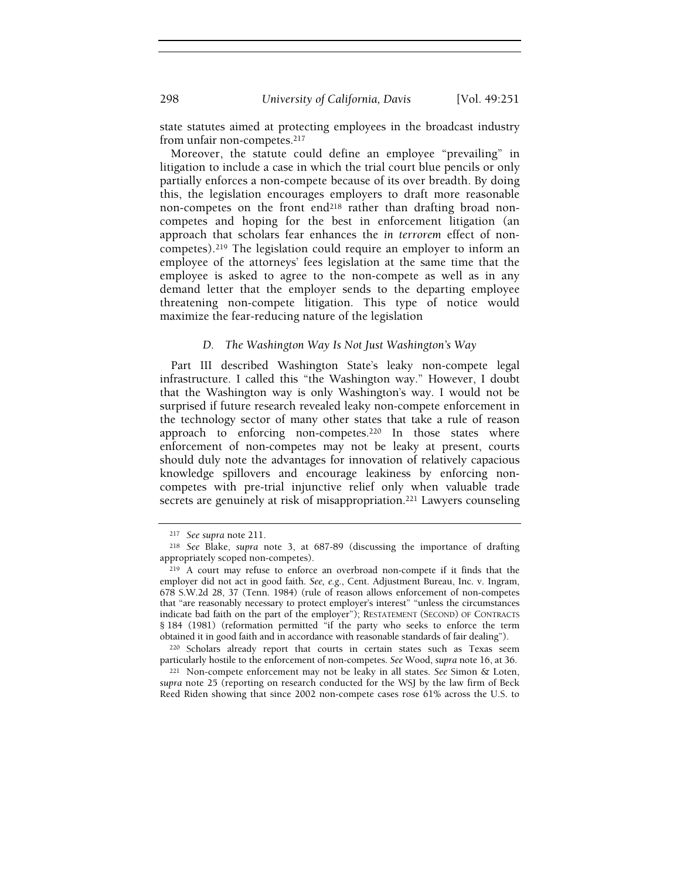state statutes aimed at protecting employees in the broadcast industry from unfair non-competes.<sup>217</sup>

Moreover, the statute could define an employee "prevailing" in litigation to include a case in which the trial court blue pencils or only partially enforces a non-compete because of its over breadth. By doing this, the legislation encourages employers to draft more reasonable non-competes on the front end<sup>218</sup> rather than drafting broad noncompetes and hoping for the best in enforcement litigation (an approach that scholars fear enhances the in terrorem effect of noncompetes).219 The legislation could require an employer to inform an employee of the attorneys' fees legislation at the same time that the employee is asked to agree to the non-compete as well as in any demand letter that the employer sends to the departing employee threatening non-compete litigation. This type of notice would maximize the fear-reducing nature of the legislation

#### D. The Washington Way Is Not Just Washington's Way

Part III described Washington State's leaky non-compete legal infrastructure. I called this "the Washington way." However, I doubt that the Washington way is only Washington's way. I would not be surprised if future research revealed leaky non-compete enforcement in the technology sector of many other states that take a rule of reason approach to enforcing non-competes.<sup>220</sup> In those states where enforcement of non-competes may not be leaky at present, courts should duly note the advantages for innovation of relatively capacious knowledge spillovers and encourage leakiness by enforcing noncompetes with pre-trial injunctive relief only when valuable trade secrets are genuinely at risk of misappropriation.221 Lawyers counseling

<sup>220</sup> Scholars already report that courts in certain states such as Texas seem particularly hostile to the enforcement of non-competes. See Wood, supra note 16, at 36.

<sup>221</sup> Non-compete enforcement may not be leaky in all states. See Simon & Loten, supra note 25 (reporting on research conducted for the WSJ by the law firm of Beck Reed Riden showing that since 2002 non-compete cases rose 61% across the U.S. to

<sup>217</sup> See supra note 211.

<sup>218</sup> See Blake, supra note 3, at 687-89 (discussing the importance of drafting appropriately scoped non-competes).

<sup>&</sup>lt;sup>219</sup> A court may refuse to enforce an overbroad non-compete if it finds that the employer did not act in good faith. See, e.g., Cent. Adjustment Bureau, Inc. v. Ingram, 678 S.W.2d 28, 37 (Tenn. 1984) (rule of reason allows enforcement of non-competes that "are reasonably necessary to protect employer's interest" "unless the circumstances indicate bad faith on the part of the employer"); RESTATEMENT (SECOND) OF CONTRACTS § 184 (1981) (reformation permitted "if the party who seeks to enforce the term obtained it in good faith and in accordance with reasonable standards of fair dealing").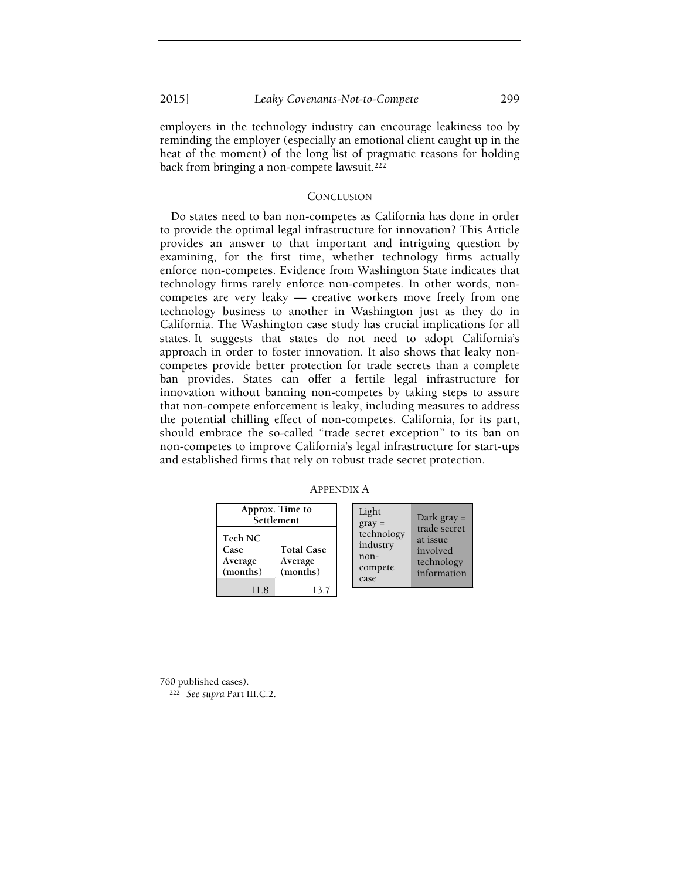employers in the technology industry can encourage leakiness too by reminding the employer (especially an emotional client caught up in the heat of the moment) of the long list of pragmatic reasons for holding back from bringing a non-compete lawsuit.<sup>222</sup>

#### **CONCLUSION**

Do states need to ban non-competes as California has done in order to provide the optimal legal infrastructure for innovation? This Article provides an answer to that important and intriguing question by examining, for the first time, whether technology firms actually enforce non-competes. Evidence from Washington State indicates that technology firms rarely enforce non-competes. In other words, noncompetes are very leaky — creative workers move freely from one technology business to another in Washington just as they do in California. The Washington case study has crucial implications for all states. It suggests that states do not need to adopt California's approach in order to foster innovation. It also shows that leaky noncompetes provide better protection for trade secrets than a complete ban provides. States can offer a fertile legal infrastructure for innovation without banning non-competes by taking steps to assure that non-compete enforcement is leaky, including measures to address the potential chilling effect of non-competes. California, for its part, should embrace the so-called "trade secret exception" to its ban on non-competes to improve California's legal infrastructure for start-ups and established firms that rely on robust trade secret protection.

APPENDIX A

| Approx. Time to<br>Settlement                                                      | Light<br>Dark $gray =$<br>$gray =$                                                                             |
|------------------------------------------------------------------------------------|----------------------------------------------------------------------------------------------------------------|
| Tech NC<br><b>Total Case</b><br>Case<br>Average<br>Average<br>(months)<br>(months) | trade secret<br>technology<br>at issue<br>industry<br>involved<br>non-<br>technology<br>compete<br>information |
| 118<br>13.7                                                                        | case                                                                                                           |

760 published cases).

<sup>222</sup> See supra Part III.C.2.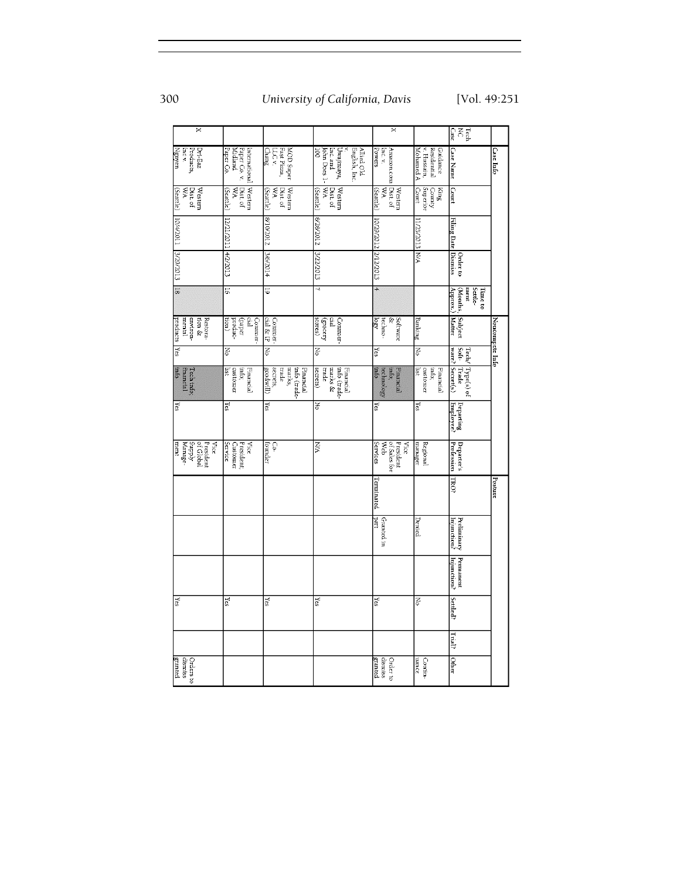| ×                                                           |                                                              |                                                                      |                                                                              | ×                                                    |                                                       | Case<br><b>Fech</b>                                             |                  |
|-------------------------------------------------------------|--------------------------------------------------------------|----------------------------------------------------------------------|------------------------------------------------------------------------------|------------------------------------------------------|-------------------------------------------------------|-----------------------------------------------------------------|------------------|
| Nguyen<br>Products<br>Incv.<br>Dri-Eaz                      | Paper Co.<br>Paper Co v.<br>Midland<br>International Western | Fast Pizza,<br>MOD Super<br><b>Chang</b><br>LLC v.                   | English, Inc.<br>John Does 1-<br>100<br>Allied Old<br>Inc. and<br>Uwajimaya, | Powers<br>Inc.v.<br>Amazon.com                       | v. Hussain,<br>Residential<br>Guidance<br>Mohamed A   | <b>Case Name</b>                                                | <b>Case Info</b> |
| (Seattle)<br>УM<br>Western<br>Dist of                       | Dist of<br>(Seattle)<br>УM                                   | Western<br>Dist of<br>(Seattle)<br>УM                                | ٧M<br>Western<br>Dist. of<br>(Seattle)                                       | Dist of<br>Western<br>(Seattle)<br>WW                | Superior<br><b>County</b><br>King<br>1mo <sub>2</sub> | Court                                                           |                  |
| 10/4/2011 3/29/2013 18                                      | 12/21/2011 4/2/2013                                          | 8102012                                                              | 8/28/2012                                                                    | 10/29/2012 2/12/2013                                 | <b>AVA S/2013</b> N/A                                 | Filing Date Dismiss                                             |                  |
|                                                             |                                                              | 3/6/2014                                                             | 3/22/2013                                                                    |                                                      |                                                       | Order to                                                        |                  |
|                                                             | 91                                                           | 5                                                                    | ₹                                                                            | $\overline{4}$                                       |                                                       | (Months,<br>Settle-<br>$\sqrt{\text{bound}}$<br>ment<br>Time to |                  |
| products<br>environ-<br>tion &<br><b>Restora-</b><br>mental | tion)<br>-oupord<br>Gal<br>(baper<br>Commer-                 | cial & IP<br>Commer-                                                 | (grocery<br>stores)<br>Gal<br>Commer-                                        | Software<br><b>R</b> SQ<br>R<br>techno-              | Bankıng                                               | Subject<br>Matter                                               | Noncompete Info  |
| $\frac{1}{2}$                                               | Z                                                            | z                                                                    | Z                                                                            | Yes                                                  | Z                                                     |                                                                 |                  |
| into<br>Tech info;<br>financial                             | isi<br>into;<br>customer<br>Financial                        | secrets,<br>Eade<br>marks,<br>info (trade-<br>Financial<br>goodwill) | info (trade-<br>secrets)<br>trade<br>marks &<br>Financial                    | info<br>into;<br>Financial<br>technology             | info;<br>isi<br>customer<br>Financial                 | Tech/ Type(s) of<br>Soft-Trade<br>ware? Secret(s)               |                  |
| 2                                                           | 2                                                            | R                                                                    | $\overline{z}$                                                               | <u>re</u> s                                          | kes                                                   | <br>  Eeparting<br>  Employee?                                  |                  |
| Supply<br>Manage-<br>President<br>of Global<br>Vice<br>ment | Service<br>Customer<br>President;<br>Nice                    | ò<br>founder                                                         | NW                                                                           | President<br>of Sales for<br>Services<br>Web<br>Vice | Regional<br>manager                                   | Departer's<br>Profession                                        |                  |
|                                                             |                                                              |                                                                      |                                                                              | Ferminated                                           |                                                       | TRO?                                                            | Posture          |
|                                                             |                                                              |                                                                      |                                                                              | <b>Taart</b><br>Granted in                           | Denied                                                | Preliminary<br>Injunction?                                      |                  |
|                                                             |                                                              |                                                                      |                                                                              |                                                      |                                                       | Permanent<br>Injunction?                                        |                  |
| <u>res</u>                                                  | <u>res</u>                                                   | $\overline{\mathbf{s}}$                                              | $\overline{\mathbf{s}}$                                                      | Yes                                                  | $\overline{z}$                                        | <b>Settled?</b>                                                 |                  |
|                                                             |                                                              |                                                                      |                                                                              |                                                      |                                                       | Trial?                                                          |                  |
| granted<br>dismiss<br>Orders to                             |                                                              |                                                                      |                                                                              | dismiss<br>granted<br>Order to                       | uance<br>Contin-                                      | Other                                                           |                  |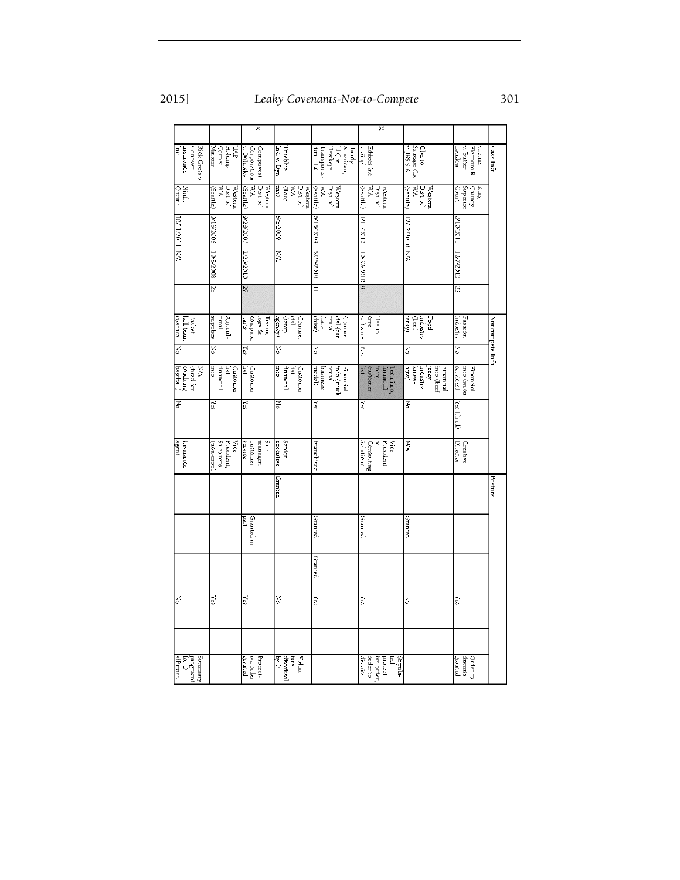× Rick Gress v.<br>Conover<br>Insurance<br>Inc.  $\begin{array}{lll} & \mbox{Oberto} \\ & \mbox{Sausage Co.} \\ & \mbox{v. JSS S.A.} \end{array}$ Creme,<br>Elemora R<br>v. Butter<br>London Compuvest<br>Corporation<br>v. Dolinsky  $\begin{array}{ll} \mathrm{Bmqy} \\ \mathrm{American}, \\ \mathrm{LLG} \, \mathrm{v}, \\ \mathrm{Hawkey} \\ \mathrm{Transporta}, \\ \mathrm{Ico}, \mathrm{LC} \end{array}$ UAP<br>Corp v.<br>Maitoza Trueblue,<br>Inc. v. Dyn Edifecs Inc<br>v. Singh <u>Case Info</u>  $\begin{tabular}{|l|l|} \hline Western\\ Data of\\ WA\\ WA\\ Geartle)\\ Geartle)\\ \hline \end{tabular}$  $\begin{array}{l} \rm{Westrm} \\ \rm{Dist of} \\ \rm{WA} \\ \rm{Gantle} \end{array}$  $\begin{array}{l} \text{Westrm} \\ \text{Dist of} \\ \text{WA} \\ \text{Gao} \\ \text{ma)} \end{array}$  $\begin{array}{l} \rm{Westrm} \\ \rm{Dist of} \\ \rm{WA} \\ \rm{Gearle} \end{array}$  $\begin{array}{lcl} \text{Westrm} \\ \text{Dist of} \\ \text{WA} \\ \text{(Scartle)} \end{array}$ King<br>Superior<br>Court Ninth<br>Greatt Western<br>WA<br>WA<br>(Seattle) Z102011 902/51/6 6007/5/9  $01077177$ 10/11/2011 9/15/2009 /28/2007  $10771$ **NA** ΝÄ 10/2/2010 NΜ 10/8/2008 2/26/2010 5/26/2010 12/12012 67  $\overline{z}$  $25$ Ε Techno<br>logy &<br>computer<br>parts Health<br>care<br>software Food<br>Industry<br>Jerky)<br>Jerky) Basket-<br>ball team<br>coaches Agricul-<br>tural<br>supplies Commer-<br>(temp<br>agency) Commer-<br>cial (car<br>rental<br>fran-Fashion<br>industry Noncompete Info  $\overline{z}$ ¥ Z ¥ Νo Yes Z Yes  $\begin{tabular}{|l|l|} \hline \textbf{Customer} \\ \hline \textbf{list} \\ \hline \textbf{fimacial} \\ \hline \textbf{info} \\ \hline \textbf{info} \end{tabular}$  $\begin{tabular}{|l|l|} \hline \multicolumn{1}{|l|}{} \multicolumn{1}{|l|}{} \multicolumn{1}{|l|}{} \\ \multicolumn{1}{|l|}{} \multicolumn{1}{|l|}{} \multicolumn{1}{|l|}{} \\ \multicolumn{1}{|l|}{} \multicolumn{1}{|l|}{} \multicolumn{1}{|l|}{} \\ \multicolumn{1}{|l|}{} \multicolumn{1}{|l|}{} \multicolumn{1}{|l|}{} \\ \multicolumn{1}{|l|}{} \multicolumn{1}{|l|}{} \multicolumn{1}{|l|}{} \\ \multicolumn{1}{|l|}{} \multicolumn{1}{|$  $\begin{tabular}{|l|l|} \hline \hline \multicolumn{1}{|l|}{\textbf{Fimencial}}\\ \hline \multicolumn{1}{|l|}{\textbf{Filry}}\\ \hline \multicolumn{1}{|l|}{\textbf{Filry}}\\ \hline \multicolumn{1}{|l|}{\textbf{Filry}}\\ \hline \multicolumn{1}{|l|}{\textbf{Filry}}\\ \hline \multicolumn{1}{|l|}{\textbf{Filry}}\\ \hline \multicolumn{1}{|l|}{\textbf{Filry}}\\ \hline \multicolumn{1}{|l|}{\textbf{Filry}}\\ \hline \multicolumn{1}{|l|}{\textbf{Filry$ Customer<br>Isst,<br>Immerial<br>Info Financial<br>info (salon<br>services)  $\begin{array}{l} \text{MA} \\ \text{(first for  
coaching \\ \text{coaching} \\ \text{baseball)} \end{array}$ Customer<br>list  $\begin{array}{l} \rm Tech\,info;\ \begin{array}{l} \rm{In} \rm{d} \rm{or} \ \rm{in} \rm{for} \ \rm{in} \rm{for} \ \rm{on} \ \rm{in} \ \rm{for} \ \rm{on} \ \rm{in} \ \rm{for} \ \rm{in} \ \rm{for} \ \rm{in} \ \rm{for} \ \rm{in} \ \rm{in} \ \rm{for} \ \rm{in} \ \rm{in} \ \rm{in} \ \rm{in} \ \rm{in} \ \rm{in} \ \rm{in} \ \rm{in} \ \rm{in} \ \rm{in} \ \rm{in} \ \rm{in} \ \rm{in} \ \rm{in}$  $\overline{z}$ Σ°  $Yes$ Ιš Yes ¥ res Yes (fired) Vice<br>President<br>Consulting<br>Solutions<br>Solutions Senior<br>| Sale<br>| sale<br>| sale<br>| serior<br>| yice<br>| sales reps<br>| sales reps<br>| sales reps<br>| sales reps<br>| Sales reps<br>| Sales reps<br>| President; Creative<br>Director Insurance<br>|agent **NA** Franchisee Granted Posture Granted in Granted Granted Granted Granted Yes ह  $\gamma_{\rm{ES}}$  $\mathbb{F}^{\infty}$  $\overline{\rm N}_0$  $\mathbb{Y}$ es No  $\log$ Summary<br>|ndgment<br>|affirmed<br>|affirmed Protect<br>ive order<br>granted  ${\rm Vol\,}_{\rm m\,y}$  dismissal  ${\rm by \, p \atop b y \, p}$  $\begin{tabular}{ll} \bf Sipula-& \bf red \\ \bf red \\ \bf red \\ \bf red \\ \bf red \\ \bf dismiss \\ \bf dismiss \\ \end{tabular}$ Order to<br>dismiss<br>granted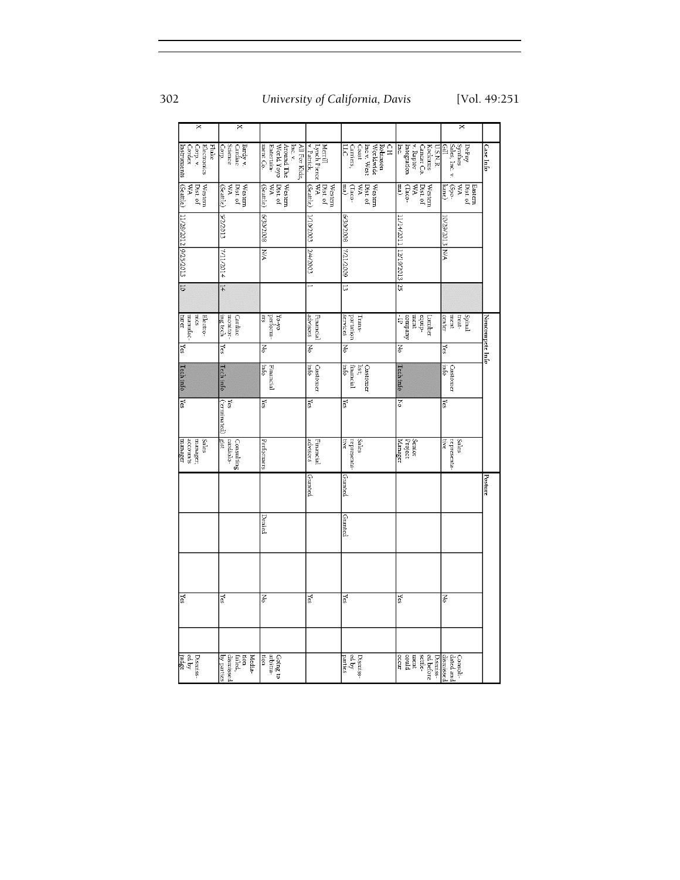| 302 | University of California, Davis | [Vol. 49:251] |
|-----|---------------------------------|---------------|
|     |                                 |               |

|                                                           | ×                                                                     |                                                                                |                                           |                                                                                               |                                                                                                 | χ                                                                                                                    |                 |
|-----------------------------------------------------------|-----------------------------------------------------------------------|--------------------------------------------------------------------------------|-------------------------------------------|-----------------------------------------------------------------------------------------------|-------------------------------------------------------------------------------------------------|----------------------------------------------------------------------------------------------------------------------|-----------------|
| ×                                                         |                                                                       |                                                                                |                                           |                                                                                               |                                                                                                 |                                                                                                                      |                 |
| Electronics<br>Fluke<br>Corp. v.<br>Instruments<br>Cordex | Science<br>Сотр.<br>Bardy v.<br>Cardiac                               | ment Co.<br>Entertain-<br>World Yoyo<br>Around The<br>All For Kidz,<br>Inc. v. | Merrill<br>v. Patrick,<br>Lynch Pierce WA | CН<br>Inc.v. West<br>Worldwide<br>Robinson<br>Carriers<br>$\overline{5}$<br>1seo <sup>2</sup> | v. Raptor<br>$\overline{\mathbf{r}}$<br>Integration<br>Kockums<br><b>U.S.N.R.</b><br>Cancar Co. | $\begin{array}{l} \mbox{Der} \mbox{by}\\ \mbox{Symthes}\\ \mbox{Sales, Inc. } \mbox{\textsc{v}} \end{array}$<br>Gill | Case Info       |
| (Seattle)<br>Western<br>Dist. of<br>χW                    | Western<br>Dist. of<br>ŃА<br>(Seattle)                                | Western<br>Dist. of<br>(Seattle)                                               | Dist. of<br>(Seattle)<br>Western          | Western<br>Dist. of<br>ma)<br>(Taco-<br>УM                                                    | Western<br>Dist. of<br>(em<br>УM<br>(Taco-                                                      | $-0dS$<br>ΥM<br>Eastern<br>Dist. of<br>kane)                                                                         |                 |
| 11/28/2012 9/25/2013                                      | 2/2/2013                                                              | 6/30/2008                                                                      | L10/2003                                  | 8007/02/9                                                                                     | 11/14/2011 12/19/2013 25                                                                        | 10/29/2013 N/A                                                                                                       |                 |
|                                                           | $+102/111/2$                                                          | ΜA                                                                             | 2/4/2003                                  | 6007/77/2                                                                                     |                                                                                                 |                                                                                                                      |                 |
| $\overline{0}$                                            | $\frac{14}{4}$                                                        |                                                                                |                                           | ದ                                                                                             |                                                                                                 |                                                                                                                      |                 |
| Electro-<br><b>Eurer</b><br>manufac-<br>mics              | ing tech<br>monitor-<br><b>Cardiac</b>                                | er.<br>pertorm-<br>Yo-yo                                                       | advisors<br>Financial                     | <b>Services</b><br>portation<br>Irans-                                                        | $\frac{d1}{d1}$ . The $\frac{d1}{d1}$<br>ment<br>equip-<br>Lumber                               | center<br>ment<br>treat-<br>[spinal]                                                                                 | Noncompete Info |
| Yes                                                       | Yes                                                                   | No                                                                             | z                                         | z                                                                                             | No                                                                                              | Yes                                                                                                                  |                 |
| Tech info                                                 | Tech info                                                             | info<br>Financial                                                              | opui<br>Customer                          | ojui<br>Customer<br>financial<br>$_{\rm 18f}$                                                 | <b>Tech info</b>                                                                                | info<br>Customer                                                                                                     |                 |
| Σε                                                        | (terminated)<br>Yes                                                   | 2                                                                              | $\mathbb{R}$                              | Υë                                                                                            | $\overline{z}$                                                                                  | Υes                                                                                                                  |                 |
| <b>Sales</b><br>manager<br>accounts<br>manager.           | gist<br>cardiolo-<br>Consulting                                       | Periormers                                                                     | advisors<br>Financia.                     | <b>Sales</b><br>representa-<br>tive                                                           | Manager<br>Senior<br>Project                                                                    | Sales<br>representa-<br>tive                                                                                         |                 |
|                                                           |                                                                       |                                                                                | Granted                                   | Granted                                                                                       |                                                                                                 |                                                                                                                      | Posture         |
|                                                           |                                                                       | Denied                                                                         |                                           | Granted                                                                                       |                                                                                                 |                                                                                                                      |                 |
|                                                           |                                                                       |                                                                                |                                           |                                                                                               |                                                                                                 |                                                                                                                      |                 |
| Yes                                                       | Yes                                                                   | z                                                                              | Yes                                       | Yes                                                                                           | Yes                                                                                             | δĀ                                                                                                                   |                 |
|                                                           |                                                                       |                                                                                |                                           |                                                                                               |                                                                                                 |                                                                                                                      |                 |
| laby<br>Judge<br>Dismiss-                                 | oy parties<br>dismissed<br>Media-<br>$\lim_{\hbox{fail}\in\hbox{d}},$ | tion<br>Going to<br>arbitra-                                                   |                                           | ed by<br>parties<br>Dismiss-                                                                  | settle-<br>ed before<br>dismissed<br>Dismiss-<br>occur<br>could<br>ment                         | dated and<br>Consoli-                                                                                                |                 |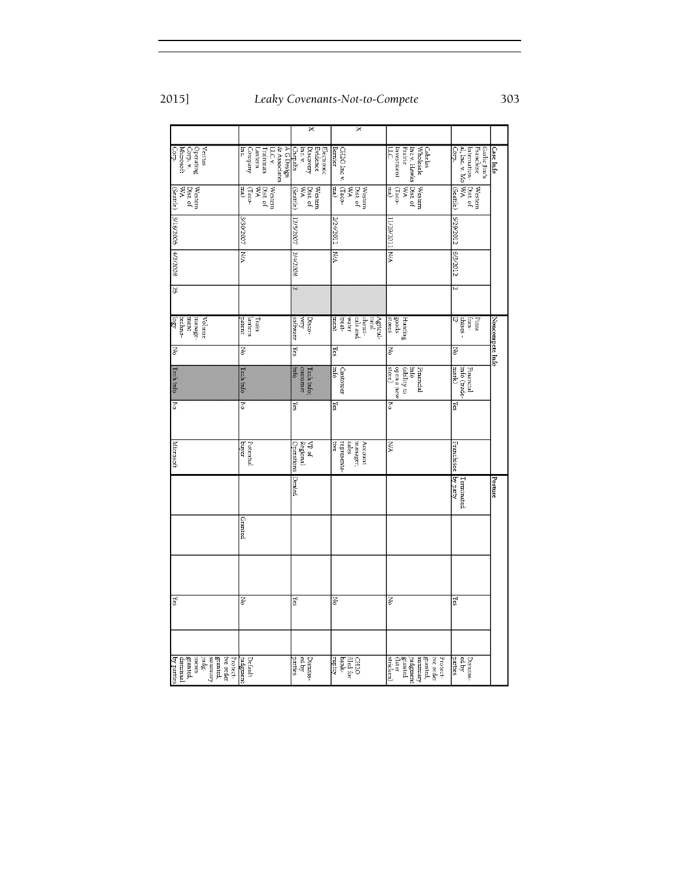$\begin{tabular}{l|c|c|} \hline & A G Design \\ \hline & L L C v \\ \hline & Laram & Lantman \\ \hline & Lantenn \\ \hline & Company \\ \hline & mc \\ \hline & mc \\ \hline & mc \\ \hline \end{tabular}$ Cabelas<br>Wholesale<br>Inc v. Hawks<br>Frairie<br>ILC<br>ILC  $\begin{tabular}{|l|l|} \hline \textbf{Case} \textbf{Info} \\ \hline \textbf{Garlic} \textbf{lins} \\ \hline \textbf{Franchise} \\ \hline \textbf{internation} \\ \textbf{al, Inc. v. Mo} \\ \hline \end{tabular}$ Verias<br>Operating<br>Corp. v.<br>Microsoft<br>Corp. Electronic<br>Evidence<br>Discovery<br>Chepalis<br>Chepalis CH2O Inc v.<br>Bernier  $\begin{array}{l} \rm{Westem} \\ \rm{Dist of} \\ \rm{WA} \\ \rm{Gao} \\ \rm{ma)} \end{array}$ Western<br>Dist. of<br>NA<br>(Seattle)  $\begin{tabular}{|l|l|} \hline Western\\ Data of\\ WA\\ \hline\end{tabular}$  $\begin{array}{l} \rm{Westrm} \\ \rm{Dist of} \\ \rm{WA} \\ \rm{Gantle)} \end{array}$  $\begin{tabular}{|l|l|} \hline Western\\ Data of\\ WA\\ (Iao\\ Iao)\\ \hline \hline \end{tabular}$  $\begin{tabular}{|l|l|} \hline Westem\\ \hline \hline \hline \end{tabular}$ S/29/2012 12/5/2007 I10ZHZ/ **N30/2007** 1/29/2011 9007/8 NW ΜA  $\overline{\widetilde{\mathbf{z}}}$ 2/4/2008 8/3/2012 4/2/2008 R  $\begin{tabular}{|c|c|} \hline \multicolumn{1}{|c|}{Pizza} \\ \multicolumn{1}{|c|}{Lizza} \\ \multicolumn{1}{|c|}{Lizza} \\ \multicolumn{1}{|c|}{Lizza} \\ \multicolumn{1}{|c|}{Lizza} \\ \multicolumn{1}{|c|}{Lizza} \\ \multicolumn{1}{|c|}{Lizza} \\ \multicolumn{1}{|c|}{Lizza} \\ \multicolumn{1}{|c|}{Lizza} \\ \multicolumn{1}{|c|}{Lizza} \\ \multicolumn{1}{|c|}{Lizza} \\ \multicolumn{1}{|c|}{Lizza} \\ \multicolumn{1}{|c|}{Liz$  $\begin{array}{ll} \rm Volume\\ \rm{manage} \\ \rm{techno-} \\ \rm{log} \\ \rm{log} \end{array}$ Train<br>Lantern<br>patent Disco-<br>very<br>software Nonce mpete Info Δo  $Yes$ Yes Z g Ā Francial<br>info (trade-<br>mark) Financial<br>info<br>diblity to<br>open a new<br>store) Tech info;<br>customer<br>info Customer<br>info Tech info Tech info ह 2 **Yes** Σes  $\overline{z}$ Z VP of<br>Regional<br>Operations Potential<br>buyer  $\overline{\mathbb{R}}$ Microsof Franchisee Terminated<br>by party Posture Denied Granted  $\overline{z}$ Νo Yes Įξ Yes e,  $\begin{tabular}{|l|l|} \hline \textbf{left} & \textbf{in} \\ \hline \textbf{independent} & \textbf{in} \\ \textbf{systemed}, & \textbf{in} \\ \textbf{granded}, & \textbf{in} \\ \textbf{grand}, & \textbf{in} \\ \textbf{grand}, & \textbf{in} \\ \textbf{grand}, & \textbf{in} \\ \textbf{grand}, & \textbf{in} \\ \textbf{hymissall} & \textbf{in} \\ \hline \end{tabular}$ Dismiss<br>| ed by<br>| parties  $\begin{tabular}{|c|c|} \hline CLLO \\ \hline \text{field for} \\ \text{bank} \\ \text{map.} \end{tabular}$  $\begin{tabular}{|c|c|} \hline \multicolumn{1}{|c|}{\textbf{Frotet}} \\ \hline \multicolumn{1}{|c|}{\textbf{Bimret}} \\ \hline \multicolumn{1}{|c|}{\textbf{Bimret}} \\ \hline \multicolumn{1}{|c|}{\textbf{Bimert}} \\ \hline \multicolumn{1}{|c|}{\textbf{Bimert}} \\ \hline \multicolumn{1}{|c|}{\textbf{Bimert}} \\ \hline \multicolumn{1}{|c|}{\textbf{Bimert}} \\ \hline \multicolumn{1}{|c|}{\textbf{Bimert}} \\ \hline \multicolumn{1}{|c|}{\textbf{Bimert}} \\ \$ Dismiss:<br>|<br>| parties<br>|